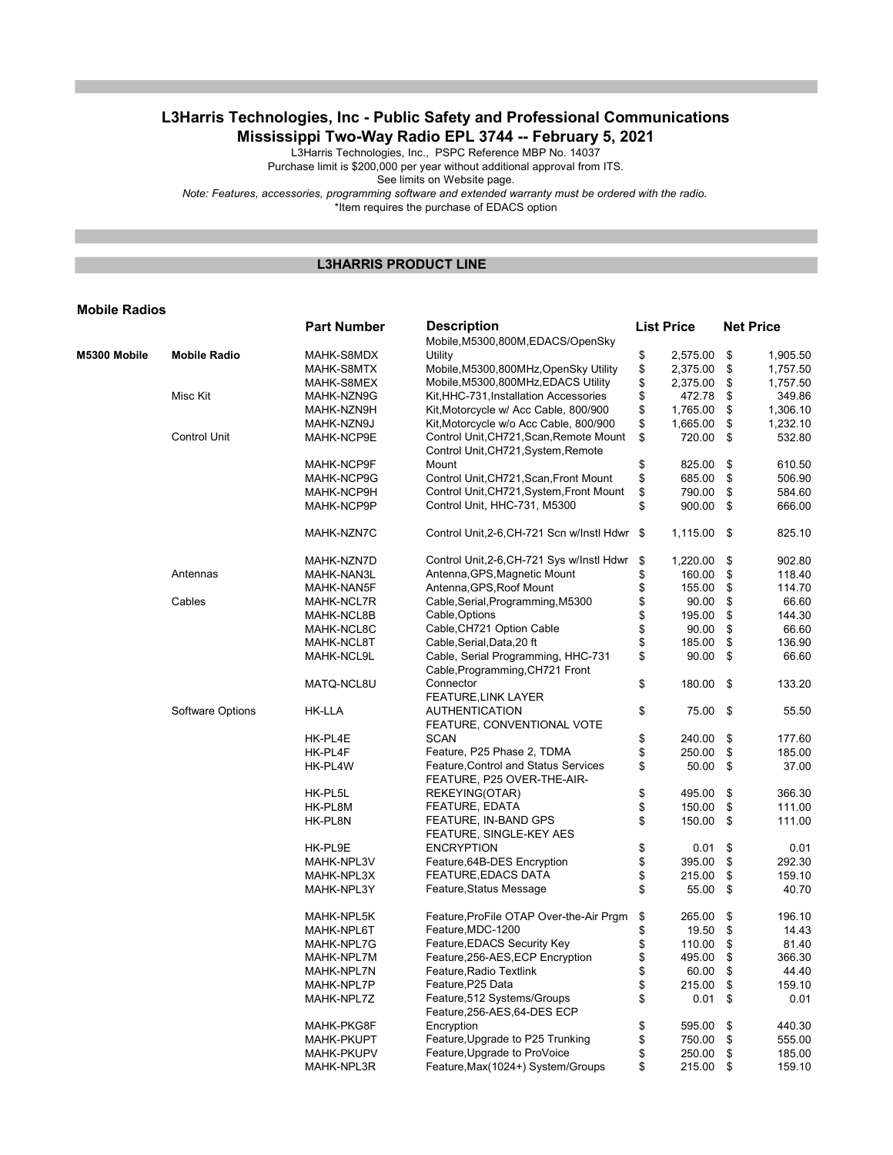# L3Harris Technologies, Inc - Public Safety and Professional Communications Mississippi Two-Way Radio EPL 3744 -- February 5, 2021

L3Harris Technologies, Inc., PSPC Reference MBP No. 14037

Purchase limit is \$200,000 per year without additional approval from ITS.

See limits on Website page.

Note: Features, accessories, programming software and extended warranty must be ordered with the radio.

\*Item requires the purchase of EDACS option

### L3HARRIS PRODUCT LINE

#### Mobile Radios

|              |                     | <b>Part Number</b> | <b>Description</b><br>Mobile, M5300, 800M, EDACS/OpenSky              | <b>List Price</b> | <b>Net Price</b> |          |
|--------------|---------------------|--------------------|-----------------------------------------------------------------------|-------------------|------------------|----------|
| M5300 Mobile | <b>Mobile Radio</b> | MAHK-S8MDX         | Utility                                                               | \$<br>2,575.00    | \$               | 1,905.50 |
|              |                     | MAHK-S8MTX         | Mobile, M5300, 800MHz, OpenSky Utility                                | \$<br>2,375.00    | \$               | 1,757.50 |
|              |                     | MAHK-S8MEX         | Mobile, M5300, 800MHz, EDACS Utility                                  | \$<br>2,375.00    | \$               | 1,757.50 |
|              | Misc Kit            | MAHK-NZN9G         | Kit, HHC-731, Installation Accessories                                | \$<br>472.78      | \$               | 349.86   |
|              |                     | MAHK-NZN9H         | Kit, Motorcycle w/ Acc Cable, 800/900                                 | \$<br>1,765.00    | \$               | 1,306.10 |
|              |                     | MAHK-NZN9J         | Kit, Motorcycle w/o Acc Cable, 800/900                                | \$<br>1,665.00    | \$               | 1,232.10 |
|              | <b>Control Unit</b> | MAHK-NCP9E         | Control Unit, CH721, Scan, Remote Mount                               | \$<br>720.00      | \$               | 532.80   |
|              |                     |                    | Control Unit, CH721, System, Remote                                   |                   |                  |          |
|              |                     | MAHK-NCP9F         | Mount                                                                 | \$<br>825.00      | \$               | 610.50   |
|              |                     | MAHK-NCP9G         | Control Unit, CH721, Scan, Front Mount                                | \$<br>685.00      | \$               | 506.90   |
|              |                     |                    |                                                                       | \$<br>790.00      | \$               | 584.60   |
|              |                     | MAHK-NCP9H         | Control Unit, CH721, System, Front Mount                              |                   |                  |          |
|              |                     | MAHK-NCP9P         | Control Unit, HHC-731, M5300                                          | \$<br>900.00      | \$               | 666.00   |
|              |                     | MAHK-NZN7C         | Control Unit, 2-6, CH-721 Scn w/Instl Hdwr \$                         | $1,115.00$ \$     |                  | 825.10   |
|              |                     | MAHK-NZN7D         | Control Unit, 2-6, CH-721 Sys w/Instl Hdwr                            | \$<br>1,220.00    | \$               | 902.80   |
|              | Antennas            | MAHK-NAN3L         | Antenna, GPS, Magnetic Mount                                          | \$<br>160.00      | \$               | 118.40   |
|              |                     | MAHK-NAN5F         | Antenna, GPS, Roof Mount                                              | \$<br>155.00      | \$               | 114.70   |
|              | Cables              | MAHK-NCL7R         | Cable, Serial, Programming, M5300                                     | \$<br>90.00       | \$               | 66.60    |
|              |                     | MAHK-NCL8B         | Cable, Options                                                        | \$<br>195.00      | \$               | 144.30   |
|              |                     | MAHK-NCL8C         | Cable, CH721 Option Cable                                             | \$<br>90.00       | \$               | 66.60    |
|              |                     | MAHK-NCL8T         | Cable, Serial, Data, 20 ft                                            | \$<br>185.00      | \$               | 136.90   |
|              |                     | MAHK-NCL9L         | Cable, Serial Programming, HHC-731<br>Cable, Programming, CH721 Front | \$<br>90.00       | \$               | 66.60    |
|              |                     | MATQ-NCL8U         | Connector<br><b>FEATURE, LINK LAYER</b>                               | \$<br>180.00      | \$               | 133.20   |
|              | Software Options    | <b>HK-LLA</b>      | <b>AUTHENTICATION</b>                                                 | \$<br>75.00       | \$               | 55.50    |
|              |                     |                    | FEATURE, CONVENTIONAL VOTE<br><b>SCAN</b>                             |                   |                  | 177.60   |
|              |                     | HK-PL4E            |                                                                       | \$<br>240.00      | \$               |          |
|              |                     | HK-PL4F            | Feature, P25 Phase 2, TDMA                                            | \$<br>250.00      | \$               | 185.00   |
|              |                     | HK-PL4W            | Feature, Control and Status Services<br>FEATURE, P25 OVER-THE-AIR-    | \$<br>50.00       | \$               | 37.00    |
|              |                     | HK-PL5L            | REKEYING(OTAR)                                                        | \$<br>495.00      | \$               | 366.30   |
|              |                     | HK-PL8M            | <b>FEATURE, EDATA</b>                                                 | \$<br>150.00      | \$               | 111.00   |
|              |                     | HK-PL8N            | FEATURE, IN-BAND GPS                                                  | \$<br>150.00      | \$               | 111.00   |
|              |                     |                    | FEATURE, SINGLE-KEY AES                                               |                   |                  |          |
|              |                     | HK-PL9E            | <b>ENCRYPTION</b>                                                     | \$<br>0.01        | \$               | 0.01     |
|              |                     | MAHK-NPL3V         | Feature, 64B-DES Encryption                                           | \$<br>395.00      | \$               | 292.30   |
|              |                     | MAHK-NPL3X         | <b>FEATURE, EDACS DATA</b>                                            | \$<br>215.00      | \$               | 159.10   |
|              |                     | MAHK-NPL3Y         | Feature, Status Message                                               | \$<br>55.00       | \$               | 40.70    |
|              |                     | MAHK-NPL5K         | Feature, ProFile OTAP Over-the-Air Prgm                               | \$<br>265.00      | \$               | 196.10   |
|              |                     | MAHK-NPL6T         | Feature, MDC-1200                                                     | \$<br>19.50       | \$               | 14.43    |
|              |                     | MAHK-NPL7G         | Feature, EDACS Security Key                                           | \$<br>110.00      | \$               | 81.40    |
|              |                     | MAHK-NPL7M         | Feature, 256-AES, ECP Encryption                                      | \$<br>495.00      | \$               | 366.30   |
|              |                     | MAHK-NPL7N         | Feature, Radio Textlink                                               | \$<br>60.00       | \$               | 44.40    |
|              |                     | MAHK-NPL7P         | Feature, P25 Data                                                     | \$<br>215.00      | \$               | 159.10   |
|              |                     | MAHK-NPL7Z         | Feature, 512 Systems/Groups<br>Feature, 256-AES, 64-DES ECP           | \$<br>0.01        | \$               | 0.01     |
|              |                     | MAHK-PKG8F         | Encryption                                                            | \$<br>595.00      | \$               | 440.30   |
|              |                     |                    |                                                                       | \$<br>750.00      | \$               | 555.00   |
|              |                     | <b>MAHK-PKUPT</b>  | Feature, Upgrade to P25 Trunking                                      | \$                |                  | 185.00   |
|              |                     | <b>MAHK-PKUPV</b>  | Feature, Upgrade to ProVoice                                          | 250.00            | \$               |          |
|              |                     | MAHK-NPL3R         | Feature, Max(1024+) System/Groups                                     | \$<br>215.00      | \$               | 159.10   |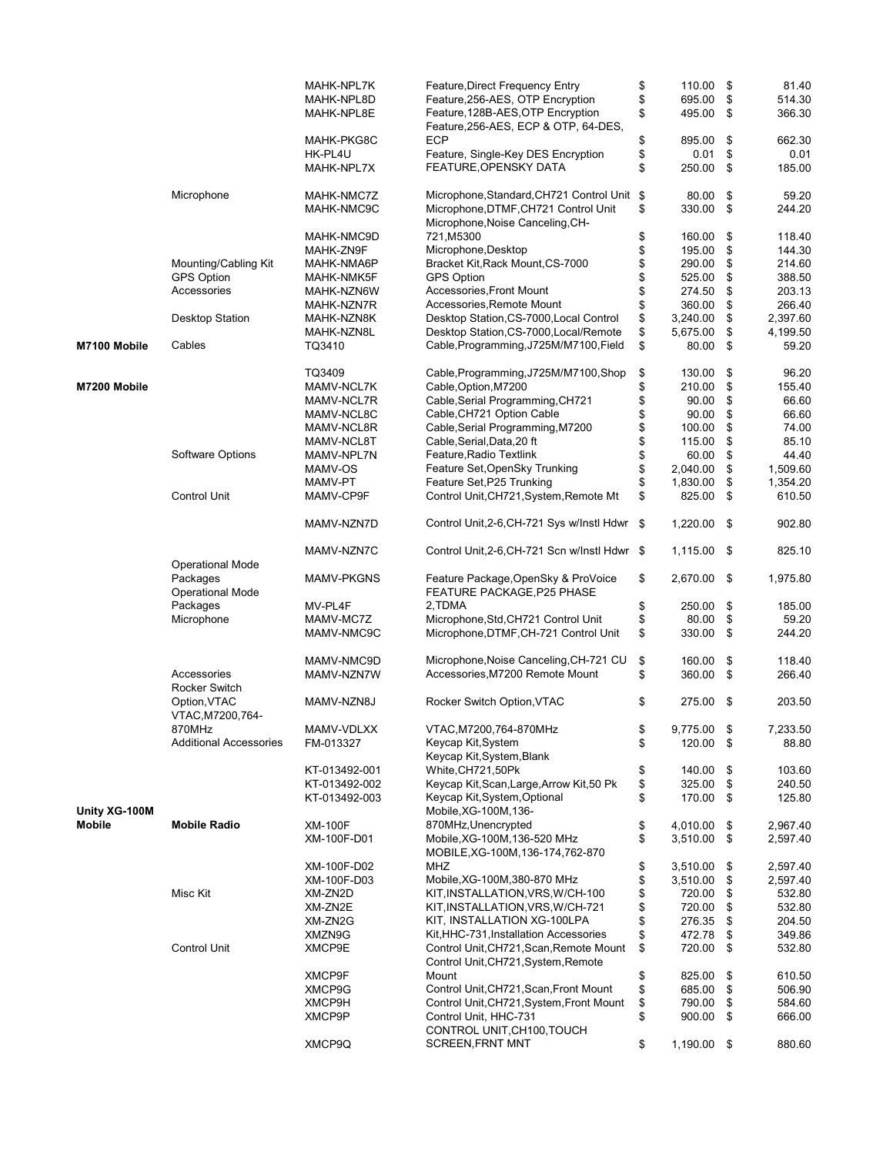|               |                                           | MAHK-NPL7K               | Feature, Direct Frequency Entry                                   | \$       | 110.00           | \$       | 81.40            |
|---------------|-------------------------------------------|--------------------------|-------------------------------------------------------------------|----------|------------------|----------|------------------|
|               |                                           | MAHK-NPL8D               | Feature, 256-AES, OTP Encryption                                  | \$       | 695.00           | \$       | 514.30           |
|               |                                           | MAHK-NPL8E               | Feature, 128B-AES, OTP Encryption                                 | \$       | 495.00           | \$       | 366.30           |
|               |                                           |                          | Feature, 256-AES, ECP & OTP, 64-DES,                              |          |                  |          |                  |
|               |                                           | MAHK-PKG8C               | ECP                                                               | \$       | 895.00           | \$       | 662.30           |
|               |                                           | HK-PL4U                  | Feature, Single-Key DES Encryption                                | \$       | 0.01             | \$       | 0.01             |
|               |                                           | MAHK-NPL7X               | FEATURE, OPENSKY DATA                                             | \$       | 250.00           | \$       | 185.00           |
|               | Microphone                                | MAHK-NMC7Z               | Microphone, Standard, CH721 Control Unit \$                       |          | 80.00            | \$       | 59.20            |
|               |                                           | MAHK-NMC9C               | Microphone, DTMF, CH721 Control Unit                              | \$       | 330.00           | \$       | 244.20           |
|               |                                           |                          | Microphone, Noise Canceling, CH-                                  |          |                  |          |                  |
|               |                                           | MAHK-NMC9D               | 721,M5300                                                         | \$       | 160.00           | \$       | 118.40           |
|               |                                           | MAHK-ZN9F                | Microphone, Desktop                                               | \$       | 195.00           | \$       | 144.30           |
|               | Mounting/Cabling Kit<br><b>GPS Option</b> | MAHK-NMA6P<br>MAHK-NMK5F | Bracket Kit, Rack Mount, CS-7000<br><b>GPS Option</b>             | \$       | 290.00           | \$       | 214.60           |
|               | Accessories                               | MAHK-NZN6W               | Accessories, Front Mount                                          | \$<br>\$ | 525.00<br>274.50 | \$<br>\$ | 388.50<br>203.13 |
|               |                                           | MAHK-NZN7R               | Accessories, Remote Mount                                         | \$       | 360.00           | \$       | 266.40           |
|               | <b>Desktop Station</b>                    | MAHK-NZN8K               | Desktop Station, CS-7000, Local Control                           | \$       | 3,240.00         | \$       | 2,397.60         |
|               |                                           | MAHK-NZN8L               | Desktop Station, CS-7000, Local/Remote                            | \$       | 5,675.00         | \$       | 4,199.50         |
| M7100 Mobile  | Cables                                    | TQ3410                   | Cable, Programming, J725M/M7100, Field                            | \$       | 80.00            | \$       | 59.20            |
|               |                                           | TQ3409                   | Cable, Programming, J725M/M7100, Shop                             | \$       | 130.00           | \$       | 96.20            |
| M7200 Mobile  |                                           | MAMV-NCL7K               | Cable, Option, M7200                                              | \$       | 210.00           | \$       | 155.40           |
|               |                                           | MAMV-NCL7R               | Cable, Serial Programming, CH721                                  | \$       | 90.00            | \$       | 66.60            |
|               |                                           | MAMV-NCL8C               | Cable, CH721 Option Cable                                         | \$       | 90.00            | \$       | 66.60            |
|               |                                           | MAMV-NCL8R               | Cable, Serial Programming, M7200                                  | \$       | 100.00           | \$       | 74.00            |
|               |                                           | MAMV-NCL8T               | Cable, Serial, Data, 20 ft                                        | \$       | 115.00           | \$       | 85.10            |
|               | Software Options                          | MAMV-NPL7N               | Feature, Radio Textlink                                           | \$       | 60.00            | \$       | 44.40            |
|               |                                           | MAMV-OS                  | Feature Set, OpenSky Trunking                                     | \$       | 2,040.00         | \$       | 1,509.60         |
|               |                                           | MAMV-PT                  | Feature Set, P25 Trunking                                         | \$       | 1,830.00         | \$       | 1,354.20         |
|               | <b>Control Unit</b>                       | MAMV-CP9F                | Control Unit, CH721, System, Remote Mt                            | \$       | 825.00           | \$       | 610.50           |
|               |                                           | MAMV-NZN7D               | Control Unit, 2-6, CH-721 Sys w/Instl Hdwr                        | - \$     | $1,220.00$ \$    |          | 902.80           |
|               |                                           | MAMV-NZN7C               | Control Unit, 2-6, CH-721 Scn w/Instl Hdwr \$                     |          | 1,115.00         | - \$     | 825.10           |
|               | <b>Operational Mode</b>                   |                          |                                                                   |          |                  |          |                  |
|               | Packages                                  | <b>MAMV-PKGNS</b>        | Feature Package, OpenSky & ProVoice<br>FEATURE PACKAGE, P25 PHASE | \$       | 2,670.00 \$      |          | 1,975.80         |
|               | <b>Operational Mode</b><br>Packages       | MV-PL4F                  | 2,TDMA                                                            | \$       | 250.00           | \$       | 185.00           |
|               | Microphone                                | MAMV-MC7Z                | Microphone, Std, CH721 Control Unit                               | \$       | 80.00            | \$       | 59.20            |
|               |                                           | MAMV-NMC9C               | Microphone, DTMF, CH-721 Control Unit                             | \$       | 330.00           | \$       | 244.20           |
|               |                                           |                          |                                                                   |          |                  |          |                  |
|               |                                           | MAMV-NMC9D               | Microphone, Noise Canceling, CH-721 CU                            | \$       | 160.00           | \$       | 118.40           |
|               | Accessories<br><b>Rocker Switch</b>       | MAMV-NZN7W               | Accessories, M7200 Remote Mount                                   | \$       | 360.00           | \$       | 266.40           |
|               | Option, VTAC<br>VTAC, M7200, 764-         | MAMV-NZN8J               | Rocker Switch Option, VTAC                                        | \$       | 275.00 \$        |          | 203.50           |
|               | 870MHz                                    | MAMV-VDLXX               | VTAC, M7200, 764-870MHz                                           | \$       | 9,775.00         | \$       | 7,233.50         |
|               | <b>Additional Accessories</b>             | FM-013327                | Keycap Kit, System                                                | \$       | 120.00 \$        |          | 88.80            |
|               |                                           |                          | Keycap Kit, System, Blank                                         |          |                  |          |                  |
|               |                                           | KT-013492-001            | White, CH721, 50Pk                                                | \$       | 140.00           | \$       | 103.60           |
|               |                                           | KT-013492-002            | Keycap Kit, Scan, Large, Arrow Kit, 50 Pk                         | \$       | 325.00           | \$       | 240.50           |
| Unity XG-100M |                                           | KT-013492-003            | Keycap Kit, System, Optional<br>Mobile, XG-100M, 136-             | \$       | 170.00           | \$       | 125.80           |
| <b>Mobile</b> | <b>Mobile Radio</b>                       | <b>XM-100F</b>           | 870MHz, Unencrypted                                               | \$       | 4,010.00         | \$       | 2,967.40         |
|               |                                           | XM-100F-D01              | Mobile, XG-100M, 136-520 MHz                                      | \$       | 3,510.00         | \$       | 2,597.40         |
|               |                                           |                          | MOBILE, XG-100M, 136-174, 762-870                                 |          |                  |          |                  |
|               |                                           | XM-100F-D02              | MHZ                                                               | \$       | 3,510.00         | \$       | 2,597.40         |
|               |                                           | XM-100F-D03              | Mobile, XG-100M, 380-870 MHz                                      |          | 3,510.00         | \$       | 2,597.40         |
|               | Misc Kit                                  | XM-ZN2D                  | KIT, INSTALLATION, VRS, W/CH-100                                  | \$       | 720.00           | \$       | 532.80           |
|               |                                           | XM-ZN2E<br>XM-ZN2G       | KIT, INSTALLATION, VRS, W/CH-721<br>KIT, INSTALLATION XG-100LPA   | \$<br>\$ | 720.00<br>276.35 | \$<br>\$ | 532.80<br>204.50 |
|               |                                           | XMZN9G                   | Kit, HHC-731, Installation Accessories                            | \$       | 472.78           | \$       | 349.86           |
|               | <b>Control Unit</b>                       | XMCP9E                   | Control Unit, CH721, Scan, Remote Mount                           | \$       | 720.00           | \$       | 532.80           |
|               |                                           |                          | Control Unit, CH721, System, Remote                               |          |                  |          |                  |
|               |                                           | XMCP9F                   | Mount                                                             | \$       | 825.00           | \$       | 610.50           |
|               |                                           | XMCP9G                   | Control Unit, CH721, Scan, Front Mount                            | \$       | 685.00           | \$       | 506.90           |
|               |                                           | XMCP9H                   | Control Unit, CH721, System, Front Mount                          | \$       | 790.00           | \$       | 584.60           |
|               |                                           | XMCP9P                   | Control Unit, HHC-731<br>CONTROL UNIT, CH100, TOUCH               | \$       | 900.00           | \$       | 666.00           |
|               |                                           | XMCP9Q                   | <b>SCREEN, FRNT MNT</b>                                           | \$       | 1,190.00 \$      |          | 880.60           |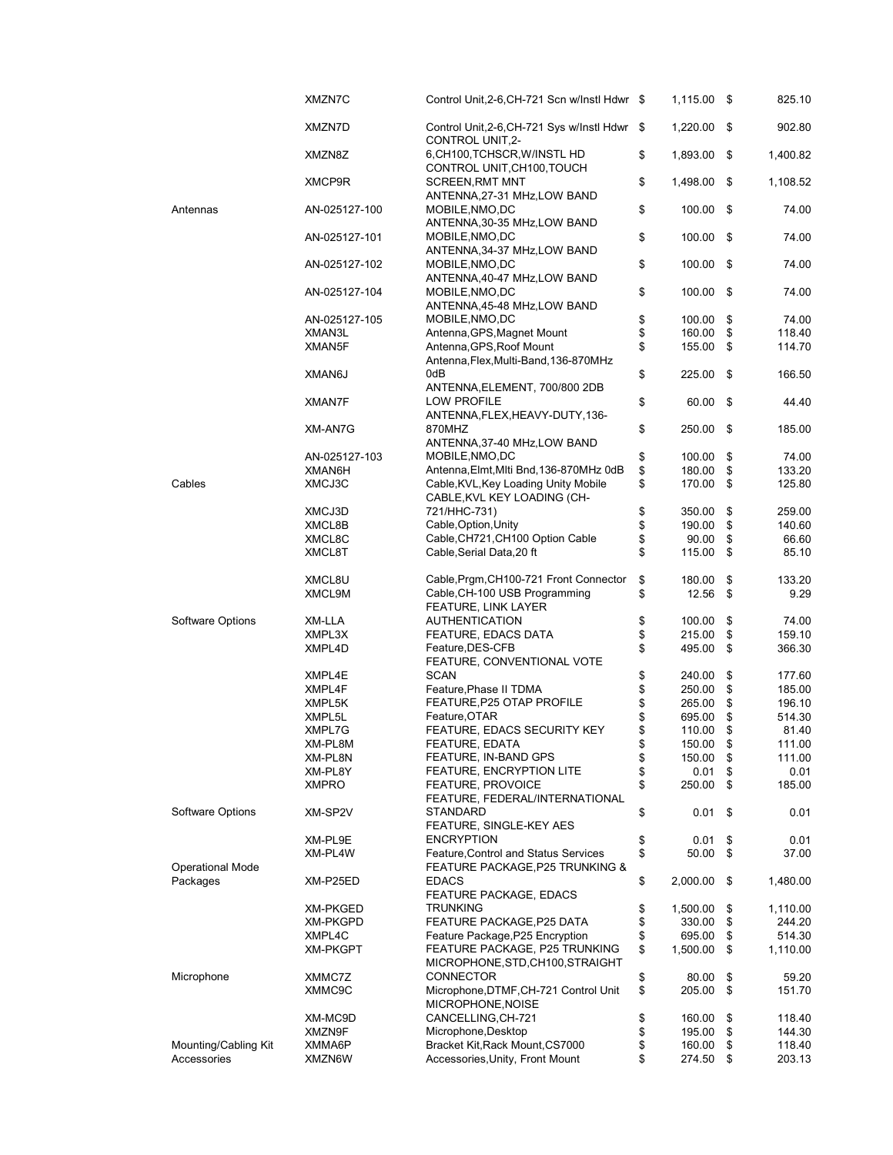|                         | XMZN7C          | Control Unit, 2-6, CH-721 Scn w/Instl Hdwr \$                           | 1,115.00 \$     |      | 825.10   |
|-------------------------|-----------------|-------------------------------------------------------------------------|-----------------|------|----------|
|                         | XMZN7D          | Control Unit, 2-6, CH-721 Sys w/Instl Hdwr \$<br>CONTROL UNIT, 2-       | 1,220.00        | - \$ | 902.80   |
|                         | XMZN8Z          | 6, CH100, TCHSCR, W/INSTL HD<br>CONTROL UNIT, CH100, TOUCH              | \$<br>1,893.00  | - \$ | 1,400.82 |
|                         | XMCP9R          | <b>SCREEN, RMT MNT</b><br>ANTENNA, 27-31 MHz, LOW BAND                  | \$<br>1,498.00  | - \$ | 1,108.52 |
| Antennas                | AN-025127-100   | MOBILE, NMO, DC<br>ANTENNA, 30-35 MHz, LOW BAND                         | \$<br>100.00 \$ |      | 74.00    |
|                         | AN-025127-101   | MOBILE, NMO, DC<br>ANTENNA, 34-37 MHz, LOW BAND                         | \$<br>100.00 \$ |      | 74.00    |
|                         | AN-025127-102   | MOBILE, NMO, DC<br>ANTENNA, 40-47 MHz, LOW BAND                         | \$<br>100.00 \$ |      | 74.00    |
|                         | AN-025127-104   | MOBILE, NMO, DC<br>ANTENNA, 45-48 MHz, LOW BAND                         | \$<br>100.00    | - \$ | 74.00    |
|                         | AN-025127-105   | MOBILE, NMO, DC                                                         | \$<br>100.00    | \$   | 74.00    |
|                         | XMAN3L          | Antenna, GPS, Magnet Mount                                              | \$<br>160.00    | \$   | 118.40   |
|                         | XMAN5F          | Antenna, GPS, Roof Mount                                                | \$<br>155.00    | \$   | 114.70   |
|                         | XMAN6J          | Antenna, Flex, Multi-Band, 136-870MHz<br>0dB                            | \$<br>225.00    | -\$  | 166.50   |
|                         | <b>XMAN7F</b>   | ANTENNA, ELEMENT, 700/800 2DB<br><b>LOW PROFILE</b>                     | 60.00 \$        |      | 44.40    |
|                         |                 | ANTENNA,FLEX,HEAVY-DUTY,136-                                            | \$              |      |          |
|                         | XM-AN7G         | 870MHZ<br>ANTENNA, 37-40 MHz, LOW BAND                                  | \$<br>250.00    | -\$  | 185.00   |
|                         | AN-025127-103   | MOBILE, NMO, DC                                                         | \$<br>100.00    | \$   | 74.00    |
|                         | XMAN6H          | Antenna, Elmt, Miti Bnd, 136-870MHz 0dB                                 | \$<br>180.00    | \$   | 133.20   |
| Cables                  | XMCJ3C          | Cable, KVL, Key Loading Unity Mobile<br>CABLE, KVL KEY LOADING (CH-     | \$<br>170.00    | \$   | 125.80   |
|                         | XMCJ3D          | 721/HHC-731)                                                            | \$<br>350.00    | \$   | 259.00   |
|                         | XMCL8B          | Cable, Option, Unity                                                    | \$<br>190.00    | \$   | 140.60   |
|                         | XMCL8C          | Cable, CH721, CH100 Option Cable                                        | \$<br>90.00     | \$   | 66.60    |
|                         | XMCL8T          | Cable, Serial Data, 20 ft                                               | \$<br>115.00    | \$   | 85.10    |
|                         | XMCL8U          | Cable, Prgm, CH100-721 Front Connector                                  | \$<br>180.00    | \$   | 133.20   |
|                         | XMCL9M          | Cable, CH-100 USB Programming<br>FEATURE, LINK LAYER                    | \$<br>12.56     | \$   | 9.29     |
| Software Options        | XM-LLA          | <b>AUTHENTICATION</b>                                                   | \$<br>100.00    | \$   | 74.00    |
|                         | XMPL3X          | FEATURE, EDACS DATA                                                     | \$<br>215.00    | \$   | 159.10   |
|                         | XMPL4D          | Feature, DES-CFB                                                        | \$<br>495.00    | \$   | 366.30   |
|                         | XMPL4E          | FEATURE, CONVENTIONAL VOTE<br><b>SCAN</b>                               | \$<br>240.00    | \$   | 177.60   |
|                         | XMPL4F          | Feature, Phase II TDMA                                                  | \$<br>250.00    | \$   | 185.00   |
|                         |                 | FEATURE, P25 OTAP PROFILE                                               |                 |      | 196.10   |
|                         | XMPL5K          |                                                                         | \$<br>265.00    | \$   |          |
|                         | XMPL5L          | Feature, OTAR                                                           | \$<br>695.00    | \$   | 514.30   |
|                         | XMPL7G          | FEATURE, EDACS SECURITY KEY                                             | \$<br>110.00    | \$   | 81.40    |
|                         | XM-PL8M         | FEATURE, EDATA                                                          | \$<br>150.00    | \$   | 111.00   |
|                         | XM-PL8N         | FEATURE, IN-BAND GPS                                                    | \$<br>150.00    | \$   | 111.00   |
|                         | XM-PL8Y         | FEATURE, ENCRYPTION LITE                                                | \$<br>0.01      | \$   | 0.01     |
|                         | <b>XMPRO</b>    | <b>FEATURE, PROVOICE</b><br>FEATURE, FEDERAL/INTERNATIONAL              | \$<br>250.00    | \$   | 185.00   |
| Software Options        | XM-SP2V         | STANDARD<br>FEATURE, SINGLE-KEY AES                                     | \$<br>0.01      | \$   | 0.01     |
|                         | XM-PL9E         | <b>ENCRYPTION</b>                                                       | \$<br>0.01      | \$   | 0.01     |
| <b>Operational Mode</b> | XM-PL4W         | Feature, Control and Status Services<br>FEATURE PACKAGE, P25 TRUNKING & | \$<br>50.00     | \$   | 37.00    |
| Packages                | XM-P25ED        | <b>EDACS</b><br><b>FEATURE PACKAGE, EDACS</b>                           | \$<br>2,000.00  | -\$  | 1,480.00 |
|                         | <b>XM-PKGED</b> | <b>TRUNKING</b>                                                         | \$<br>1,500.00  | \$   | 1,110.00 |
|                         | <b>XM-PKGPD</b> | FEATURE PACKAGE, P25 DATA                                               | \$<br>330.00    | \$   | 244.20   |
|                         | XMPL4C          | Feature Package, P25 Encryption                                         | \$<br>695.00    | \$   | 514.30   |
|                         | <b>XM-PKGPT</b> | FEATURE PACKAGE, P25 TRUNKING<br>MICROPHONE, STD, CH100, STRAIGHT       | \$<br>1,500.00  | \$   | 1,110.00 |
| Microphone              | XMMC7Z          | <b>CONNECTOR</b>                                                        | \$<br>80.00     | \$   | 59.20    |
|                         | XMMC9C          | Microphone, DTMF, CH-721 Control Unit<br>MICROPHONE, NOISE              | \$<br>205.00    | \$   | 151.70   |
|                         |                 | CANCELLING, CH-721                                                      |                 |      |          |
|                         | XM-MC9D         |                                                                         | \$<br>160.00    | \$   | 118.40   |
|                         | XMZN9F          | Microphone, Desktop                                                     | \$<br>195.00    | \$   | 144.30   |
| Mounting/Cabling Kit    | XMMA6P          | Bracket Kit, Rack Mount, CS7000                                         | \$<br>160.00    | \$   | 118.40   |
| Accessories             | XMZN6W          | Accessories, Unity, Front Mount                                         | \$<br>274.50    | \$   | 203.13   |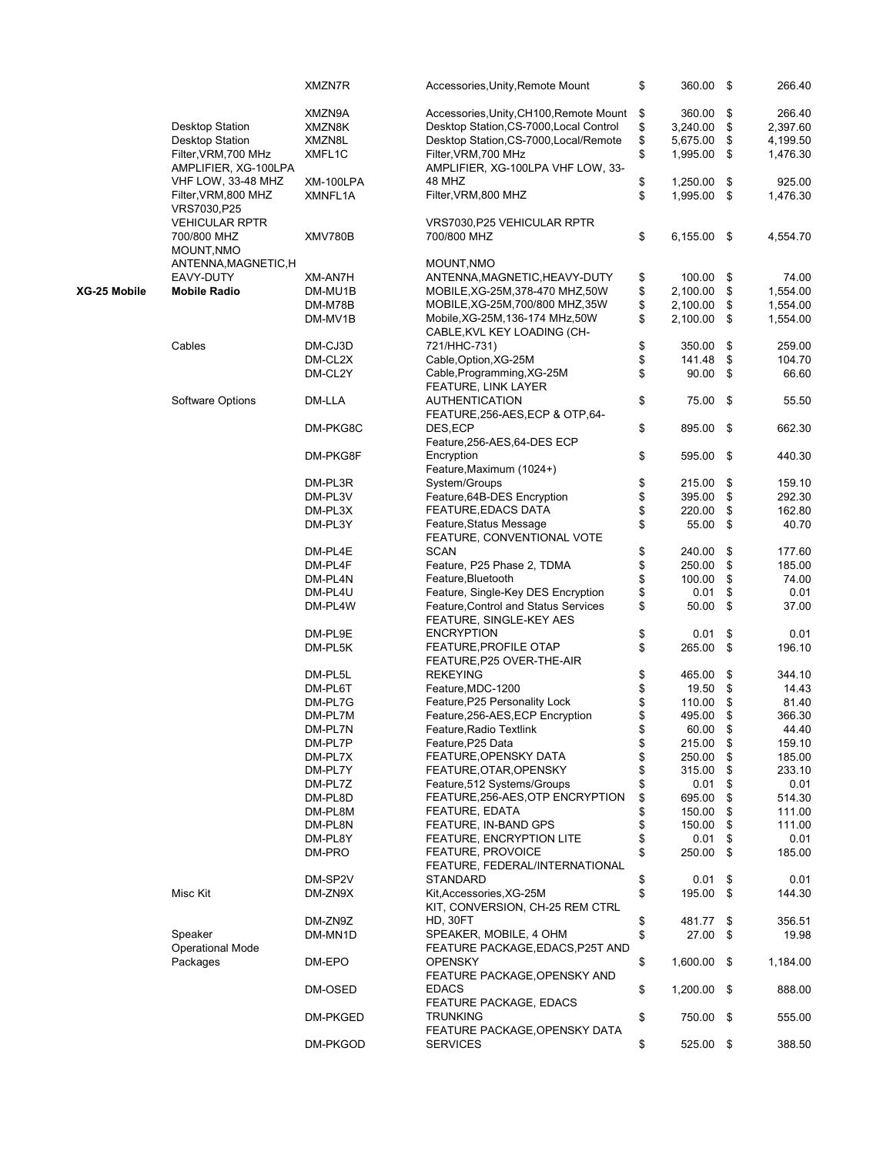|              |                                              | XMZN7R    | Accessories, Unity, Remote Mount                          | \$<br>360.00 \$     | 266.40         |
|--------------|----------------------------------------------|-----------|-----------------------------------------------------------|---------------------|----------------|
|              |                                              | XMZN9A    | Accessories, Unity, CH100, Remote Mount                   | \$<br>360.00        | \$<br>266.40   |
|              | <b>Desktop Station</b>                       |           | Desktop Station, CS-7000, Local Control                   | \$<br>3,240.00      | \$<br>2,397.60 |
|              |                                              | XMZN8K    |                                                           |                     |                |
|              | <b>Desktop Station</b>                       | XMZN8L    | Desktop Station, CS-7000, Local/Remote                    | \$<br>5,675.00      | \$<br>4,199.50 |
|              | Filter, VRM, 700 MHz<br>AMPLIFIER, XG-100LPA | XMFL1C    | Filter, VRM, 700 MHz<br>AMPLIFIER, XG-100LPA VHF LOW, 33- | \$<br>1,995.00      | \$<br>1,476.30 |
|              | VHF LOW, 33-48 MHZ                           | XM-100LPA | 48 MHZ                                                    | \$<br>1,250.00      | \$<br>925.00   |
|              |                                              |           | Filter, VRM, 800 MHZ                                      | \$<br>1,995.00 \$   |                |
|              | Filter, VRM, 800 MHZ                         | XMNFL1A   |                                                           |                     | 1,476.30       |
|              | VRS7030, P25                                 |           |                                                           |                     |                |
|              | <b>VEHICULAR RPTR</b>                        |           | VRS7030, P25 VEHICULAR RPTR                               |                     |                |
|              | 700/800 MHZ                                  | XMV780B   | 700/800 MHZ                                               | \$<br>$6,155.00$ \$ | 4,554.70       |
|              | MOUNT, NMO                                   |           |                                                           |                     |                |
|              | ANTENNA, MAGNETIC, H                         |           | MOUNT, NMO                                                |                     |                |
|              | EAVY-DUTY                                    | XM-AN7H   | ANTENNA, MAGNETIC, HEAVY-DUTY                             | \$<br>100.00 \$     | 74.00          |
| XG-25 Mobile |                                              |           |                                                           |                     | \$             |
|              | <b>Mobile Radio</b>                          | DM-MU1B   | MOBILE, XG-25M, 378-470 MHZ, 50W                          | \$<br>2,100.00      | 1,554.00       |
|              |                                              | DM-M78B   | MOBILE, XG-25M, 700/800 MHZ, 35W                          | \$<br>2,100.00      | \$<br>1,554.00 |
|              |                                              | DM-MV1B   | Mobile, XG-25M, 136-174 MHz, 50W                          | \$<br>2,100.00      | \$<br>1,554.00 |
|              |                                              |           | CABLE, KVL KEY LOADING (CH-                               |                     |                |
|              | Cables                                       | DM-CJ3D   | 721/HHC-731)                                              | \$<br>350.00        | \$<br>259.00   |
|              |                                              | DM-CL2X   | Cable, Option, XG-25M                                     | \$<br>141.48        | \$<br>104.70   |
|              |                                              | DM-CL2Y   | Cable, Programming, XG-25M                                | \$<br>90.00         | \$<br>66.60    |
|              |                                              |           |                                                           |                     |                |
|              |                                              |           | FEATURE, LINK LAYER                                       |                     |                |
|              | Software Options                             | DM-LLA    | <b>AUTHENTICATION</b>                                     | \$<br>75.00         | \$<br>55.50    |
|              |                                              |           | FEATURE, 256-AES, ECP & OTP, 64-                          |                     |                |
|              |                                              | DM-PKG8C  | DES, ECP                                                  | \$<br>895.00 \$     | 662.30         |
|              |                                              |           | Feature, 256-AES, 64-DES ECP                              |                     |                |
|              |                                              | DM-PKG8F  | Encryption                                                | \$<br>595.00 \$     | 440.30         |
|              |                                              |           | Feature, Maximum (1024+)                                  |                     |                |
|              |                                              |           |                                                           |                     |                |
|              |                                              | DM-PL3R   | System/Groups                                             | \$<br>215.00        | \$<br>159.10   |
|              |                                              | DM-PL3V   | Feature, 64B-DES Encryption                               | \$<br>395.00        | \$<br>292.30   |
|              |                                              | DM-PL3X   | <b>FEATURE, EDACS DATA</b>                                | \$<br>220.00        | \$<br>162.80   |
|              |                                              | DM-PL3Y   | Feature, Status Message                                   | \$<br>55.00         | \$<br>40.70    |
|              |                                              |           | FEATURE, CONVENTIONAL VOTE                                |                     |                |
|              |                                              | DM-PL4E   | <b>SCAN</b>                                               | \$<br>240.00        | \$<br>177.60   |
|              |                                              | DM-PL4F   | Feature, P25 Phase 2, TDMA                                | \$<br>250.00        | \$<br>185.00   |
|              |                                              |           |                                                           |                     |                |
|              |                                              | DM-PL4N   | Feature, Bluetooth                                        | \$<br>100.00        | \$<br>74.00    |
|              |                                              | DM-PL4U   | Feature, Single-Key DES Encryption                        | \$<br>0.01          | \$<br>0.01     |
|              |                                              | DM-PL4W   | Feature, Control and Status Services                      | \$<br>50.00         | \$<br>37.00    |
|              |                                              |           | FEATURE, SINGLE-KEY AES                                   |                     |                |
|              |                                              | DM-PL9E   | <b>ENCRYPTION</b>                                         | \$<br>0.01          | \$<br>0.01     |
|              |                                              | DM-PL5K   | <b>FEATURE, PROFILE OTAP</b>                              | \$<br>265.00        | \$<br>196.10   |
|              |                                              |           | FEATURE, P25 OVER-THE-AIR                                 |                     |                |
|              |                                              |           |                                                           |                     |                |
|              |                                              | DM-PL5L   | <b>REKEYING</b>                                           | \$<br>465.00        | \$<br>344.10   |
|              |                                              | DM-PL6T   | Feature, MDC-1200                                         | \$<br>19.50         | \$<br>14.43    |
|              |                                              | DM-PL7G   | Feature, P25 Personality Lock                             | \$<br>110.00        | \$<br>81.40    |
|              |                                              | DM-PL7M   | Feature, 256-AES, ECP Encryption                          | \$<br>495.00        | \$<br>366.30   |
|              |                                              | DM-PL7N   | Feature, Radio Textlink                                   | \$<br>60.00         | \$<br>44.40    |
|              |                                              | DM-PL7P   | Feature, P25 Data                                         | \$<br>215.00 \$     | 159.10         |
|              |                                              | DM-PL7X   | FEATURE, OPENSKY DATA                                     | \$<br>250.00        | \$<br>185.00   |
|              |                                              |           |                                                           |                     |                |
|              |                                              | DM-PL7Y   | FEATURE, OTAR, OPENSKY                                    | \$<br>315.00        | \$<br>233.10   |
|              |                                              | DM-PL7Z   | Feature, 512 Systems/Groups                               | \$<br>0.01          | \$<br>0.01     |
|              |                                              | DM-PL8D   | FEATURE, 256-AES, OTP ENCRYPTION                          | \$<br>695.00        | \$<br>514.30   |
|              |                                              | DM-PL8M   | <b>FEATURE, EDATA</b>                                     | \$<br>150.00        | \$<br>111.00   |
|              |                                              | DM-PL8N   | FEATURE, IN-BAND GPS                                      | \$<br>150.00        | \$<br>111.00   |
|              |                                              | DM-PL8Y   | FEATURE, ENCRYPTION LITE                                  | \$<br>0.01          | \$<br>0.01     |
|              |                                              | DM-PRO    | <b>FEATURE, PROVOICE</b>                                  | \$<br>250.00        | \$<br>185.00   |
|              |                                              |           |                                                           |                     |                |
|              |                                              |           | FEATURE, FEDERAL/INTERNATIONAL                            |                     |                |
|              |                                              | DM-SP2V   | <b>STANDARD</b>                                           | \$<br>0.01          | \$<br>0.01     |
|              | Misc Kit                                     | DM-ZN9X   | Kit, Accessories, XG-25M                                  | \$<br>195.00 \$     | 144.30         |
|              |                                              |           | KIT, CONVERSION, CH-25 REM CTRL                           |                     |                |
|              |                                              | DM-ZN9Z   | HD, 30FT                                                  | \$<br>481.77 \$     | 356.51         |
|              | Speaker                                      | DM-MN1D   | SPEAKER, MOBILE, 4 OHM                                    | \$<br>27.00         | \$<br>19.98    |
|              | <b>Operational Mode</b>                      |           | FEATURE PACKAGE, EDACS, P25T AND                          |                     |                |
|              |                                              |           |                                                           |                     |                |
|              | Packages                                     | DM-EPO    | <b>OPENSKY</b>                                            | \$<br>1,600.00 \$   | 1,184.00       |
|              |                                              |           | FEATURE PACKAGE, OPENSKY AND                              |                     |                |
|              |                                              | DM-OSED   | <b>EDACS</b>                                              | \$<br>1,200.00 \$   | 888.00         |
|              |                                              |           | <b>FEATURE PACKAGE, EDACS</b>                             |                     |                |
|              |                                              | DM-PKGED  | <b>TRUNKING</b>                                           | \$<br>750.00 \$     | 555.00         |
|              |                                              |           | FEATURE PACKAGE, OPENSKY DATA                             |                     |                |
|              |                                              | DM-PKGOD  | <b>SERVICES</b>                                           | \$<br>525.00 \$     | 388.50         |
|              |                                              |           |                                                           |                     |                |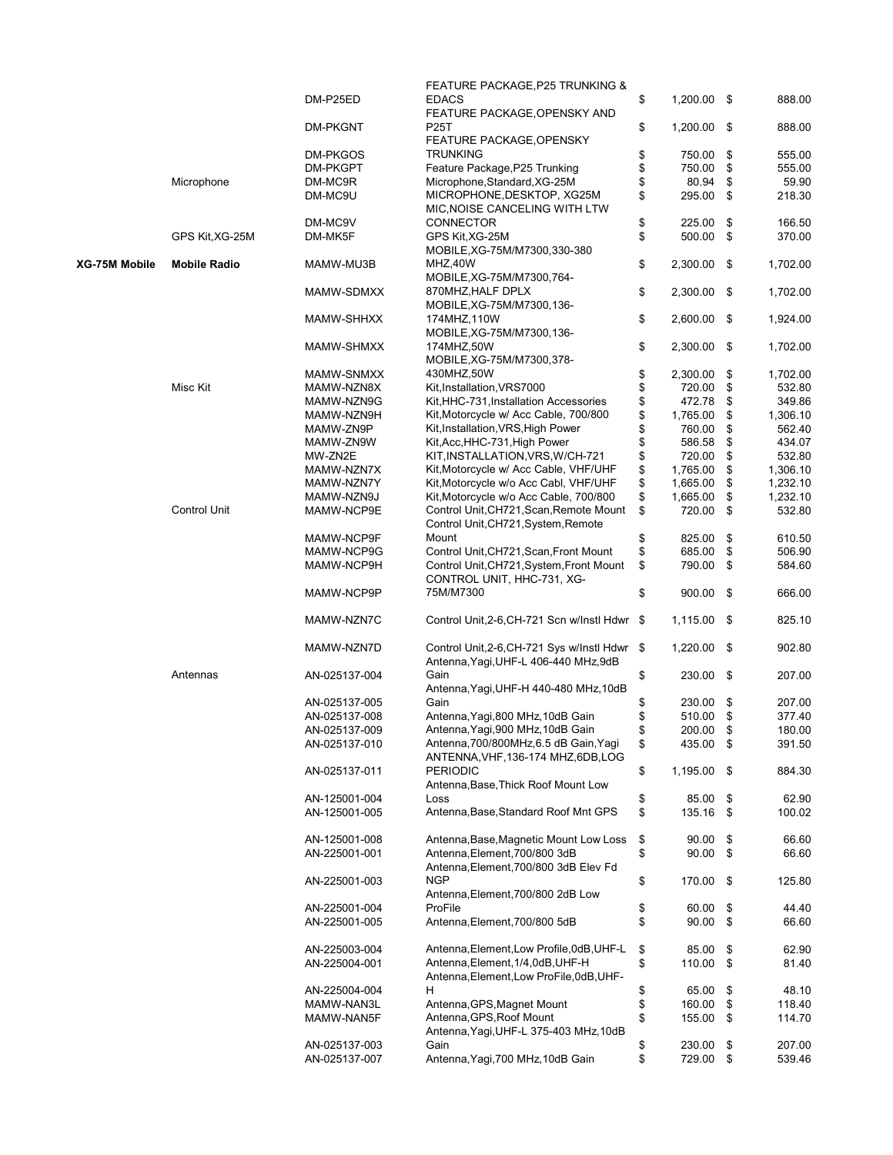|                      |                     | DM-P25ED      | FEATURE PACKAGE, P25 TRUNKING &<br><b>EDACS</b> | \$  | 1,200.00 \$   | 888.00         |
|----------------------|---------------------|---------------|-------------------------------------------------|-----|---------------|----------------|
|                      |                     |               | FEATURE PACKAGE, OPENSKY AND                    |     |               |                |
|                      |                     | DM-PKGNT      | <b>P25T</b>                                     | \$  | 1,200.00 \$   | 888.00         |
|                      |                     |               | FEATURE PACKAGE, OPENSKY                        |     |               |                |
|                      |                     | DM-PKGOS      | <b>TRUNKING</b>                                 | \$  | 750.00        | \$<br>555.00   |
|                      |                     | DM-PKGPT      | Feature Package, P25 Trunking                   | \$  | 750.00        | \$<br>555.00   |
|                      | Microphone          | DM-MC9R       | Microphone, Standard, XG-25M                    | \$  | 80.94         | \$<br>59.90    |
|                      |                     | DM-MC9U       | MICROPHONE, DESKTOP, XG25M                      | \$  | 295.00        | \$<br>218.30   |
|                      |                     |               | MIC, NOISE CANCELING WITH LTW                   |     |               |                |
|                      |                     | DM-MC9V       | <b>CONNECTOR</b>                                | \$  | 225.00        | \$<br>166.50   |
|                      | GPS Kit, XG-25M     | DM-MK5F       | GPS Kit, XG-25M                                 | \$  | 500.00 \$     | 370.00         |
|                      |                     |               | MOBILE, XG-75M/M7300, 330-380                   |     |               |                |
| <b>XG-75M Mobile</b> | <b>Mobile Radio</b> | MAMW-MU3B     | MHZ,40W                                         | \$  | 2,300.00      | \$<br>1,702.00 |
|                      |                     |               | MOBILE, XG-75M/M7300, 764-                      |     |               |                |
|                      |                     | MAMW-SDMXX    | 870MHZ, HALF DPLX                               | \$  | 2,300.00      | \$<br>1,702.00 |
|                      |                     |               | MOBILE, XG-75M/M7300, 136-                      |     |               |                |
|                      |                     | MAMW-SHHXX    | 174MHZ, 110W                                    | \$  | 2,600.00 \$   | 1,924.00       |
|                      |                     |               |                                                 |     |               |                |
|                      |                     |               | MOBILE, XG-75M/M7300, 136-                      |     |               |                |
|                      |                     | MAMW-SHMXX    | 174MHZ,50W                                      | \$  | 2,300.00 \$   | 1,702.00       |
|                      |                     |               | MOBILE, XG-75M/M7300, 378-                      |     |               |                |
|                      |                     | MAMW-SNMXX    | 430MHZ,50W                                      | \$  | 2,300.00      | \$<br>1,702.00 |
|                      | Misc Kit            | MAMW-NZN8X    | Kit, Installation, VRS7000                      | \$  | 720.00        | \$<br>532.80   |
|                      |                     | MAMW-NZN9G    | Kit, HHC-731, Installation Accessories          | \$  | 472.78        | \$<br>349.86   |
|                      |                     | MAMW-NZN9H    | Kit, Motorcycle w/ Acc Cable, 700/800           | \$  | 1,765.00      | \$<br>1,306.10 |
|                      |                     | MAMW-ZN9P     | Kit, Installation, VRS, High Power              | \$  | 760.00        | \$<br>562.40   |
|                      |                     | MAMW-ZN9W     | Kit, Acc, HHC-731, High Power                   | \$  | 586.58        | \$<br>434.07   |
|                      |                     | MW-ZN2E       | KIT, INSTALLATION, VRS, W/CH-721                | \$  | 720.00        | \$<br>532.80   |
|                      |                     | MAMW-NZN7X    | Kit, Motorcycle w/ Acc Cable, VHF/UHF           | \$  | 1,765.00      | \$<br>1,306.10 |
|                      |                     | MAMW-NZN7Y    | Kit, Motorcycle w/o Acc Cabl, VHF/UHF           | \$  | 1,665.00      | \$<br>1,232.10 |
|                      |                     | MAMW-NZN9J    | Kit, Motorcycle w/o Acc Cable, 700/800          | \$  | 1,665.00      | \$<br>1,232.10 |
|                      | <b>Control Unit</b> | MAMW-NCP9E    | Control Unit, CH721, Scan, Remote Mount         | \$  | 720.00        | \$<br>532.80   |
|                      |                     |               | Control Unit, CH721, System, Remote             |     |               |                |
|                      |                     | MAMW-NCP9F    | Mount                                           | \$  | 825.00        | \$<br>610.50   |
|                      |                     | MAMW-NCP9G    | Control Unit, CH721, Scan, Front Mount          | \$  | 685.00        | \$<br>506.90   |
|                      |                     | MAMW-NCP9H    | Control Unit, CH721, System, Front Mount        | \$  | 790.00        | \$<br>584.60   |
|                      |                     |               |                                                 |     |               |                |
|                      |                     |               | CONTROL UNIT, HHC-731, XG-                      |     |               |                |
|                      |                     | MAMW-NCP9P    | 75M/M7300                                       | \$  | $900.00$ \$   | 666.00         |
|                      |                     |               |                                                 |     |               |                |
|                      |                     | MAMW-NZN7C    | Control Unit, 2-6, CH-721 Scn w/Instl Hdwr      | \$  | 1,115.00 \$   | 825.10         |
|                      |                     |               |                                                 |     |               |                |
|                      |                     | MAMW-NZN7D    | Control Unit, 2-6, CH-721 Sys w/Instl Hdwr      | -\$ | $1,220.00$ \$ | 902.80         |
|                      |                     |               | Antenna, Yagi, UHF-L 406-440 MHz, 9dB           |     |               |                |
|                      | Antennas            | AN-025137-004 | Gain                                            | \$  | 230.00 \$     | 207.00         |
|                      |                     |               | Antenna, Yagi, UHF-H 440-480 MHz, 10dB          |     |               |                |
|                      |                     | AN-025137-005 | Gain                                            | \$  | 230.00        | \$<br>207.00   |
|                      |                     | AN-025137-008 | Antenna, Yaqi, 800 MHz, 10dB Gain               | \$  | 510.00        | \$<br>377.40   |
|                      |                     | AN-025137-009 | Antenna, Yaqi, 900 MHz, 10dB Gain               | \$  | 200.00        | \$<br>180.00   |
|                      |                     | AN-025137-010 | Antenna, 700/800MHz, 6.5 dB Gain, Yaqi          | \$  | 435.00 \$     | 391.50         |
|                      |                     |               | ANTENNA, VHF, 136-174 MHZ, 6DB, LOG             |     |               |                |
|                      |                     | AN-025137-011 | <b>PERIODIC</b>                                 | \$  | 1,195.00 \$   | 884.30         |
|                      |                     |               | Antenna, Base, Thick Roof Mount Low             |     |               |                |
|                      |                     | AN-125001-004 | Loss                                            | \$  | 85.00         | \$<br>62.90    |
|                      |                     |               | Antenna, Base, Standard Roof Mnt GPS            | \$  | 135.16        |                |
|                      |                     | AN-125001-005 |                                                 |     |               | \$<br>100.02   |
|                      |                     |               |                                                 |     |               |                |
|                      |                     | AN-125001-008 | Antenna, Base, Magnetic Mount Low Loss          | \$  | 90.00         | \$<br>66.60    |
|                      |                     | AN-225001-001 | Antenna, Element, 700/800 3dB                   | \$  | 90.00         | \$<br>66.60    |
|                      |                     |               | Antenna, Element, 700/800 3dB Elev Fd           |     |               |                |
|                      |                     | AN-225001-003 | <b>NGP</b>                                      | \$  | 170.00 \$     | 125.80         |
|                      |                     |               | Antenna, Element, 700/800 2dB Low               |     |               |                |
|                      |                     | AN-225001-004 | ProFile                                         | \$  | 60.00         | \$<br>44.40    |
|                      |                     | AN-225001-005 | Antenna, Element, 700/800 5dB                   | \$  | 90.00         | \$<br>66.60    |
|                      |                     |               |                                                 |     |               |                |
|                      |                     | AN-225003-004 | Antenna, Element, Low Profile, 0dB, UHF-L       | \$  | 85.00         | \$<br>62.90    |
|                      |                     | AN-225004-001 | Antenna, Element, 1/4, 0dB, UHF-H               | \$  | 110.00        | \$<br>81.40    |
|                      |                     |               | Antenna, Element, Low ProFile, 0dB, UHF-        |     |               |                |
|                      |                     | AN-225004-004 | H                                               | \$  | 65.00         | \$<br>48.10    |
|                      |                     | MAMW-NAN3L    | Antenna, GPS, Magnet Mount                      | \$  | 160.00        | \$<br>118.40   |
|                      |                     | MAMW-NAN5F    | Antenna, GPS, Roof Mount                        | \$  | 155.00        | \$<br>114.70   |
|                      |                     |               | Antenna, Yagi, UHF-L 375-403 MHz, 10dB          |     |               |                |
|                      |                     | AN-025137-003 | Gain                                            | \$  | 230.00        | \$<br>207.00   |
|                      |                     | AN-025137-007 | Antenna, Yagi, 700 MHz, 10dB Gain               | \$  | 729.00 \$     | 539.46         |
|                      |                     |               |                                                 |     |               |                |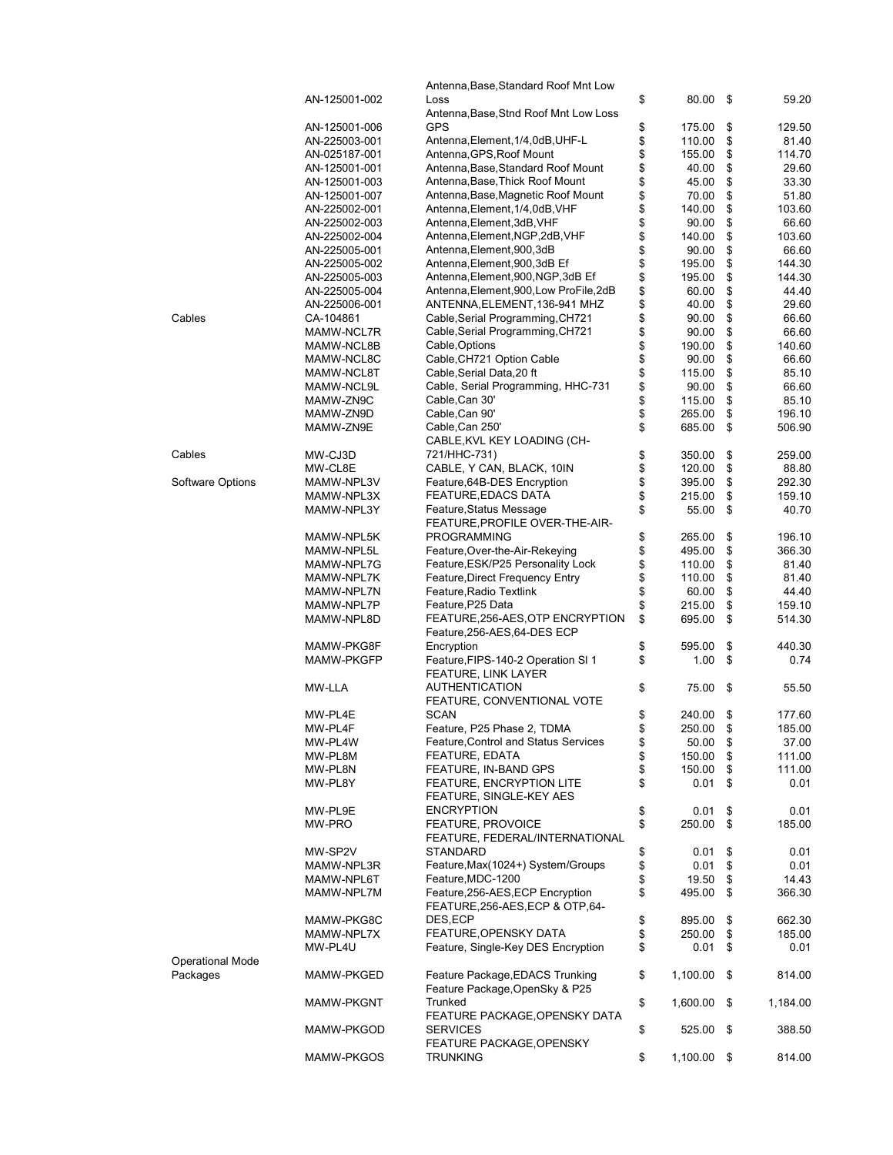|                         |                   | Antenna, Base, Standard Roof Mnt Low        |          |          |                |
|-------------------------|-------------------|---------------------------------------------|----------|----------|----------------|
|                         | AN-125001-002     | Loss                                        | \$       | 80.00    | \$<br>59.20    |
|                         |                   | Antenna, Base, Stnd Roof Mnt Low Loss       |          |          |                |
|                         | AN-125001-006     | GPS                                         | \$\$     | 175.00   | \$<br>129.50   |
|                         | AN-225003-001     | Antenna, Element, 1/4, 0dB, UHF-L           |          | 110.00   | \$<br>81.40    |
|                         | AN-025187-001     | Antenna, GPS, Roof Mount                    |          | 155.00   | \$<br>114.70   |
|                         | AN-125001-001     | Antenna, Base, Standard Roof Mount          | \$       | 40.00    | \$<br>29.60    |
|                         | AN-125001-003     | Antenna, Base, Thick Roof Mount             | \$       | 45.00    | \$<br>33.30    |
|                         | AN-125001-007     | Antenna, Base, Magnetic Roof Mount          | \$       | 70.00    | \$<br>51.80    |
|                         | AN-225002-001     | Antenna, Element, 1/4, 0dB, VHF             | \$       | 140.00   | \$<br>103.60   |
|                         | AN-225002-003     | Antenna, Element, 3dB, VHF                  | \$       | 90.00    | \$<br>66.60    |
|                         | AN-225002-004     | Antenna, Element, NGP, 2dB, VHF             | \$       | 140.00   | \$<br>103.60   |
|                         | AN-225005-001     | Antenna, Element, 900, 3dB                  | \$<br>\$ | 90.00    | \$<br>66.60    |
|                         | AN-225005-002     | Antenna, Element, 900, 3dB Ef               |          | 195.00   | \$<br>144.30   |
|                         | AN-225005-003     | Antenna, Element, 900, NGP, 3dB Ef          | \$       | 195.00   | \$<br>144.30   |
|                         | AN-225005-004     | Antenna, Element, 900, Low ProFile, 2dB     | \$       | 60.00    | \$<br>44.40    |
|                         | AN-225006-001     | ANTENNA, ELEMENT, 136-941 MHZ               | \$       | 40.00    | \$<br>29.60    |
| Cables                  | CA-104861         | Cable, Serial Programming, CH721            | \$       | 90.00    | \$<br>66.60    |
|                         | MAMW-NCL7R        | Cable, Serial Programming, CH721            | \$       | 90.00    | \$<br>66.60    |
|                         | MAMW-NCL8B        | Cable, Options                              | \$       | 190.00   | \$<br>140.60   |
|                         | MAMW-NCL8C        | Cable, CH721 Option Cable                   | \$       | 90.00    | \$<br>66.60    |
|                         | MAMW-NCL8T        | Cable, Serial Data, 20 ft                   |          | 115.00   | \$<br>85.10    |
|                         | MAMW-NCL9L        | Cable, Serial Programming, HHC-731          | \$<br>\$ | 90.00    | \$<br>66.60    |
|                         | MAMW-ZN9C         | Cable, Can 30'                              | \$       | 115.00   | \$<br>85.10    |
|                         | MAMW-ZN9D         | Cable, Can 90'                              | \$       | 265.00   | \$<br>196.10   |
|                         | MAMW-ZN9E         | Cable, Can 250'                             | \$       | 685.00   | \$<br>506.90   |
|                         |                   | CABLE, KVL KEY LOADING (CH-                 |          |          |                |
| Cables                  | MW-CJ3D           | 721/HHC-731)                                | \$       | 350.00   | \$<br>259.00   |
|                         | MW-CL8E           | CABLE, Y CAN, BLACK, 10IN                   | \$       | 120.00   | \$<br>88.80    |
| Software Options        | MAMW-NPL3V        | Feature, 64B-DES Encryption                 | \$       | 395.00   | \$<br>292.30   |
|                         | MAMW-NPL3X        | <b>FEATURE, EDACS DATA</b>                  | \$       | 215.00   | \$<br>159.10   |
|                         | MAMW-NPL3Y        | Feature, Status Message                     | \$       | 55.00    | \$<br>40.70    |
|                         |                   | FEATURE, PROFILE OVER-THE-AIR-              |          |          |                |
|                         | MAMW-NPL5K        | <b>PROGRAMMING</b>                          | \$       | 265.00   | \$<br>196.10   |
|                         | MAMW-NPL5L        | Feature, Over-the-Air-Rekeying              | \$       | 495.00   | \$<br>366.30   |
|                         | MAMW-NPL7G        | Feature, ESK/P25 Personality Lock           | \$       | 110.00   | \$<br>81.40    |
|                         | MAMW-NPL7K        | Feature, Direct Frequency Entry             | \$       | 110.00   | \$<br>81.40    |
|                         | MAMW-NPL7N        | Feature, Radio Textlink                     | \$       | 60.00    | \$<br>44.40    |
|                         | MAMW-NPL7P        | Feature, P25 Data                           | \$       | 215.00   | \$<br>159.10   |
|                         |                   |                                             | \$       |          | \$             |
|                         | MAMW-NPL8D        | FEATURE, 256-AES, OTP ENCRYPTION            |          | 695.00   | 514.30         |
|                         |                   | Feature, 256-AES, 64-DES ECP                |          |          |                |
|                         | MAMW-PKG8F        | Encryption                                  | \$       | 595.00   | \$<br>440.30   |
|                         | <b>MAMW-PKGFP</b> | Feature, FIPS-140-2 Operation SI 1          | \$       | 1.00     | \$<br>0.74     |
|                         |                   | <b>FEATURE, LINK LAYER</b>                  |          |          |                |
|                         | MW-LLA            | <b>AUTHENTICATION</b>                       | \$       | 75.00    | \$<br>55.50    |
|                         |                   | FEATURE, CONVENTIONAL VOTE                  |          |          |                |
|                         | MW-PL4E           | SCAN                                        | \$       | 240.00   | \$<br>177.60   |
|                         | MW-PL4F           | Feature, P25 Phase 2, TDMA                  | \$       | 250.00   | \$<br>185.00   |
|                         | MW-PL4W           | <b>Feature, Control and Status Services</b> | \$       | 50.00    | \$<br>37.00    |
|                         | MW-PL8M           | <b>FEATURE, EDATA</b>                       | \$       | 150.00   | \$<br>111.00   |
|                         | MW-PL8N           | FEATURE, IN-BAND GPS                        | \$       | 150.00   | \$<br>111.00   |
|                         | MW-PL8Y           | FEATURE, ENCRYPTION LITE                    | \$       | 0.01     | \$<br>0.01     |
|                         |                   | FEATURE, SINGLE-KEY AES                     |          |          |                |
|                         | MW-PL9E           | <b>ENCRYPTION</b>                           | \$       | 0.01     | \$<br>0.01     |
|                         | MW-PRO            | <b>FEATURE, PROVOICE</b>                    | \$       | 250.00   | \$<br>185.00   |
|                         |                   | FEATURE, FEDERAL/INTERNATIONAL              |          |          |                |
|                         | MW-SP2V           | STANDARD                                    | \$       | 0.01     | \$<br>0.01     |
|                         | MAMW-NPL3R        | Feature, Max(1024+) System/Groups           | \$       | 0.01     | \$<br>0.01     |
|                         | MAMW-NPL6T        | Feature, MDC-1200                           | \$       | 19.50    | \$<br>14.43    |
|                         | MAMW-NPL7M        | Feature, 256-AES, ECP Encryption            | \$       | 495.00   | \$<br>366.30   |
|                         |                   | FEATURE, 256-AES, ECP & OTP, 64-            |          |          |                |
|                         | MAMW-PKG8C        | DES,ECP                                     | \$       | 895.00   | \$<br>662.30   |
|                         | MAMW-NPL7X        | FEATURE, OPENSKY DATA                       | \$       | 250.00   | \$<br>185.00   |
|                         | MW-PL4U           | Feature, Single-Key DES Encryption          | \$       | 0.01     | \$<br>0.01     |
| <b>Operational Mode</b> |                   |                                             |          |          |                |
| Packages                | MAMW-PKGED        | Feature Package, EDACS Trunking             | \$       | 1,100.00 | \$<br>814.00   |
|                         |                   | Feature Package, OpenSky & P25              |          |          |                |
|                         | <b>MAMW-PKGNT</b> | Trunked                                     | \$       | 1,600.00 | \$<br>1,184.00 |
|                         |                   | FEATURE PACKAGE, OPENSKY DATA               |          |          |                |
|                         | MAMW-PKGOD        | <b>SERVICES</b>                             | \$       | 525.00   | \$<br>388.50   |
|                         |                   | FEATURE PACKAGE, OPENSKY                    |          |          |                |
|                         | MAMW-PKGOS        | TRUNKING                                    | \$       | 1,100.00 | \$<br>814.00   |
|                         |                   |                                             |          |          |                |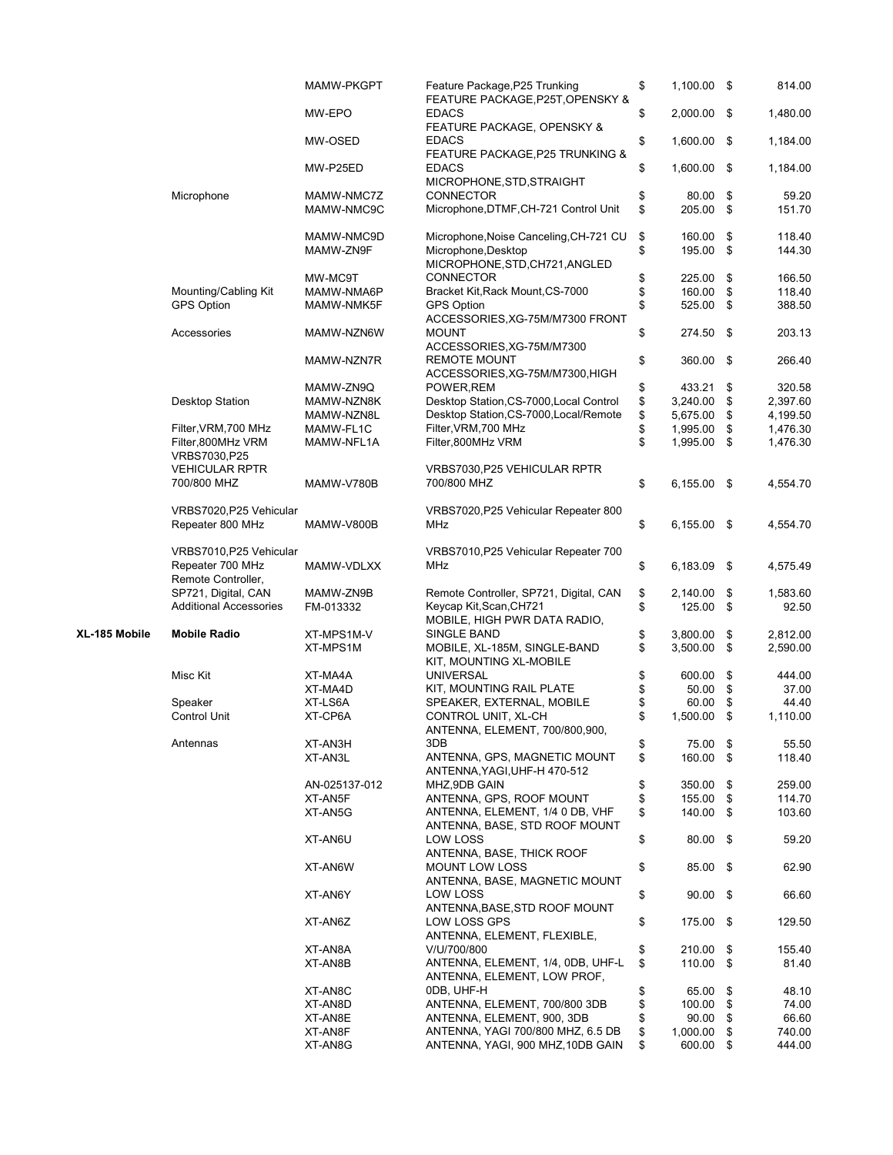|               |                                        | MAMW-PKGPT    | Feature Package, P25 Trunking<br>FEATURE PACKAGE, P25T, OPENSKY & | \$<br>1,100.00 \$   | 814.00         |
|---------------|----------------------------------------|---------------|-------------------------------------------------------------------|---------------------|----------------|
|               |                                        | MW-EPO        | <b>EDACS</b><br>FEATURE PACKAGE, OPENSKY &                        | \$<br>2,000.00 \$   | 1,480.00       |
|               |                                        | MW-OSED       | <b>EDACS</b><br>FEATURE PACKAGE, P25 TRUNKING &                   | \$<br>1,600.00 \$   | 1,184.00       |
|               |                                        | MW-P25ED      | <b>EDACS</b><br>MICROPHONE, STD, STRAIGHT                         | \$<br>1,600.00 \$   | 1,184.00       |
|               | Microphone                             | MAMW-NMC7Z    | <b>CONNECTOR</b>                                                  | \$<br>80.00         | \$<br>59.20    |
|               |                                        | MAMW-NMC9C    | Microphone, DTMF, CH-721 Control Unit                             | \$<br>205.00        | \$<br>151.70   |
|               |                                        | MAMW-NMC9D    | Microphone, Noise Canceling, CH-721 CU                            | \$<br>160.00        | \$<br>118.40   |
|               |                                        | MAMW-ZN9F     | Microphone, Desktop<br>MICROPHONE, STD, CH721, ANGLED             | \$<br>195.00        | \$<br>144.30   |
|               |                                        | MW-MC9T       | <b>CONNECTOR</b>                                                  | \$<br>225.00        | \$<br>166.50   |
|               | Mounting/Cabling Kit                   | MAMW-NMA6P    | Bracket Kit, Rack Mount, CS-7000                                  | \$<br>160.00        | \$<br>118.40   |
|               | <b>GPS Option</b>                      | MAMW-NMK5F    | <b>GPS Option</b><br>ACCESSORIES, XG-75M/M7300 FRONT              | \$<br>525.00        | \$<br>388.50   |
|               | Accessories                            | MAMW-NZN6W    | <b>MOUNT</b><br>ACCESSORIES, XG-75M/M7300                         | \$<br>274.50 \$     | 203.13         |
|               |                                        | MAMW-NZN7R    | <b>REMOTE MOUNT</b><br>ACCESSORIES, XG-75M/M7300, HIGH            | \$<br>360.00        | \$<br>266.40   |
|               |                                        | MAMW-ZN9Q     | POWER, REM                                                        | \$<br>433.21        | \$<br>320.58   |
|               | <b>Desktop Station</b>                 | MAMW-NZN8K    | Desktop Station, CS-7000, Local Control                           | \$<br>3,240.00      | \$<br>2,397.60 |
|               |                                        | MAMW-NZN8L    | Desktop Station, CS-7000, Local/Remote                            | \$<br>5,675.00      | \$<br>4,199.50 |
|               | Filter, VRM, 700 MHz                   | MAMW-FL1C     | Filter, VRM, 700 MHz                                              | \$<br>1,995.00      | \$<br>1,476.30 |
|               | Filter,800MHz VRM<br>VRBS7030, P25     | MAMW-NFL1A    | Filter, 800MHz VRM                                                | \$<br>1,995.00      | \$<br>1,476.30 |
|               | <b>VEHICULAR RPTR</b>                  |               | VRBS7030, P25 VEHICULAR RPTR                                      |                     |                |
|               | 700/800 MHZ                            | MAMW-V780B    | 700/800 MHZ                                                       | \$<br>6,155.00 \$   | 4,554.70       |
|               | VRBS7020, P25 Vehicular                |               | VRBS7020, P25 Vehicular Repeater 800                              |                     |                |
|               | Repeater 800 MHz                       | MAMW-V800B    | MHz                                                               | \$<br>$6,155.00$ \$ | 4,554.70       |
|               | VRBS7010, P25 Vehicular                |               | VRBS7010, P25 Vehicular Repeater 700                              |                     |                |
|               | Repeater 700 MHz<br>Remote Controller, | MAMW-VDLXX    | MHz                                                               | \$<br>6,183.09      | \$<br>4,575.49 |
|               | SP721, Digital, CAN                    | MAMW-ZN9B     | Remote Controller, SP721, Digital, CAN                            | \$<br>2,140.00      | \$<br>1,583.60 |
|               | <b>Additional Accessories</b>          | FM-013332     | Keycap Kit, Scan, CH721<br>MOBILE, HIGH PWR DATA RADIO,           | \$<br>125.00        | \$<br>92.50    |
| XL-185 Mobile | <b>Mobile Radio</b>                    | XT-MPS1M-V    | SINGLE BAND                                                       | \$<br>3,800.00      | \$<br>2,812.00 |
|               |                                        | XT-MPS1M      | MOBILE, XL-185M, SINGLE-BAND<br>KIT, MOUNTING XL-MOBILE           | \$<br>3,500.00      | \$<br>2,590.00 |
|               | Misc Kit                               | XT-MA4A       | <b>UNIVERSAL</b>                                                  | \$<br>600.00        | \$<br>444.00   |
|               |                                        | XT-MA4D       | KIT, MOUNTING RAIL PLATE                                          | \$<br>50.00         | \$<br>37.00    |
|               | Speaker                                | XT-LS6A       | SPEAKER, EXTERNAL, MOBILE                                         | \$<br>60.00         | \$<br>44.40    |
|               | <b>Control Unit</b>                    | XT-CP6A       | CONTROL UNIT, XL-CH<br>ANTENNA, ELEMENT, 700/800,900,             | \$<br>1,500.00      | \$<br>1,110.00 |
|               | Antennas                               | XT-AN3H       | 3DB                                                               | \$<br>75.00         | \$<br>55.50    |
|               |                                        | XT-AN3L       | ANTENNA, GPS, MAGNETIC MOUNT<br>ANTENNA, YAGI, UHF-H 470-512      | \$<br>160.00 \$     | 118.40         |
|               |                                        | AN-025137-012 | MHZ,9DB GAIN                                                      | \$<br>350.00        | \$<br>259.00   |
|               |                                        | XT-AN5F       | ANTENNA, GPS, ROOF MOUNT                                          | \$<br>155.00        | \$<br>114.70   |
|               |                                        | XT-AN5G       | ANTENNA, ELEMENT, 1/4 0 DB, VHF<br>ANTENNA, BASE, STD ROOF MOUNT  | \$<br>140.00        | \$<br>103.60   |
|               |                                        | XT-AN6U       | LOW LOSS<br>ANTENNA, BASE, THICK ROOF                             | \$<br>80.00         | \$<br>59.20    |
|               |                                        | XT-AN6W       | <b>MOUNT LOW LOSS</b><br>ANTENNA, BASE, MAGNETIC MOUNT            | \$<br>85.00 \$      | 62.90          |
|               |                                        | XT-AN6Y       | LOW LOSS<br>ANTENNA, BASE, STD ROOF MOUNT                         | \$<br>$90.00$ \$    | 66.60          |
|               |                                        | XT-AN6Z       | LOW LOSS GPS<br>ANTENNA, ELEMENT, FLEXIBLE,                       | \$<br>175.00        | \$<br>129.50   |
|               |                                        | XT-AN8A       | V/U/700/800                                                       | \$<br>210.00        | \$<br>155.40   |
|               |                                        | XT-AN8B       | ANTENNA, ELEMENT, 1/4, 0DB, UHF-L<br>ANTENNA, ELEMENT, LOW PROF,  | \$<br>110.00 \$     | 81.40          |
|               |                                        | XT-AN8C       | ODB, UHF-H                                                        | \$<br>65.00         | \$<br>48.10    |
|               |                                        | XT-AN8D       | ANTENNA, ELEMENT, 700/800 3DB                                     | \$<br>100.00        | \$<br>74.00    |
|               |                                        | XT-AN8E       | ANTENNA, ELEMENT, 900, 3DB                                        | \$<br>90.00         | \$<br>66.60    |
|               |                                        | XT-AN8F       | ANTENNA, YAGI 700/800 MHZ, 6.5 DB                                 | \$<br>1,000.00      | \$<br>740.00   |
|               |                                        | XT-AN8G       | ANTENNA, YAGI, 900 MHZ, 10DB GAIN                                 | \$<br>600.00        | \$<br>444.00   |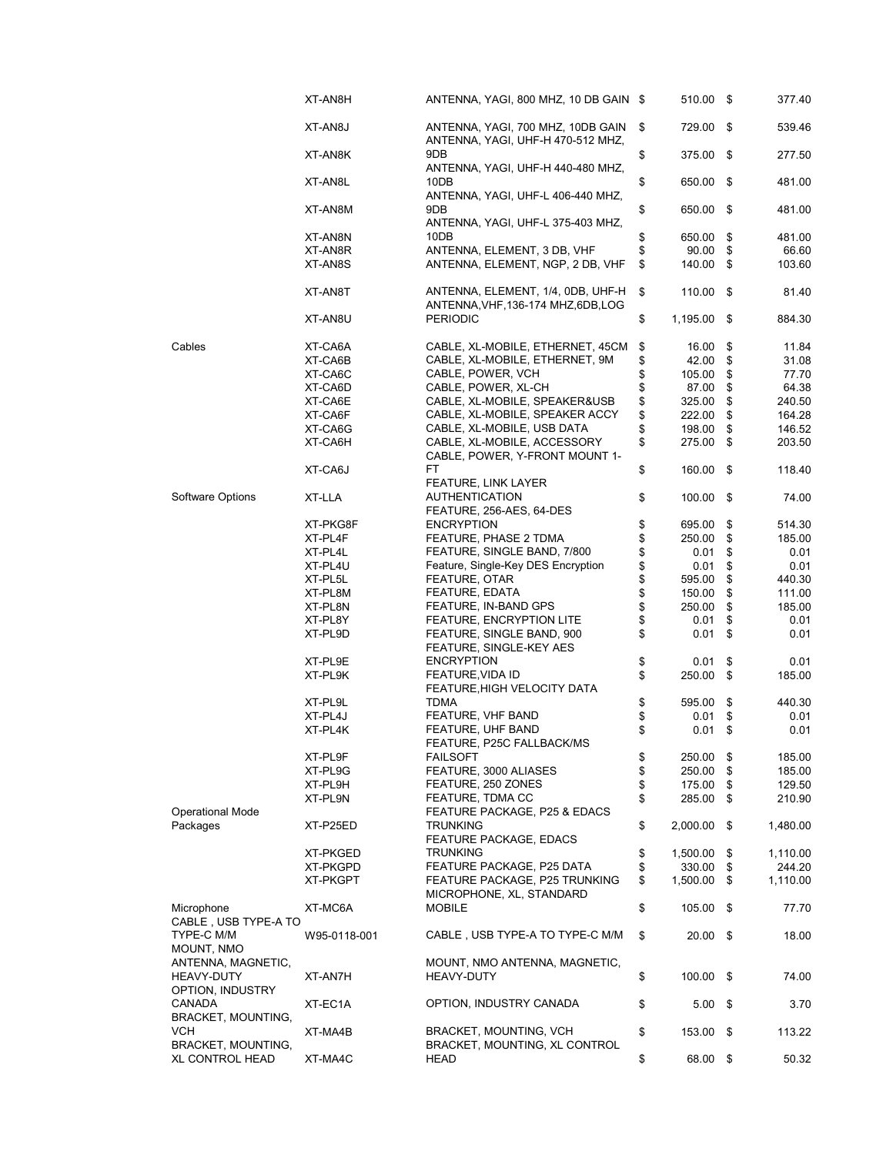|                                  | XT-AN8H      | ANTENNA, YAGI, 800 MHZ, 10 DB GAIN \$                                    | 510.00 \$         |      | 377.40   |
|----------------------------------|--------------|--------------------------------------------------------------------------|-------------------|------|----------|
|                                  | XT-AN8J      | ANTENNA, YAGI, 700 MHZ, 10DB GAIN<br>ANTENNA, YAGI, UHF-H 470-512 MHZ,   | \$<br>729.00 \$   |      | 539.46   |
|                                  | XT-AN8K      | 9DB<br>ANTENNA, YAGI, UHF-H 440-480 MHZ,                                 | \$<br>375.00      | - \$ | 277.50   |
|                                  | XT-AN8L      | 10DB<br>ANTENNA, YAGI, UHF-L 406-440 MHZ,                                | \$<br>650.00      | - \$ | 481.00   |
|                                  | XT-AN8M      | 9DB<br>ANTENNA, YAGI, UHF-L 375-403 MHZ,                                 | \$<br>650.00 \$   |      | 481.00   |
|                                  | XT-AN8N      | 10DB                                                                     | \$<br>650.00      | \$   | 481.00   |
|                                  | XT-AN8R      | ANTENNA, ELEMENT, 3 DB, VHF                                              | \$<br>90.00       | \$   | 66.60    |
|                                  | XT-AN8S      | ANTENNA, ELEMENT, NGP, 2 DB, VHF                                         | \$<br>140.00 \$   |      | 103.60   |
|                                  | XT-AN8T      | ANTENNA, ELEMENT, 1/4, 0DB, UHF-H<br>ANTENNA, VHF, 136-174 MHZ, 6DB, LOG | \$<br>110.00      | - \$ | 81.40    |
|                                  | XT-AN8U      | <b>PERIODIC</b>                                                          | \$<br>1,195.00 \$ |      | 884.30   |
| Cables                           | XT-CA6A      | CABLE, XL-MOBILE, ETHERNET, 45CM                                         | \$<br>16.00       | \$   | 11.84    |
|                                  | XT-CA6B      | CABLE, XL-MOBILE, ETHERNET, 9M                                           | \$<br>42.00       | \$   | 31.08    |
|                                  | XT-CA6C      | CABLE, POWER, VCH                                                        | \$<br>105.00      | \$   | 77.70    |
|                                  | XT-CA6D      | CABLE, POWER, XL-CH                                                      | \$<br>87.00       | \$   | 64.38    |
|                                  |              |                                                                          |                   |      |          |
|                                  | XT-CA6E      | CABLE, XL-MOBILE, SPEAKER&USB                                            | \$<br>325.00      | \$   | 240.50   |
|                                  | XT-CA6F      | CABLE, XL-MOBILE, SPEAKER ACCY                                           | \$<br>222.00      | \$   | 164.28   |
|                                  | XT-CA6G      | CABLE, XL-MOBILE, USB DATA                                               | \$<br>198.00      | \$   | 146.52   |
|                                  | XT-CA6H      | CABLE, XL-MOBILE, ACCESSORY<br>CABLE, POWER, Y-FRONT MOUNT 1-            | \$<br>275.00      | \$   | 203.50   |
|                                  | XT-CA6J      | FT                                                                       | \$<br>160.00      | - \$ | 118.40   |
| Software Options                 | XT-LLA       | FEATURE, LINK LAYER<br><b>AUTHENTICATION</b><br>FEATURE, 256-AES, 64-DES | \$<br>100.00      | - \$ | 74.00    |
|                                  | XT-PKG8F     | <b>ENCRYPTION</b>                                                        | \$<br>695.00      | \$   | 514.30   |
|                                  | XT-PL4F      | FEATURE, PHASE 2 TDMA                                                    | \$<br>250.00      | \$   | 185.00   |
|                                  | XT-PL4L      | FEATURE, SINGLE BAND, 7/800                                              | \$<br>0.01        | \$   | 0.01     |
|                                  |              | Feature, Single-Key DES Encryption                                       | \$                |      |          |
|                                  | XT-PL4U      |                                                                          | 0.01              | \$   | 0.01     |
|                                  | XT-PL5L      | FEATURE, OTAR                                                            | \$<br>595.00      | \$   | 440.30   |
|                                  | XT-PL8M      | FEATURE, EDATA                                                           | \$<br>150.00      | \$   | 111.00   |
|                                  | XT-PL8N      | FEATURE, IN-BAND GPS                                                     | \$<br>250.00      | \$   | 185.00   |
|                                  | XT-PL8Y      | FEATURE, ENCRYPTION LITE                                                 | \$<br>0.01        | \$   | 0.01     |
|                                  | XT-PL9D      | FEATURE, SINGLE BAND, 900<br>FEATURE, SINGLE-KEY AES                     | \$<br>0.01        | \$   | 0.01     |
|                                  | XT-PL9E      | <b>ENCRYPTION</b>                                                        | \$<br>0.01        | \$   | 0.01     |
|                                  | XT-PL9K      | FEATURE, VIDA ID                                                         | \$<br>250.00      | \$   | 185.00   |
|                                  |              | FEATURE, HIGH VELOCITY DATA                                              |                   |      |          |
|                                  | XT-PL9L      | <b>TDMA</b>                                                              | \$<br>595.00      | \$   | 440.30   |
|                                  | XT-PL4J      | FEATURE, VHF BAND                                                        | \$<br>0.01        | \$   | 0.01     |
|                                  | XT-PL4K      | FEATURE, UHF BAND<br>FEATURE, P25C FALLBACK/MS                           | \$<br>0.01        | \$   | 0.01     |
|                                  | XT-PL9F      | <b>FAILSOFT</b>                                                          | \$<br>250.00      | \$   | 185.00   |
|                                  | XT-PL9G      | FEATURE, 3000 ALIASES                                                    | \$<br>250.00      | \$   | 185.00   |
|                                  | XT-PL9H      |                                                                          |                   |      | 129.50   |
|                                  |              | FEATURE, 250 ZONES                                                       | \$<br>175.00      | \$   |          |
| <b>Operational Mode</b>          | XT-PL9N      | FEATURE, TDMA CC<br>FEATURE PACKAGE, P25 & EDACS                         | \$<br>285.00      | \$   | 210.90   |
| Packages                         | XT-P25ED     | <b>TRUNKING</b><br><b>FEATURE PACKAGE, EDACS</b>                         | \$<br>2,000.00    | \$   | 1,480.00 |
|                                  | XT-PKGED     | <b>TRUNKING</b>                                                          | \$<br>1,500.00    | \$   | 1,110.00 |
|                                  | XT-PKGPD     | FEATURE PACKAGE, P25 DATA                                                | \$<br>330.00      | \$   | 244.20   |
|                                  | XT-PKGPT     | FEATURE PACKAGE, P25 TRUNKING                                            | \$<br>1,500.00    | \$   | 1,110.00 |
| Microphone                       | XT-MC6A      | MICROPHONE, XL, STANDARD<br><b>MOBILE</b>                                | \$<br>105.00      | -\$  | 77.70    |
| CABLE, USB TYPE-A TO             |              |                                                                          |                   |      |          |
| TYPE-C M/M<br>MOUNT, NMO         | W95-0118-001 | CABLE, USB TYPE-A TO TYPE-C M/M                                          | \$<br>$20.00$ \$  |      | 18.00    |
| ANTENNA, MAGNETIC,               |              | MOUNT, NMO ANTENNA, MAGNETIC,                                            |                   |      |          |
| <b>HEAVY-DUTY</b>                | XT-AN7H      | HEAVY-DUTY                                                               | \$<br>100.00      | - \$ | 74.00    |
| OPTION, INDUSTRY                 |              |                                                                          |                   |      |          |
| CANADA                           | XT-EC1A      | OPTION, INDUSTRY CANADA                                                  | \$<br>$5.00$ \$   |      | 3.70     |
| BRACKET, MOUNTING,<br><b>VCH</b> | XT-MA4B      | BRACKET, MOUNTING, VCH                                                   | \$<br>153.00 \$   |      | 113.22   |
| BRACKET, MOUNTING,               |              | BRACKET, MOUNTING, XL CONTROL                                            |                   |      |          |
| <b>XL CONTROL HEAD</b>           | XT-MA4C      | HEAD                                                                     | \$<br>68.00 \$    |      | 50.32    |
|                                  |              |                                                                          |                   |      |          |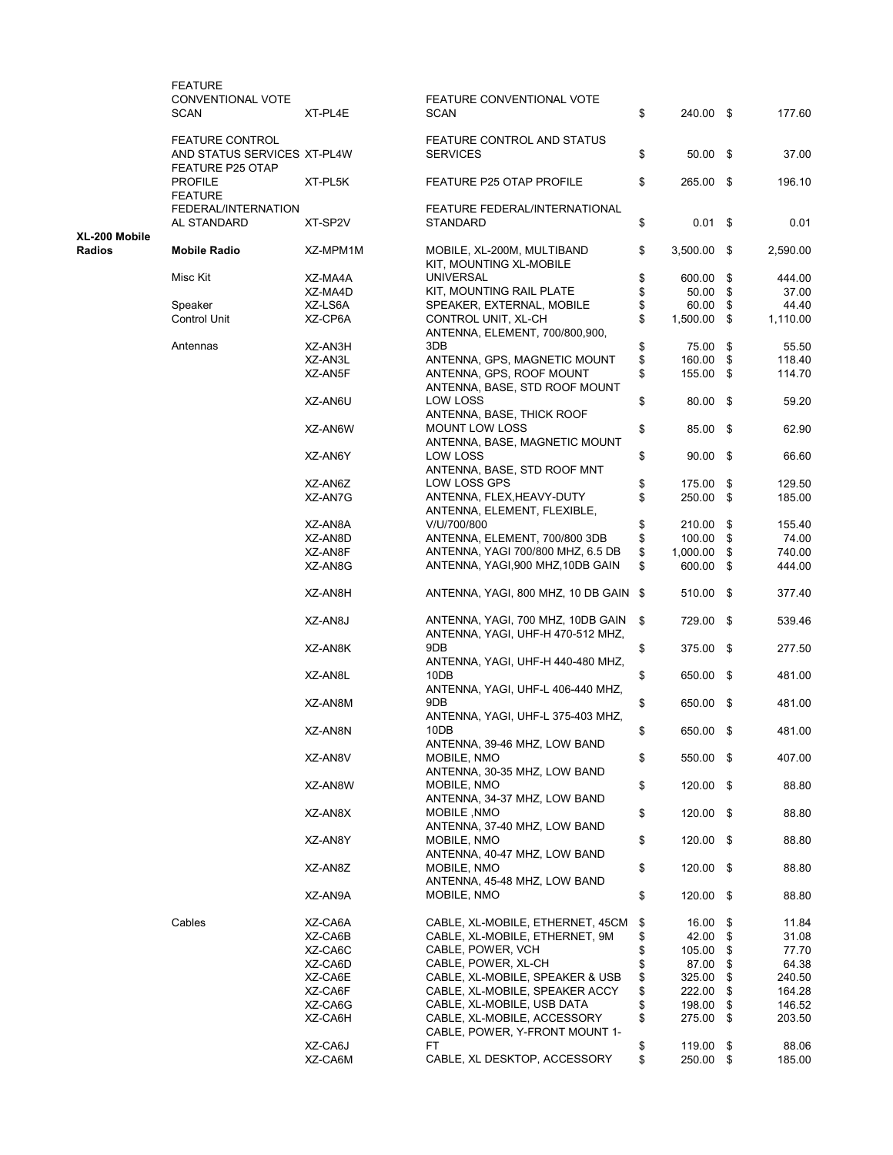|                         | <b>FEATURE</b><br>CONVENTIONAL VOTE<br>SCAN            | XT-PL4E  | FEATURE CONVENTIONAL VOTE<br><b>SCAN</b>                               | \$<br>240.00 \$     | 177.60         |
|-------------------------|--------------------------------------------------------|----------|------------------------------------------------------------------------|---------------------|----------------|
|                         | <b>FEATURE CONTROL</b>                                 |          | FEATURE CONTROL AND STATUS                                             |                     |                |
|                         | AND STATUS SERVICES XT-PL4W<br><b>FEATURE P25 OTAP</b> |          | <b>SERVICES</b>                                                        | \$<br>$50.00$ \$    | 37.00          |
|                         | <b>PROFILE</b><br><b>FEATURE</b>                       | XT-PL5K  | <b>FEATURE P25 OTAP PROFILE</b>                                        | \$<br>265.00 \$     | 196.10         |
|                         | FEDERAL/INTERNATION<br>AL STANDARD                     | XT-SP2V  | FEATURE FEDERAL/INTERNATIONAL<br><b>STANDARD</b>                       | \$<br>$0.01$ \$     | 0.01           |
| XL-200 Mobile<br>Radios | <b>Mobile Radio</b>                                    | XZ-MPM1M | MOBILE, XL-200M, MULTIBAND<br>KIT, MOUNTING XL-MOBILE                  | \$<br>$3,500.00$ \$ | 2,590.00       |
|                         | Misc Kit                                               | XZ-MA4A  | <b>UNIVERSAL</b>                                                       | \$<br>600.00        | \$<br>444.00   |
|                         |                                                        | XZ-MA4D  | KIT, MOUNTING RAIL PLATE                                               | \$<br>50.00         | \$<br>37.00    |
|                         | Speaker                                                | XZ-LS6A  | SPEAKER, EXTERNAL, MOBILE                                              | \$<br>60.00         | \$<br>44.40    |
|                         | <b>Control Unit</b>                                    | XZ-CP6A  | CONTROL UNIT, XL-CH<br>ANTENNA, ELEMENT, 700/800,900,                  | \$<br>1,500.00      | \$<br>1,110.00 |
|                         | Antennas                                               | XZ-AN3H  | 3DB                                                                    | \$<br>75.00         | \$<br>55.50    |
|                         |                                                        | XZ-AN3L  | ANTENNA, GPS, MAGNETIC MOUNT                                           | \$<br>160.00        | \$<br>118.40   |
|                         |                                                        | XZ-AN5F  | ANTENNA, GPS, ROOF MOUNT                                               | \$<br>155.00 \$     | 114.70         |
|                         |                                                        | XZ-AN6U  | ANTENNA, BASE, STD ROOF MOUNT<br>LOW LOSS                              | \$<br>80.00 \$      | 59.20          |
|                         |                                                        | XZ-AN6W  | ANTENNA, BASE, THICK ROOF<br><b>MOUNT LOW LOSS</b>                     | \$<br>85.00 \$      | 62.90          |
|                         |                                                        | XZ-AN6Y  | ANTENNA, BASE, MAGNETIC MOUNT<br>LOW LOSS                              | \$<br>$90.00$ \$    | 66.60          |
|                         |                                                        | XZ-AN6Z  | ANTENNA, BASE, STD ROOF MNT<br><b>LOW LOSS GPS</b>                     | \$<br>175.00        | \$<br>129.50   |
|                         |                                                        | XZ-AN7G  | ANTENNA, FLEX, HEAVY-DUTY                                              | \$<br>250.00 \$     | 185.00         |
|                         |                                                        |          | ANTENNA, ELEMENT, FLEXIBLE,                                            |                     |                |
|                         |                                                        | XZ-AN8A  | V/U/700/800                                                            | \$<br>210.00        | \$<br>155.40   |
|                         |                                                        | XZ-AN8D  | ANTENNA, ELEMENT, 700/800 3DB                                          | \$<br>100.00        | \$<br>74.00    |
|                         |                                                        | XZ-AN8F  | ANTENNA, YAGI 700/800 MHZ, 6.5 DB                                      | \$<br>1,000.00      | \$<br>740.00   |
|                         |                                                        | XZ-AN8G  | ANTENNA, YAGI,900 MHZ,10DB GAIN                                        | \$<br>600.00        | \$<br>444.00   |
|                         |                                                        | XZ-AN8H  | ANTENNA, YAGI, 800 MHZ, 10 DB GAIN \$                                  | 510.00 \$           | 377.40         |
|                         |                                                        | XZ-AN8J  | ANTENNA, YAGI, 700 MHZ, 10DB GAIN<br>ANTENNA, YAGI, UHF-H 470-512 MHZ, | \$<br>729.00 \$     | 539.46         |
|                         |                                                        | XZ-AN8K  | 9DB<br>ANTENNA, YAGI, UHF-H 440-480 MHZ,                               | \$<br>375.00 \$     | 277.50         |
|                         |                                                        | XZ-AN8L  | 10DB<br>ANTENNA, YAGI, UHF-L 406-440 MHZ,                              | \$<br>650.00 \$     | 481.00         |
|                         |                                                        | XZ-AN8M  | 9DB<br>ANTENNA, YAGI, UHF-L 375-403 MHZ,                               | \$<br>650.00 \$     | 481.00         |
|                         |                                                        | XZ-AN8N  | 10DB<br>ANTENNA, 39-46 MHZ, LOW BAND                                   | \$<br>650.00 \$     | 481.00         |
|                         |                                                        | XZ-AN8V  | MOBILE, NMO<br>ANTENNA, 30-35 MHZ, LOW BAND                            | \$<br>550.00 \$     | 407.00         |
|                         |                                                        | XZ-AN8W  | MOBILE, NMO<br>ANTENNA, 34-37 MHZ, LOW BAND                            | \$<br>120.00 \$     | 88.80          |
|                         |                                                        | XZ-AN8X  | MOBILE, NMO<br>ANTENNA, 37-40 MHZ, LOW BAND                            | \$<br>$120.00$ \$   | 88.80          |
|                         |                                                        | XZ-AN8Y  | MOBILE, NMO<br>ANTENNA, 40-47 MHZ, LOW BAND                            | \$<br>$120.00$ \$   | 88.80          |
|                         |                                                        | XZ-AN8Z  | MOBILE, NMO<br>ANTENNA, 45-48 MHZ, LOW BAND                            | \$<br>$120.00$ \$   | 88.80          |
|                         |                                                        | XZ-AN9A  | MOBILE, NMO                                                            | \$<br>$120.00$ \$   | 88.80          |
|                         | Cables                                                 | XZ-CA6A  | CABLE, XL-MOBILE, ETHERNET, 45CM                                       | \$<br>16.00         | \$<br>11.84    |
|                         |                                                        | XZ-CA6B  | CABLE, XL-MOBILE, ETHERNET, 9M                                         | \$<br>42.00         | \$<br>31.08    |
|                         |                                                        | XZ-CA6C  | CABLE, POWER, VCH                                                      | \$<br>105.00        | \$<br>77.70    |
|                         |                                                        | XZ-CA6D  | CABLE, POWER, XL-CH                                                    | \$<br>87.00         | \$<br>64.38    |
|                         |                                                        | XZ-CA6E  | CABLE, XL-MOBILE, SPEAKER & USB                                        | \$<br>325.00        | \$<br>240.50   |
|                         |                                                        | XZ-CA6F  | CABLE, XL-MOBILE, SPEAKER ACCY                                         | \$<br>222.00        | \$<br>164.28   |
|                         |                                                        |          |                                                                        |                     |                |
|                         |                                                        | XZ-CA6G  | CABLE, XL-MOBILE, USB DATA                                             | \$<br>198.00        | \$<br>146.52   |
|                         |                                                        | XZ-CA6H  | CABLE, XL-MOBILE, ACCESSORY<br>CABLE, POWER, Y-FRONT MOUNT 1-          | \$<br>275.00 \$     | 203.50         |
|                         |                                                        | XZ-CA6J  | FT                                                                     | \$<br>119.00        | \$<br>88.06    |
|                         |                                                        | XZ-CA6M  | CABLE, XL DESKTOP, ACCESSORY                                           | \$<br>250.00 \$     | 185.00         |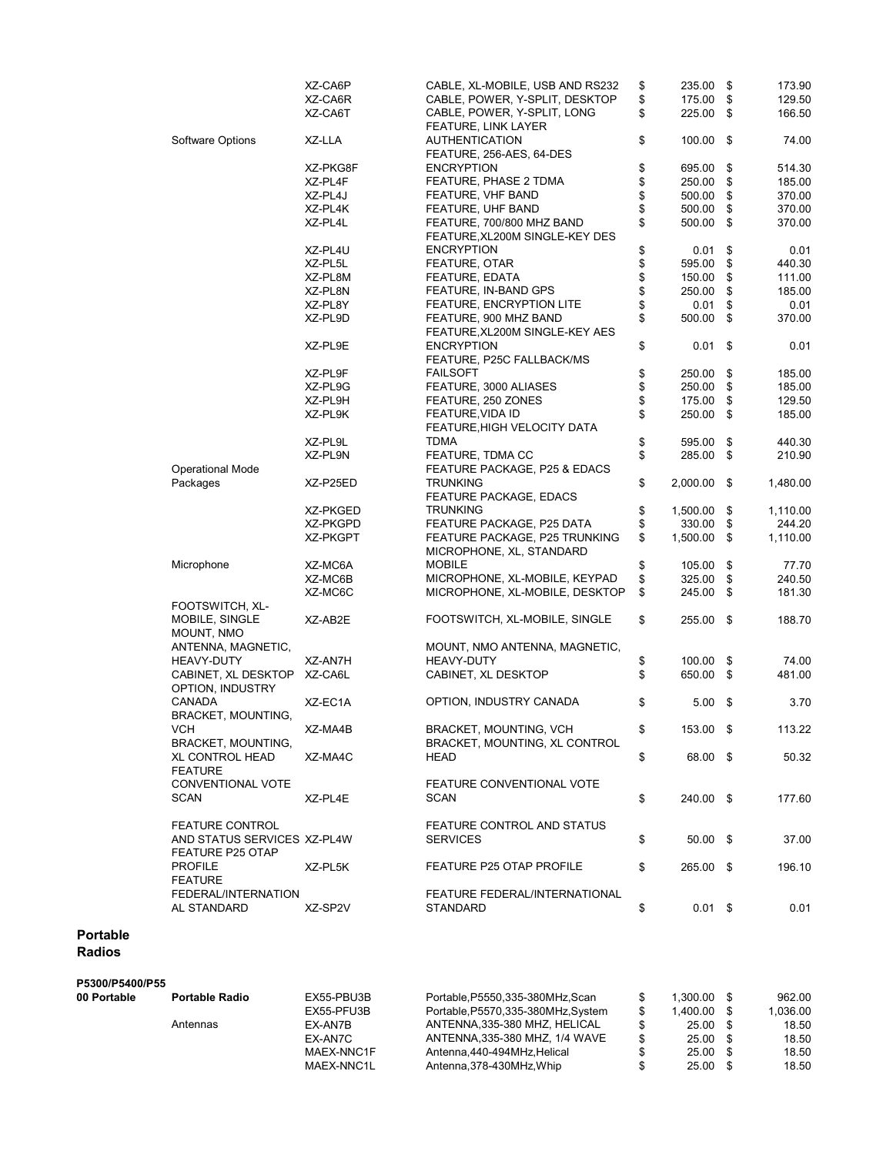|                                                        | XZ-CA6P  | CABLE, XL-MOBILE, USB AND RS232                             | \$<br>235.00          | \$<br>173.90   |
|--------------------------------------------------------|----------|-------------------------------------------------------------|-----------------------|----------------|
|                                                        | XZ-CA6R  | CABLE, POWER, Y-SPLIT, DESKTOP                              | \$<br>175.00          | \$<br>129.50   |
|                                                        | XZ-CA6T  | CABLE, POWER, Y-SPLIT, LONG<br><b>FEATURE, LINK LAYER</b>   | \$<br>225.00          | \$<br>166.50   |
| Software Options                                       | XZ-LLA   | <b>AUTHENTICATION</b><br>FEATURE, 256-AES, 64-DES           | \$<br>100.00          | \$<br>74.00    |
|                                                        |          | <b>ENCRYPTION</b>                                           |                       |                |
|                                                        | XZ-PKG8F |                                                             | \$<br>695.00          | \$<br>514.30   |
|                                                        | XZ-PL4F  | FEATURE, PHASE 2 TDMA                                       | \$<br>250.00          | \$<br>185.00   |
|                                                        | XZ-PL4J  | FEATURE, VHF BAND                                           | \$<br>500.00          | \$<br>370.00   |
|                                                        | XZ-PL4K  | FEATURE, UHF BAND                                           | \$<br>500.00          | \$<br>370.00   |
|                                                        | XZ-PL4L  | FEATURE, 700/800 MHZ BAND<br>FEATURE, XL200M SINGLE-KEY DES | \$<br>500.00          | \$<br>370.00   |
|                                                        | XZ-PL4U  | <b>ENCRYPTION</b>                                           | \$<br>0.01            | \$<br>0.01     |
|                                                        | XZ-PL5L  | FEATURE, OTAR                                               | \$<br>595.00          | \$<br>440.30   |
|                                                        | XZ-PL8M  | FEATURE, EDATA                                              | \$<br>150.00          | \$<br>111.00   |
|                                                        | XZ-PL8N  | FEATURE, IN-BAND GPS                                        | \$<br>250.00          | \$<br>185.00   |
|                                                        | XZ-PL8Y  | <b>FEATURE, ENCRYPTION LITE</b>                             | \$<br>0.01            | \$<br>0.01     |
|                                                        |          |                                                             |                       |                |
|                                                        | XZ-PL9D  | FEATURE, 900 MHZ BAND<br>FEATURE, XL200M SINGLE-KEY AES     | \$<br>500.00          | \$<br>370.00   |
|                                                        | XZ-PL9E  | <b>ENCRYPTION</b><br>FEATURE, P25C FALLBACK/MS              | \$<br>0.01            | \$<br>0.01     |
|                                                        | XZ-PL9F  | <b>FAILSOFT</b>                                             | \$<br>250.00          | \$<br>185.00   |
|                                                        | XZ-PL9G  | FEATURE, 3000 ALIASES                                       | \$<br>250.00          | \$<br>185.00   |
|                                                        | XZ-PL9H  | FEATURE, 250 ZONES                                          | \$<br>175.00          | \$<br>129.50   |
|                                                        |          | FEATURE, VIDA ID                                            |                       |                |
|                                                        | XZ-PL9K  | FEATURE, HIGH VELOCITY DATA                                 | \$<br>250.00          | \$<br>185.00   |
|                                                        | XZ-PL9L  | TDMA                                                        | \$<br>595.00          | \$<br>440.30   |
| <b>Operational Mode</b>                                | XZ-PL9N  | FEATURE, TDMA CC<br>FEATURE PACKAGE, P25 & EDACS            | \$<br>285.00          | \$<br>210.90   |
| Packages                                               | XZ-P25ED | <b>TRUNKING</b><br><b>FEATURE PACKAGE, EDACS</b>            | \$<br>2,000.00        | \$<br>1,480.00 |
|                                                        | XZ-PKGED | <b>TRUNKING</b>                                             | \$<br>1,500.00        | \$<br>1,110.00 |
|                                                        | XZ-PKGPD | FEATURE PACKAGE, P25 DATA                                   | \$<br>330.00          | \$<br>244.20   |
|                                                        | XZ-PKGPT | FEATURE PACKAGE, P25 TRUNKING                               | \$<br>1,500.00        | \$<br>1,110.00 |
|                                                        |          | MICROPHONE, XL, STANDARD                                    |                       |                |
| Microphone                                             | XZ-MC6A  | <b>MOBILE</b>                                               | \$<br>105.00          | \$<br>77.70    |
|                                                        | XZ-MC6B  | MICROPHONE, XL-MOBILE, KEYPAD                               | \$<br>325.00          | \$<br>240.50   |
| FOOTSWITCH, XL-                                        | XZ-MC6C  | MICROPHONE, XL-MOBILE, DESKTOP                              | \$<br>245.00          | \$<br>181.30   |
| MOBILE, SINGLE<br>MOUNT, NMO                           | XZ-AB2E  | FOOTSWITCH, XL-MOBILE, SINGLE                               | \$<br>255.00          | \$<br>188.70   |
| ANTENNA, MAGNETIC,                                     |          | MOUNT, NMO ANTENNA, MAGNETIC,                               |                       |                |
| <b>HEAVY-DUTY</b>                                      | XZ-AN7H  | HEAVY-DUTY                                                  | \$<br>100.00          | \$<br>74.00    |
| CABINET, XL DESKTOP                                    | XZ-CA6L  | CABINET, XL DESKTOP                                         | \$<br>650.00          | \$<br>481.00   |
| OPTION, INDUSTRY                                       |          |                                                             |                       |                |
| CANADA<br><b>BRACKET, MOUNTING,</b>                    | XZ-EC1A  | OPTION, INDUSTRY CANADA                                     | \$<br>$5.00$ \$       | 3.70           |
| VCH<br>BRACKET, MOUNTING,                              | XZ-MA4B  | BRACKET, MOUNTING, VCH<br>BRACKET, MOUNTING, XL CONTROL     | \$<br>153.00 \$       | 113.22         |
| <b>XL CONTROL HEAD</b>                                 | XZ-MA4C  | HEAD                                                        | \$<br>68.00 \$        | 50.32          |
| <b>FEATURE</b>                                         |          |                                                             |                       |                |
| CONVENTIONAL VOTE<br>SCAN                              | XZ-PL4E  | FEATURE CONVENTIONAL VOTE<br><b>SCAN</b>                    | \$<br>240.00 \$       | 177.60         |
| <b>FEATURE CONTROL</b>                                 |          | FEATURE CONTROL AND STATUS                                  |                       |                |
| AND STATUS SERVICES XZ-PL4W<br><b>FEATURE P25 OTAP</b> |          | <b>SERVICES</b>                                             | \$<br>$50.00$ \$      | 37.00          |
| <b>PROFILE</b>                                         | XZ-PL5K  | FEATURE P25 OTAP PROFILE                                    | \$<br>265.00 \$       | 196.10         |
| <b>FEATURE</b><br>FEDERAL/INTERNATION<br>AL STANDARD   | XZ-SP2V  | FEATURE FEDERAL/INTERNATIONAL<br>STANDARD                   | \$<br>$0.01 \quad$ \$ | 0.01           |
|                                                        |          |                                                             |                       |                |

### Portable Radios

## P5300/P5400/P55

| 00 Portable | <b>Portable Radio</b> | EX55-PBU3B | Portable.P5550.335-380MHz.Scan      |     | 1.300.00   | 962.00   |
|-------------|-----------------------|------------|-------------------------------------|-----|------------|----------|
|             |                       | EX55-PFU3B | Portable, P5570, 335-380MHz, System |     | 1.400.00   | 1,036.00 |
|             | Antennas              | EX-AN7B    | ANTENNA.335-380 MHZ. HELICAL        |     | 25.00      | 18.50    |
|             |                       | EX-AN7C    | ANTENNA.335-380 MHZ. 1/4 WAVE       | \$. | $25.00$ \$ | 18.50    |
|             |                       | MAEX-NNC1F | Antenna.440-494MHz.Helical          |     | 25.00      | 18.50    |
|             |                       | MAEX-NNC1L | Antenna, 378-430MHz, Whip           |     | 25.00      | 18.50    |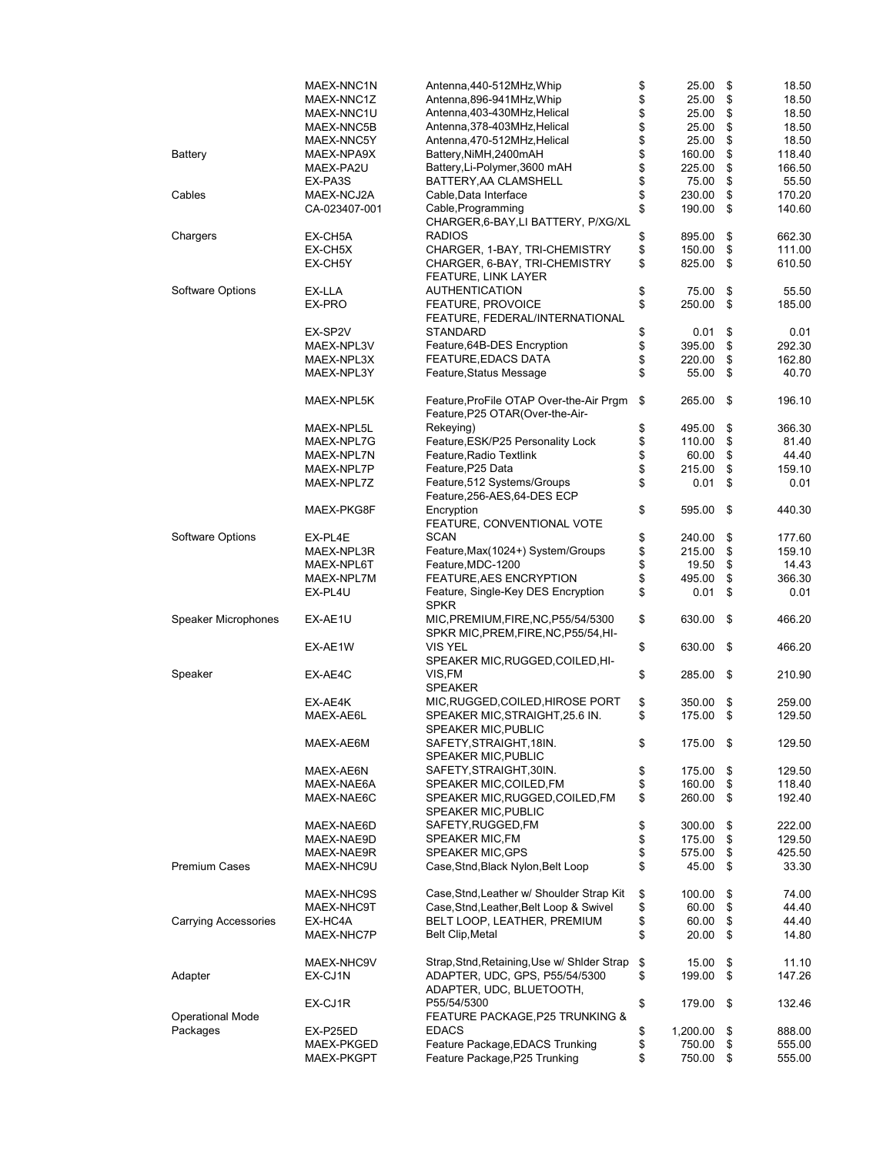|                             | MAEX-NNC1N    | Antenna, 440-512MHz, Whip                   | \$<br>25.00    | \$   | 18.50  |
|-----------------------------|---------------|---------------------------------------------|----------------|------|--------|
|                             | MAEX-NNC1Z    | Antenna, 896-941MHz, Whip                   | \$<br>25.00    | \$   | 18.50  |
|                             | MAEX-NNC1U    | Antenna, 403-430MHz, Helical                | \$<br>25.00    | \$   | 18.50  |
|                             |               |                                             |                |      |        |
|                             | MAEX-NNC5B    | Antenna, 378-403MHz, Helical                | \$<br>25.00    | \$   | 18.50  |
|                             | MAEX-NNC5Y    | Antenna, 470-512MHz, Helical                | \$<br>25.00    | \$   | 18.50  |
| Battery                     | MAEX-NPA9X    | Battery, NiMH, 2400mAH                      | \$<br>160.00   | \$   | 118.40 |
|                             | MAEX-PA2U     | Battery, Li-Polymer, 3600 mAH               | \$<br>225.00   | \$   | 166.50 |
|                             | EX-PA3S       | BATTERY, AA CLAMSHELL                       | \$<br>75.00    | \$   | 55.50  |
| Cables                      | MAEX-NCJ2A    | Cable, Data Interface                       | \$<br>230.00   | \$   | 170.20 |
|                             |               |                                             |                |      |        |
|                             | CA-023407-001 | Cable, Programming                          | \$<br>190.00   | \$   | 140.60 |
|                             |               | CHARGER, 6-BAY, LI BATTERY, P/XG/XL         |                |      |        |
| Chargers                    | EX-CH5A       | <b>RADIOS</b>                               | \$<br>895.00   | \$   | 662.30 |
|                             | EX-CH5X       | CHARGER, 1-BAY, TRI-CHEMISTRY               | \$<br>150.00   | \$   | 111.00 |
|                             | EX-CH5Y       | CHARGER, 6-BAY, TRI-CHEMISTRY               | \$<br>825.00   | \$   | 610.50 |
|                             |               |                                             |                |      |        |
|                             |               | <b>FEATURE, LINK LAYER</b>                  |                |      |        |
| Software Options            | EX-LLA        | <b>AUTHENTICATION</b>                       | \$<br>75.00    | \$   | 55.50  |
|                             | EX-PRO        | FEATURE, PROVOICE                           | \$<br>250.00   | \$   | 185.00 |
|                             |               | FEATURE, FEDERAL/INTERNATIONAL              |                |      |        |
|                             | EX-SP2V       | <b>STANDARD</b>                             | \$<br>0.01     | \$   | 0.01   |
|                             |               |                                             |                |      |        |
|                             | MAEX-NPL3V    | Feature, 64B-DES Encryption                 | \$<br>395.00   | \$   | 292.30 |
|                             | MAEX-NPL3X    | <b>FEATURE, EDACS DATA</b>                  | \$<br>220.00   | \$   | 162.80 |
|                             | MAEX-NPL3Y    | Feature, Status Message                     | \$<br>55.00    | \$   | 40.70  |
|                             |               |                                             |                |      |        |
|                             | MAEX-NPL5K    | Feature, ProFile OTAP Over-the-Air Prgm     | \$<br>265.00   | \$   | 196.10 |
|                             |               |                                             |                |      |        |
|                             |               | Feature, P25 OTAR (Over-the-Air-            |                |      |        |
|                             | MAEX-NPL5L    | Rekeying)                                   | \$<br>495.00   | \$   | 366.30 |
|                             | MAEX-NPL7G    | Feature, ESK/P25 Personality Lock           | \$<br>110.00   | \$   | 81.40  |
|                             | MAEX-NPL7N    | Feature, Radio Textlink                     | \$<br>60.00    | \$   | 44.40  |
|                             | MAEX-NPL7P    | Feature, P25 Data                           | \$<br>215.00   | \$   | 159.10 |
|                             |               |                                             |                |      |        |
|                             | MAEX-NPL7Z    | Feature, 512 Systems/Groups                 | \$<br>0.01     | \$   | 0.01   |
|                             |               | Feature, 256-AES, 64-DES ECP                |                |      |        |
|                             | MAEX-PKG8F    | Encryption                                  | \$<br>595.00   | \$   | 440.30 |
|                             |               | FEATURE, CONVENTIONAL VOTE                  |                |      |        |
| Software Options            | EX-PL4E       | <b>SCAN</b>                                 | 240.00         | \$   | 177.60 |
|                             |               |                                             | \$             |      |        |
|                             | MAEX-NPL3R    | Feature, Max (1024+) System/Groups          | \$<br>215.00   | \$   | 159.10 |
|                             | MAEX-NPL6T    | Feature, MDC-1200                           | \$<br>19.50    | \$   | 14.43  |
|                             | MAEX-NPL7M    | FEATURE, AES ENCRYPTION                     | \$<br>495.00   | \$   | 366.30 |
|                             | EX-PL4U       | Feature, Single-Key DES Encryption          | \$<br>0.01     | \$   | 0.01   |
|                             |               | <b>SPKR</b>                                 |                |      |        |
|                             |               |                                             |                |      |        |
| Speaker Microphones         | EX-AE1U       | MIC, PREMIUM, FIRE, NC, P55/54/5300         | \$<br>630.00   | \$   | 466.20 |
|                             |               | SPKR MIC, PREM, FIRE, NC, P55/54, HI-       |                |      |        |
|                             | EX-AE1W       | <b>VIS YEL</b>                              | \$<br>630.00   | \$   | 466.20 |
|                             |               | SPEAKER MIC, RUGGED, COILED, HI-            |                |      |        |
| Speaker                     | EX-AE4C       | VIS,FM                                      | \$<br>285.00   | \$   | 210.90 |
|                             |               | <b>SPEAKER</b>                              |                |      |        |
|                             |               |                                             |                |      |        |
|                             | EX-AE4K       | MIC, RUGGED, COILED, HIROSE PORT            | \$<br>350.00   | \$   | 259.00 |
|                             | MAEX-AE6L     | SPEAKER MIC, STRAIGHT, 25.6 IN.             | \$<br>175.00   | \$   | 129.50 |
|                             |               | <b>SPEAKER MIC, PUBLIC</b>                  |                |      |        |
|                             | MAEX-AE6M     | SAFETY, STRAIGHT, 18IN.                     | \$<br>175.00   | - \$ | 129.50 |
|                             |               |                                             |                |      |        |
|                             |               | <b>SPEAKER MIC, PUBLIC</b>                  |                |      |        |
|                             | MAEX-AE6N     | SAFETY, STRAIGHT, 30IN.                     | \$<br>175.00   | \$   | 129.50 |
|                             | MAEX-NAE6A    | SPEAKER MIC, COILED, FM                     | \$<br>160.00   | \$   | 118.40 |
|                             | MAEX-NAE6C    | SPEAKER MIC, RUGGED, COILED, FM             | \$<br>260.00   | \$   | 192.40 |
|                             |               | SPEAKER MIC, PUBLIC                         |                |      |        |
|                             | MAEX-NAE6D    | SAFETY, RUGGED, FM                          | 300.00         | \$   | 222.00 |
|                             |               |                                             | \$             |      |        |
|                             | MAEX-NAE9D    | SPEAKER MIC, FM                             | \$<br>175.00   | \$   | 129.50 |
|                             | MAEX-NAE9R    | <b>SPEAKER MIC, GPS</b>                     | \$<br>575.00   | \$   | 425.50 |
| <b>Premium Cases</b>        | MAEX-NHC9U    | Case, Stnd, Black Nylon, Belt Loop          | \$<br>45.00    | \$   | 33.30  |
|                             |               |                                             |                |      |        |
|                             | MAEX-NHC9S    | Case, Stnd, Leather w/ Shoulder Strap Kit   | \$<br>100.00   | \$   | 74.00  |
|                             |               |                                             |                |      |        |
|                             | MAEX-NHC9T    | Case, Stnd, Leather, Belt Loop & Swivel     | \$<br>60.00    | \$   | 44.40  |
| <b>Carrying Accessories</b> | EX-HC4A       | BELT LOOP, LEATHER, PREMIUM                 | \$<br>60.00    | \$   | 44.40  |
|                             | MAEX-NHC7P    | <b>Belt Clip, Metal</b>                     | \$<br>20.00    | \$   | 14.80  |
|                             |               |                                             |                |      |        |
|                             | MAEX-NHC9V    | Strap, Stnd, Retaining, Use w/ Shider Strap | \$<br>15.00    | \$   | 11.10  |
|                             |               | ADAPTER, UDC, GPS, P55/54/5300              |                |      |        |
| Adapter                     | EX-CJ1N       |                                             | \$<br>199.00   | \$   | 147.26 |
|                             |               | ADAPTER, UDC, BLUETOOTH,                    |                |      |        |
|                             | EX-CJ1R       | P55/54/5300                                 | \$<br>179.00   | \$   | 132.46 |
| <b>Operational Mode</b>     |               | FEATURE PACKAGE, P25 TRUNKING &             |                |      |        |
| Packages                    | EX-P25ED      | <b>EDACS</b>                                | \$<br>1,200.00 | \$   | 888.00 |
|                             | MAEX-PKGED    | Feature Package, EDACS Trunking             | \$<br>750.00   | \$   | 555.00 |
|                             |               |                                             |                |      |        |
|                             | MAEX-PKGPT    | Feature Package, P25 Trunking               | \$<br>750.00   | \$   | 555.00 |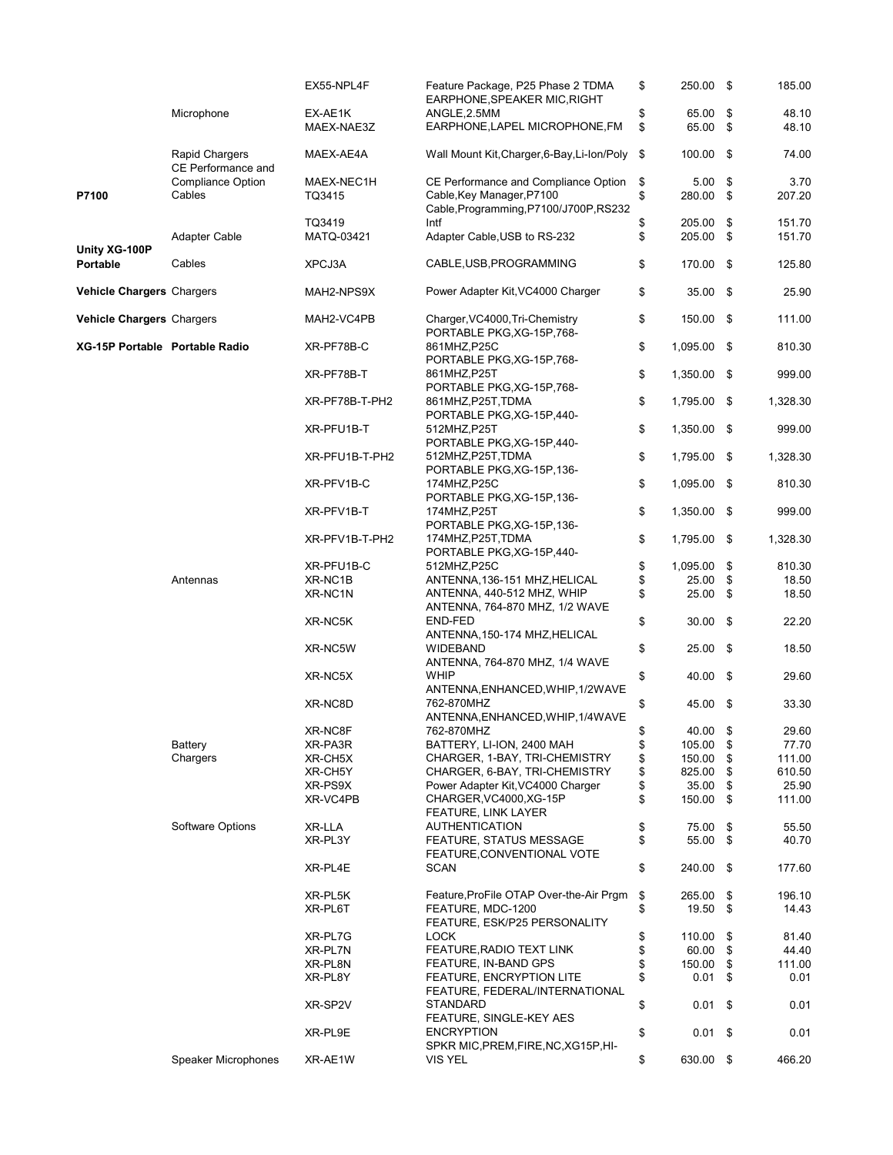|                                |                                      | EX55-NPL4F     | Feature Package, P25 Phase 2 TDMA<br>EARPHONE, SPEAKER MIC, RIGHT | \$<br>250.00 \$       |      | 185.00   |
|--------------------------------|--------------------------------------|----------------|-------------------------------------------------------------------|-----------------------|------|----------|
|                                | Microphone                           | EX-AE1K        | ANGLE, 2.5MM                                                      | \$<br>65.00           | \$   | 48.10    |
|                                |                                      | MAEX-NAE3Z     | EARPHONE, LAPEL MICROPHONE, FM                                    | \$<br>65.00 \$        |      | 48.10    |
|                                | Rapid Chargers<br>CE Performance and | MAEX-AE4A      | Wall Mount Kit, Charger, 6-Bay, Li-Ion/Poly                       | \$<br>100.00          | - \$ | 74.00    |
|                                | <b>Compliance Option</b>             | MAEX-NEC1H     | CE Performance and Compliance Option                              | \$<br>5.00            | \$   | 3.70     |
| P7100                          | Cables                               | TQ3415         | Cable, Key Manager, P7100                                         | \$<br>280.00 \$       |      | 207.20   |
|                                |                                      |                | Cable, Programming, P7100/J700P, RS232                            |                       |      |          |
|                                |                                      | TQ3419         | Intf                                                              | \$<br>205.00          | \$   | 151.70   |
|                                |                                      |                |                                                                   |                       |      |          |
|                                | Adapter Cable                        | MATQ-03421     | Adapter Cable, USB to RS-232                                      | \$<br>205.00 \$       |      | 151.70   |
| Unity XG-100P<br>Portable      | Cables                               | XPCJ3A         | CABLE, USB, PROGRAMMING                                           | \$<br>170.00 \$       |      | 125.80   |
| Vehicle Chargers Chargers      |                                      | MAH2-NPS9X     | Power Adapter Kit, VC4000 Charger                                 | \$<br>35.00 \$        |      | 25.90    |
| Vehicle Chargers Chargers      |                                      | MAH2-VC4PB     | Charger, VC4000, Tri-Chemistry                                    | \$<br>150.00 \$       |      | 111.00   |
|                                |                                      |                | PORTABLE PKG, XG-15P, 768-<br>861MHZ, P25C                        | \$<br>1,095.00 \$     |      | 810.30   |
| XG-15P Portable Portable Radio |                                      | XR-PF78B-C     | PORTABLE PKG, XG-15P, 768-                                        |                       |      |          |
|                                |                                      | XR-PF78B-T     | 861MHZ, P25T<br>PORTABLE PKG, XG-15P, 768-                        | \$<br>1,350.00 \$     |      | 999.00   |
|                                |                                      | XR-PF78B-T-PH2 | 861MHZ, P25T, TDMA<br>PORTABLE PKG, XG-15P, 440-                  | \$<br>1,795.00 \$     |      | 1,328.30 |
|                                |                                      | XR-PFU1B-T     | 512MHZ, P25T<br>PORTABLE PKG, XG-15P, 440-                        | \$<br>1,350.00 \$     |      | 999.00   |
|                                |                                      | XR-PFU1B-T-PH2 | 512MHZ, P25T, TDMA                                                | \$<br>1,795.00 \$     |      | 1,328.30 |
|                                |                                      | XR-PFV1B-C     | PORTABLE PKG, XG-15P, 136-<br>174MHZ, P25C                        | \$<br>1,095.00 \$     |      | 810.30   |
|                                |                                      | XR-PFV1B-T     | PORTABLE PKG, XG-15P, 136-<br>174MHZ, P25T                        | \$<br>1,350.00 \$     |      | 999.00   |
|                                |                                      |                | PORTABLE PKG, XG-15P, 136-                                        |                       |      |          |
|                                |                                      | XR-PFV1B-T-PH2 | 174MHZ, P25T, TDMA<br>PORTABLE PKG, XG-15P, 440-                  | \$<br>1,795.00 \$     |      | 1,328.30 |
|                                |                                      | XR-PFU1B-C     | 512MHZ, P25C                                                      | \$<br>1,095.00        | \$   | 810.30   |
|                                |                                      |                |                                                                   |                       |      |          |
|                                | Antennas                             | XR-NC1B        | ANTENNA, 136-151 MHZ, HELICAL                                     | \$<br>25.00           | \$   | 18.50    |
|                                |                                      | XR-NC1N        | ANTENNA, 440-512 MHZ, WHIP                                        | \$<br>25.00           | - \$ | 18.50    |
|                                |                                      |                | ANTENNA, 764-870 MHZ, 1/2 WAVE                                    |                       |      |          |
|                                |                                      | XR-NC5K        | END-FED<br>ANTENNA, 150-174 MHZ, HELICAL                          | \$<br>30.00           | -\$  | 22.20    |
|                                |                                      | XR-NC5W        | WIDEBAND<br>ANTENNA, 764-870 MHZ, 1/4 WAVE                        | \$<br>$25.00$ \$      |      | 18.50    |
|                                |                                      | XR-NC5X        | <b>WHIP</b><br>ANTENNA, ENHANCED, WHIP, 1/2WAVE                   | \$<br>40.00 \$        |      | 29.60    |
|                                |                                      | XR-NC8D        | 762-870MHZ                                                        | \$<br>45.00 \$        |      | 33.30    |
|                                |                                      |                | ANTENNA, ENHANCED, WHIP, 1/4WAVE                                  |                       |      |          |
|                                |                                      | XR-NC8F        | 762-870MHZ                                                        | 40.00                 | \$   | 29.60    |
|                                | Battery                              | XR-PA3R        | BATTERY, LI-ION, 2400 MAH                                         | \$<br>105.00 \$       |      | 77.70    |
|                                | Chargers                             | XR-CH5X        | CHARGER, 1-BAY, TRI-CHEMISTRY                                     | \$<br>150.00          | \$   | 111.00   |
|                                |                                      | XR-CH5Y        | CHARGER, 6-BAY, TRI-CHEMISTRY                                     | \$<br>825.00          | \$   | 610.50   |
|                                |                                      | XR-PS9X        | Power Adapter Kit, VC4000 Charger                                 | \$<br>35.00           | -\$  | 25.90    |
|                                |                                      | XR-VC4PB       | CHARGER, VC4000, XG-15P<br>FEATURE, LINK LAYER                    | \$<br>150.00 \$       |      | 111.00   |
|                                | Software Options                     | XR-LLA         | <b>AUTHENTICATION</b>                                             | \$<br>75.00           | \$   | 55.50    |
|                                |                                      | XR-PL3Y        | FEATURE, STATUS MESSAGE                                           | \$<br>55.00 \$        |      | 40.70    |
|                                |                                      | XR-PL4E        | FEATURE, CONVENTIONAL VOTE<br><b>SCAN</b>                         | \$<br>240.00 \$       |      | 177.60   |
|                                |                                      |                |                                                                   |                       |      |          |
|                                |                                      | XR-PL5K        | Feature, ProFile OTAP Over-the-Air Prgm                           | \$<br>265.00 \$       |      | 196.10   |
|                                |                                      | XR-PL6T        | FEATURE, MDC-1200<br>FEATURE, ESK/P25 PERSONALITY                 | \$<br>19.50 \$        |      | 14.43    |
|                                |                                      | XR-PL7G        | <b>LOCK</b>                                                       | \$<br>110.00          | \$   | 81.40    |
|                                |                                      | XR-PL7N        | FEATURE, RADIO TEXT LINK                                          | \$<br>60.00           | \$   | 44.40    |
|                                |                                      | XR-PL8N        | FEATURE, IN-BAND GPS                                              | \$<br>150.00          | \$   | 111.00   |
|                                |                                      | XR-PL8Y        | FEATURE, ENCRYPTION LITE                                          | \$<br>0.01            | - \$ | 0.01     |
|                                |                                      |                | FEATURE, FEDERAL/INTERNATIONAL                                    |                       |      |          |
|                                |                                      | XR-SP2V        | <b>STANDARD</b><br>FEATURE, SINGLE-KEY AES                        | \$<br>$0.01 \quad$ \$ |      | 0.01     |
|                                |                                      | XR-PL9E        | <b>ENCRYPTION</b><br>SPKR MIC, PREM, FIRE, NC, XG15P, HI-         | \$<br>$0.01 \quad$ \$ |      | 0.01     |
|                                | Speaker Microphones                  | XR-AE1W        | VIS YEL                                                           | \$<br>630.00 \$       |      | 466.20   |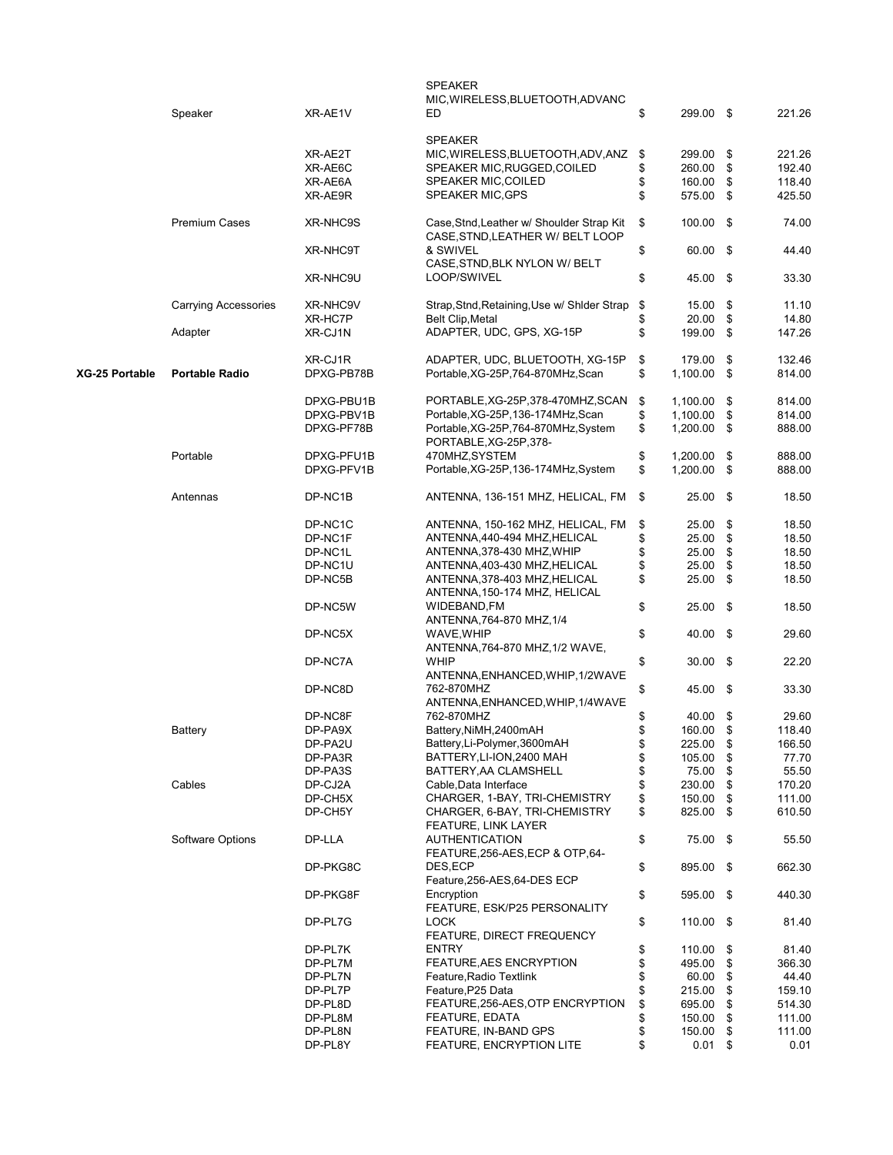|                | Speaker                     | XR-AE1V    | <b>SPEAKER</b><br>MIC, WIRELESS, BLUETOOTH, ADVANC<br>ED                      | \$<br>299.00 \$     |     | 221.26 |
|----------------|-----------------------------|------------|-------------------------------------------------------------------------------|---------------------|-----|--------|
|                |                             |            | <b>SPEAKER</b>                                                                | 299.00              |     |        |
|                |                             | XR-AE2T    | MIC, WIRELESS, BLUETOOTH, ADV, ANZ                                            | \$                  | \$  | 221.26 |
|                |                             | XR-AE6C    | SPEAKER MIC, RUGGED, COILED                                                   | \$<br>260.00        | \$  | 192.40 |
|                |                             | XR-AE6A    | <b>SPEAKER MIC, COILED</b>                                                    | \$<br>160.00        | \$  | 118.40 |
|                |                             | XR-AE9R    | <b>SPEAKER MIC, GPS</b>                                                       | \$<br>575.00 \$     |     | 425.50 |
|                | <b>Premium Cases</b>        | XR-NHC9S   | Case, Stnd, Leather w/ Shoulder Strap Kit<br>CASE, STND, LEATHER W/ BELT LOOP | \$<br>$100.00$ \$   |     | 74.00  |
|                |                             | XR-NHC9T   | & SWIVEL<br>CASE, STND, BLK NYLON W/ BELT                                     | \$<br>60.00 \$      |     | 44.40  |
|                |                             | XR-NHC9U   | LOOP/SWIVEL                                                                   | \$<br>45.00 \$      |     | 33.30  |
|                | <b>Carrying Accessories</b> | XR-NHC9V   | Strap, Stnd, Retaining, Use w/ Shlder Strap                                   | \$<br>15.00         | \$  | 11.10  |
|                |                             | XR-HC7P    | <b>Belt Clip, Metal</b>                                                       | \$<br>20.00         | \$  | 14.80  |
|                | Adapter                     | XR-CJ1N    | ADAPTER, UDC, GPS, XG-15P                                                     | \$<br>199.00 \$     |     | 147.26 |
|                |                             | XR-CJ1R    | ADAPTER, UDC, BLUETOOTH, XG-15P                                               | \$<br>179.00        | -\$ | 132.46 |
| XG-25 Portable | <b>Portable Radio</b>       | DPXG-PB78B | Portable, XG-25P, 764-870MHz, Scan                                            | \$<br>$1,100.00$ \$ |     | 814.00 |
|                |                             | DPXG-PBU1B | PORTABLE, XG-25P, 378-470MHZ, SCAN                                            | \$<br>1,100.00      | \$  | 814.00 |
|                |                             | DPXG-PBV1B | Portable, XG-25P, 136-174MHz, Scan                                            | \$<br>1,100.00      | \$  | 814.00 |
|                |                             | DPXG-PF78B | Portable, XG-25P, 764-870MHz, System<br>PORTABLE, XG-25P, 378-                | \$<br>1,200.00      | \$  | 888.00 |
|                | Portable                    | DPXG-PFU1B | 470MHZ, SYSTEM                                                                | \$<br>1,200.00      | \$  | 888.00 |
|                |                             | DPXG-PFV1B | Portable, XG-25P, 136-174MHz, System                                          | \$<br>1,200.00 \$   |     | 888.00 |
|                | Antennas                    | DP-NC1B    | ANTENNA, 136-151 MHZ, HELICAL, FM                                             | \$<br>$25.00$ \$    |     | 18.50  |
|                |                             | DP-NC1C    | ANTENNA, 150-162 MHZ, HELICAL, FM                                             | \$<br>25.00         | \$  | 18.50  |
|                |                             | DP-NC1F    | ANTENNA, 440-494 MHZ, HELICAL                                                 | \$<br>25.00         | \$  | 18.50  |
|                |                             | DP-NC1L    | ANTENNA, 378-430 MHZ, WHIP                                                    | \$<br>25.00         | \$  | 18.50  |
|                |                             | DP-NC1U    | ANTENNA, 403-430 MHZ, HELICAL                                                 | \$<br>25.00         | \$  | 18.50  |
|                |                             | DP-NC5B    | ANTENNA, 378-403 MHZ, HELICAL<br>ANTENNA, 150-174 MHZ, HELICAL                | \$<br>25.00         | \$  | 18.50  |
|                |                             | DP-NC5W    | WIDEBAND, FM<br>ANTENNA, 764-870 MHZ, 1/4                                     | \$<br>$25.00$ \$    |     | 18.50  |
|                |                             | DP-NC5X    | WAVE, WHIP<br>ANTENNA, 764-870 MHZ, 1/2 WAVE,                                 | \$<br>40.00 \$      |     | 29.60  |
|                |                             | DP-NC7A    | WHIP<br>ANTENNA, ENHANCED, WHIP, 1/2WAVE                                      | \$<br>$30.00$ \$    |     | 22.20  |
|                |                             | DP-NC8D    | 762-870MHZ<br>ANTENNA, ENHANCED, WHIP, 1/4WAVE                                | \$<br>45.00 \$      |     | 33.30  |
|                |                             | DP-NC8F    | 762-870MHZ                                                                    | \$<br>40.00         | \$  | 29.60  |
|                | Battery                     | DP-PA9X    | Battery, NiMH, 2400mAH                                                        | \$<br>160.00        | \$  | 118.40 |
|                |                             | DP-PA2U    | Battery, Li-Polymer, 3600mAH                                                  | \$<br>225.00 \$     |     | 166.50 |
|                |                             | DP-PA3R    | BATTERY, LI-ION, 2400 MAH                                                     | \$<br>105.00        | \$  | 77.70  |
|                |                             | DP-PA3S    | BATTERY, AA CLAMSHELL                                                         | \$<br>75.00         | \$  | 55.50  |
|                | Cables                      | DP-CJ2A    | Cable, Data Interface                                                         | \$<br>230.00        | \$  | 170.20 |
|                |                             | DP-CH5X    | CHARGER, 1-BAY, TRI-CHEMISTRY                                                 | \$<br>150.00        | \$  | 111.00 |
|                |                             | DP-CH5Y    | CHARGER, 6-BAY, TRI-CHEMISTRY<br>FEATURE, LINK LAYER                          | \$<br>825.00 \$     |     | 610.50 |
|                | Software Options            | DP-LLA     | <b>AUTHENTICATION</b><br>FEATURE, 256-AES, ECP & OTP, 64-                     | \$<br>75.00 \$      |     | 55.50  |
|                |                             | DP-PKG8C   | DES,ECP<br>Feature, 256-AES, 64-DES ECP                                       | \$<br>895.00 \$     |     | 662.30 |
|                |                             | DP-PKG8F   | Encryption<br>FEATURE, ESK/P25 PERSONALITY                                    | \$<br>595.00 \$     |     | 440.30 |
|                |                             | DP-PL7G    | <b>LOCK</b><br>FEATURE, DIRECT FREQUENCY                                      | \$<br>$110.00$ \$   |     | 81.40  |
|                |                             | DP-PL7K    | <b>ENTRY</b>                                                                  | \$<br>110.00        | \$  | 81.40  |
|                |                             | DP-PL7M    | FEATURE, AES ENCRYPTION                                                       | \$<br>495.00        | \$  | 366.30 |
|                |                             | DP-PL7N    | Feature, Radio Textlink                                                       | \$<br>60.00         | \$  | 44.40  |
|                |                             | DP-PL7P    | Feature, P25 Data                                                             | \$<br>215.00        | \$  | 159.10 |
|                |                             | DP-PL8D    | FEATURE, 256-AES, OTP ENCRYPTION                                              | \$<br>695.00        | \$  | 514.30 |
|                |                             | DP-PL8M    | <b>FEATURE, EDATA</b>                                                         | \$<br>150.00        | \$  | 111.00 |
|                |                             | DP-PL8N    | FEATURE, IN-BAND GPS                                                          | \$<br>150.00        | \$  | 111.00 |
|                |                             | DP-PL8Y    | <b>FEATURE, ENCRYPTION LITE</b>                                               | \$<br>0.01          | \$  | 0.01   |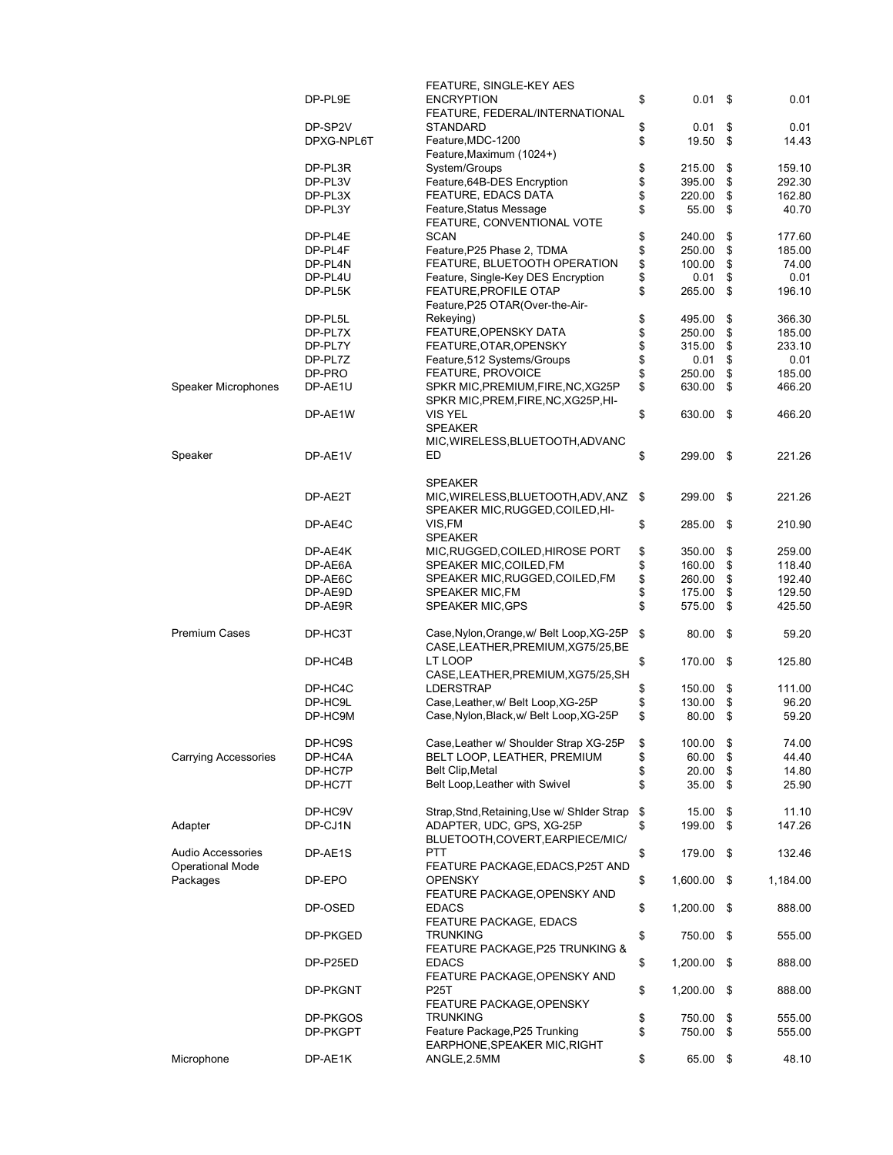|                             |            | FEATURE, SINGLE-KEY AES                      |                |      |          |
|-----------------------------|------------|----------------------------------------------|----------------|------|----------|
|                             | DP-PL9E    | <b>ENCRYPTION</b>                            | \$<br>0.01     | \$   | 0.01     |
|                             |            | FEATURE, FEDERAL/INTERNATIONAL               |                |      |          |
|                             |            |                                              |                |      |          |
|                             | DP-SP2V    | STANDARD                                     | \$<br>0.01     | \$   | 0.01     |
|                             | DPXG-NPL6T | Feature, MDC-1200                            | \$<br>19.50    | \$   | 14.43    |
|                             |            | Feature, Maximum (1024+)                     |                |      |          |
|                             | DP-PL3R    | System/Groups                                | \$<br>215.00   | \$   | 159.10   |
|                             | DP-PL3V    | Feature, 64B-DES Encryption                  | \$<br>395.00   | \$   | 292.30   |
|                             | DP-PL3X    | FEATURE, EDACS DATA                          | \$<br>220.00   | \$   | 162.80   |
|                             |            |                                              |                |      |          |
|                             | DP-PL3Y    | Feature, Status Message                      | \$<br>55.00    | \$   | 40.70    |
|                             |            | FEATURE, CONVENTIONAL VOTE                   |                |      |          |
|                             | DP-PL4E    | <b>SCAN</b>                                  | \$<br>240.00   | \$   | 177.60   |
|                             | DP-PL4F    | Feature, P25 Phase 2, TDMA                   | 250.00         | \$   | 185.00   |
|                             | DP-PL4N    | FEATURE, BLUETOOTH OPERATION                 | \$<br>100.00   | \$   | 74.00    |
|                             |            |                                              |                |      |          |
|                             | DP-PL4U    | Feature, Single-Key DES Encryption           | \$<br>0.01     | \$   | 0.01     |
|                             | DP-PL5K    | <b>FEATURE, PROFILE OTAP</b>                 | \$<br>265.00   | \$   | 196.10   |
|                             |            | Feature, P25 OTAR (Over-the-Air-             |                |      |          |
|                             | DP-PL5L    | Rekeying)                                    | \$<br>495.00   | \$   | 366.30   |
|                             | DP-PL7X    | FEATURE, OPENSKY DATA                        | \$<br>250.00   | \$   | 185.00   |
|                             | DP-PL7Y    | FEATURE, OTAR, OPENSKY                       | \$<br>315.00   | \$   | 233.10   |
|                             |            |                                              |                |      |          |
|                             | DP-PL7Z    | Feature, 512 Systems/Groups                  | \$<br>0.01     | \$   | 0.01     |
|                             | DP-PRO     | <b>FEATURE, PROVOICE</b>                     | \$<br>250.00   | \$   | 185.00   |
| <b>Speaker Microphones</b>  | DP-AE1U    | SPKR MIC, PREMIUM, FIRE, NC, XG25P           | \$<br>630.00   | \$   | 466.20   |
|                             |            | SPKR MIC, PREM, FIRE, NC, XG25P, HI-         |                |      |          |
|                             | DP-AE1W    | VIS YEL                                      | \$<br>630.00   | \$   | 466.20   |
|                             |            |                                              |                |      |          |
|                             |            | <b>SPEAKER</b>                               |                |      |          |
|                             |            | MIC, WIRELESS, BLUETOOTH, ADVANC             |                |      |          |
| Speaker                     | DP-AE1V    | ED                                           | \$<br>299.00   | \$   | 221.26   |
|                             |            |                                              |                |      |          |
|                             |            | <b>SPEAKER</b>                               |                |      |          |
|                             | DP-AE2T    | MIC, WIRELESS, BLUETOOTH, ADV, ANZ           | \$<br>299.00   | \$   | 221.26   |
|                             |            |                                              |                |      |          |
|                             |            | SPEAKER MIC, RUGGED, COILED, HI-             |                |      |          |
|                             | DP-AE4C    | VIS,FM                                       | \$<br>285.00   | \$   | 210.90   |
|                             |            | <b>SPEAKER</b>                               |                |      |          |
|                             | DP-AE4K    | MIC, RUGGED, COILED, HIROSE PORT             | \$<br>350.00   | \$   | 259.00   |
|                             | DP-AE6A    | SPEAKER MIC, COILED, FM                      | \$<br>160.00   | \$   | 118.40   |
|                             |            |                                              |                |      |          |
|                             | DP-AE6C    | SPEAKER MIC,RUGGED,COILED,FM                 | \$<br>260.00   | \$   | 192.40   |
|                             | DP-AE9D    | SPEAKER MIC, FM                              | \$<br>175.00   | \$   | 129.50   |
|                             | DP-AE9R    | <b>SPEAKER MIC, GPS</b>                      | \$<br>575.00   | \$   | 425.50   |
|                             |            |                                              |                |      |          |
| <b>Premium Cases</b>        | DP-HC3T    | Case, Nylon, Orange, w/ Belt Loop, XG-25P    | \$<br>80.00    | \$   | 59.20    |
|                             |            | CASE, LEATHER, PREMIUM, XG75/25, BE          |                |      |          |
|                             |            | LT LOOP                                      |                |      |          |
|                             | DP-HC4B    |                                              | \$<br>170.00   | \$   | 125.80   |
|                             |            | CASE, LEATHER, PREMIUM, XG75/25, SH          |                |      |          |
|                             | DP-HC4C    | <b>LDERSTRAP</b>                             | \$<br>150.00   | \$   | 111.00   |
|                             | DP-HC9L    | Case, Leather, w/ Belt Loop, XG-25P          | \$<br>130.00   | \$   | 96.20    |
|                             | DP-HC9M    | Case, Nylon, Black, w/ Belt Loop, XG-25P     | \$<br>80.00    | \$   | 59.20    |
|                             |            |                                              |                |      |          |
|                             |            |                                              |                |      |          |
|                             | DP-HC9S    | Case, Leather w/ Shoulder Strap XG-25P       |                |      |          |
| <b>Carrying Accessories</b> |            |                                              | \$<br>100.00   | \$   | 74.00    |
|                             | DP-HC4A    | BELT LOOP, LEATHER, PREMIUM                  | \$<br>60.00    | \$   | 44.40    |
|                             | DP-HC7P    | Belt Clip, Metal                             | \$<br>20.00    | \$   | 14.80    |
|                             |            | Belt Loop, Leather with Swivel               |                |      |          |
|                             | DP-HC7T    |                                              | \$<br>35.00    | \$   | 25.90    |
|                             |            |                                              |                |      |          |
|                             | DP-HC9V    | Strap, Stnd, Retaining, Use w/ Shlder Strap  | \$<br>15.00    | \$   | 11.10    |
| Adapter                     | DP-CJ1N    | ADAPTER, UDC, GPS, XG-25P                    | \$<br>199.00   | \$   | 147.26   |
|                             |            | BLUETOOTH,COVERT,EARPIECE/MIC/               |                |      |          |
| <b>Audio Accessories</b>    | DP-AE1S    | PTT                                          | \$<br>179.00   | - \$ | 132.46   |
|                             |            |                                              |                |      |          |
| <b>Operational Mode</b>     |            | FEATURE PACKAGE,EDACS,P25T AND               |                |      |          |
| Packages                    | DP-EPO     | <b>OPENSKY</b>                               | \$<br>1,600.00 | \$   | 1,184.00 |
|                             |            | FEATURE PACKAGE,OPENSKY AND                  |                |      |          |
|                             | DP-OSED    | <b>EDACS</b>                                 | \$<br>1,200.00 | \$   | 888.00   |
|                             |            | FEATURE PACKAGE, EDACS                       |                |      |          |
|                             | DP-PKGED   | TRUNKING                                     | \$<br>750.00   | \$   | 555.00   |
|                             |            |                                              |                |      |          |
|                             |            | FEATURE PACKAGE, P25 TRUNKING &              |                |      |          |
|                             | DP-P25ED   | <b>EDACS</b>                                 | \$<br>1,200.00 | \$   | 888.00   |
|                             |            | FEATURE PACKAGE, OPENSKY AND                 |                |      |          |
|                             | DP-PKGNT   | P25T                                         | \$<br>1,200.00 | \$   | 888.00   |
|                             |            | FEATURE PACKAGE, OPENSKY                     |                |      |          |
|                             |            | TRUNKING                                     | \$             | \$   | 555.00   |
|                             | DP-PKGOS   |                                              | 750.00         |      |          |
|                             | DP-PKGPT   | Feature Package, P25 Trunking                | \$<br>750.00   | \$   | 555.00   |
| Microphone                  | DP-AE1K    | EARPHONE, SPEAKER MIC, RIGHT<br>ANGLE, 2.5MM | \$<br>65.00    | \$   | 48.10    |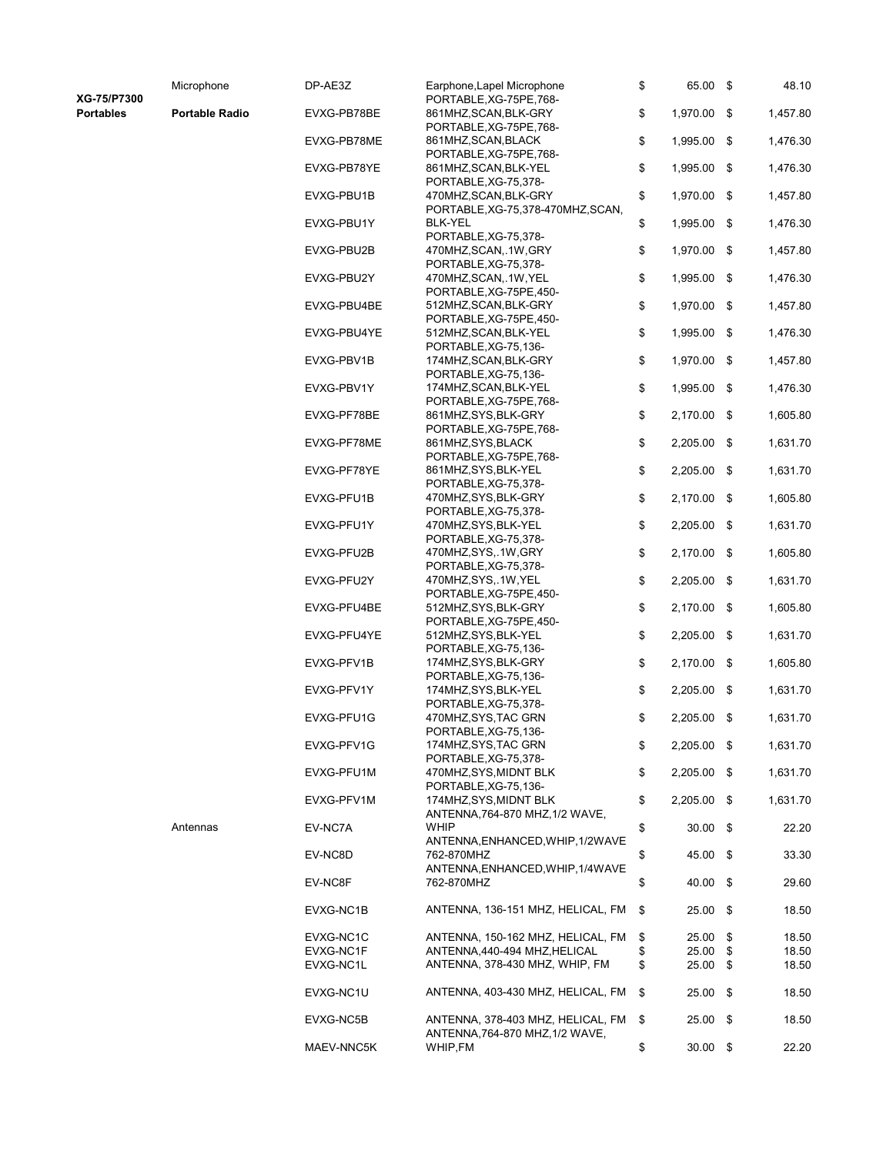XG-75/P7300

Portables Portable

| Radio |  |
|-------|--|
|       |  |

| Microphone     | DP-AE3Z                | Earphone, Lapel Microphone<br>PORTABLE, XG-75PE, 768-                              | \$       | 65.00 \$       |          | 48.10          |
|----------------|------------------------|------------------------------------------------------------------------------------|----------|----------------|----------|----------------|
| Portable Radio | EVXG-PB78BE            | 861MHZ,SCAN,BLK-GRY<br>PORTABLE, XG-75PE, 768-                                     | \$       | 1,970.00 \$    |          | 1,457.80       |
|                | EVXG-PB78ME            | 861MHZ,SCAN,BLACK<br>PORTABLE, XG-75PE, 768-                                       | \$       | 1,995.00       | \$       | 1,476.30       |
|                | EVXG-PB78YE            | 861MHZ,SCAN,BLK-YEL                                                                | \$       | 1,995.00       | \$       | 1,476.30       |
|                | EVXG-PBU1B             | PORTABLE, XG-75, 378-<br>470MHZ,SCAN,BLK-GRY<br>PORTABLE, XG-75, 378-470MHZ, SCAN, | \$       | 1,970.00       | \$       | 1,457.80       |
|                | EVXG-PBU1Y             | BLK-YEL<br>PORTABLE, XG-75, 378-                                                   | \$       | 1,995.00       | \$       | 1,476.30       |
|                | EVXG-PBU2B             | 470MHZ,SCAN,.1W,GRY<br>PORTABLE, XG-75, 378-                                       | \$       | 1,970.00       | \$       | 1,457.80       |
|                | EVXG-PBU2Y             | 470MHZ, SCAN, .1W, YEL<br>PORTABLE, XG-75PE, 450-                                  | \$       | 1,995.00       | \$       | 1,476.30       |
|                | EVXG-PBU4BE            | 512MHZ,SCAN,BLK-GRY<br>PORTABLE, XG-75PE, 450-                                     | \$       | 1,970.00 \$    |          | 1,457.80       |
|                | EVXG-PBU4YE            | 512MHZ,SCAN,BLK-YEL<br>PORTABLE, XG-75, 136-                                       | \$       | 1,995.00       | \$       | 1,476.30       |
|                | EVXG-PBV1B             | 174MHZ, SCAN, BLK-GRY<br>PORTABLE, XG-75, 136-                                     | \$       | 1,970.00       | \$       | 1,457.80       |
|                | EVXG-PBV1Y             | 174MHZ,SCAN,BLK-YEL<br>PORTABLE, XG-75PE, 768-                                     | \$       | 1,995.00       | \$       | 1,476.30       |
|                | EVXG-PF78BE            | 861MHZ,SYS,BLK-GRY<br>PORTABLE, XG-75PE, 768-                                      | \$       | 2,170.00       | \$       | 1,605.80       |
|                | EVXG-PF78ME            | 861MHZ, SYS, BLACK<br>PORTABLE, XG-75PE, 768-                                      | \$       | 2,205.00       | \$       | 1,631.70       |
|                | EVXG-PF78YE            | 861MHZ,SYS,BLK-YEL<br>PORTABLE, XG-75, 378-                                        | \$       | 2,205.00 \$    |          | 1,631.70       |
|                | EVXG-PFU1B             | 470MHZ,SYS,BLK-GRY<br>PORTABLE, XG-75, 378-                                        | \$       | 2,170.00 \$    |          | 1,605.80       |
|                | EVXG-PFU1Y             | 470MHZ,SYS,BLK-YEL<br>PORTABLE, XG-75, 378-                                        | \$       | 2,205.00 \$    |          | 1,631.70       |
|                | EVXG-PFU2B             | 470MHZ,SYS,.1W,GRY<br>PORTABLE, XG-75, 378-                                        | \$       | 2,170.00       | \$       | 1,605.80       |
|                | EVXG-PFU2Y             | 470MHZ,SYS,.1W,YEL<br>PORTABLE, XG-75PE, 450-                                      | \$       | 2,205.00       | \$       | 1,631.70       |
|                | EVXG-PFU4BE            | 512MHZ,SYS,BLK-GRY<br>PORTABLE, XG-75PE, 450-                                      | \$       | 2,170.00       | \$       | 1,605.80       |
|                | EVXG-PFU4YE            | 512MHZ,SYS,BLK-YEL<br>PORTABLE, XG-75, 136-                                        | \$       | 2,205.00       | \$       | 1,631.70       |
|                | EVXG-PFV1B             | 174MHZ,SYS,BLK-GRY<br>PORTABLE, XG-75, 136-                                        | \$       | 2,170.00 \$    |          | 1,605.80       |
|                | EVXG-PFV1Y             | 174MHZ,SYS,BLK-YEL<br>PORTABLE, XG-75, 378-                                        | \$       | 2,205.00       | - \$     | 1,631.70       |
|                | EVXG-PFU1G             | 470MHZ,SYS,TAC GRN<br>PORTABLE, XG-75, 136-                                        | \$       | 2,205.00 \$    |          | 1,631.70       |
|                | EVXG-PFV1G             | 174MHZ, SYS, TAC GRN<br>PORTABLE, XG-75, 378-                                      | \$       | 2,205.00 \$    |          | 1,631.70       |
|                | EVXG-PFU1M             | 470MHZ,SYS,MIDNT BLK<br>PORTABLE, XG-75, 136-                                      | \$       | 2,205.00       | - \$     | 1,631.70       |
|                | EVXG-PFV1M             | 174MHZ, SYS, MIDNT BLK<br>ANTENNA, 764-870 MHZ, 1/2 WAVE,                          | \$       | 2,205.00       | -\$      | 1,631.70       |
| Antennas       | EV-NC7A                | WHIP<br>ANTENNA, ENHANCED, WHIP, 1/2WAVE                                           | \$       | 30.00          | \$       | 22.20          |
|                | EV-NC8D                | 762-870MHZ                                                                         | \$       | 45.00          | \$       | 33.30          |
|                | EV-NC8F                | ANTENNA, ENHANCED, WHIP, 1/4WAVE<br>762-870MHZ                                     | \$       | 40.00 \$       |          | 29.60          |
|                | EVXG-NC1B              | ANTENNA, 136-151 MHZ, HELICAL, FM                                                  | \$       | 25.00 \$       |          | 18.50          |
|                | EVXG-NC1C              | ANTENNA, 150-162 MHZ, HELICAL, FM                                                  | \$       | 25.00          | \$       | 18.50          |
|                | EVXG-NC1F<br>EVXG-NC1L | ANTENNA, 440-494 MHZ, HELICAL<br>ANTENNA, 378-430 MHZ, WHIP, FM                    | \$<br>\$ | 25.00<br>25.00 | \$<br>\$ | 18.50<br>18.50 |
|                | EVXG-NC1U              | ANTENNA, 403-430 MHZ, HELICAL, FM                                                  | \$       | 25.00          | \$       | 18.50          |
|                | EVXG-NC5B              | ANTENNA, 378-403 MHZ, HELICAL, FM<br>ANTENNA, 764-870 MHZ, 1/2 WAVE,               | \$       | 25.00          | \$       | 18.50          |
|                | MAEV-NNC5K             | WHIP,FM                                                                            | \$       | 30.00          | \$       | 22.20          |

Antennas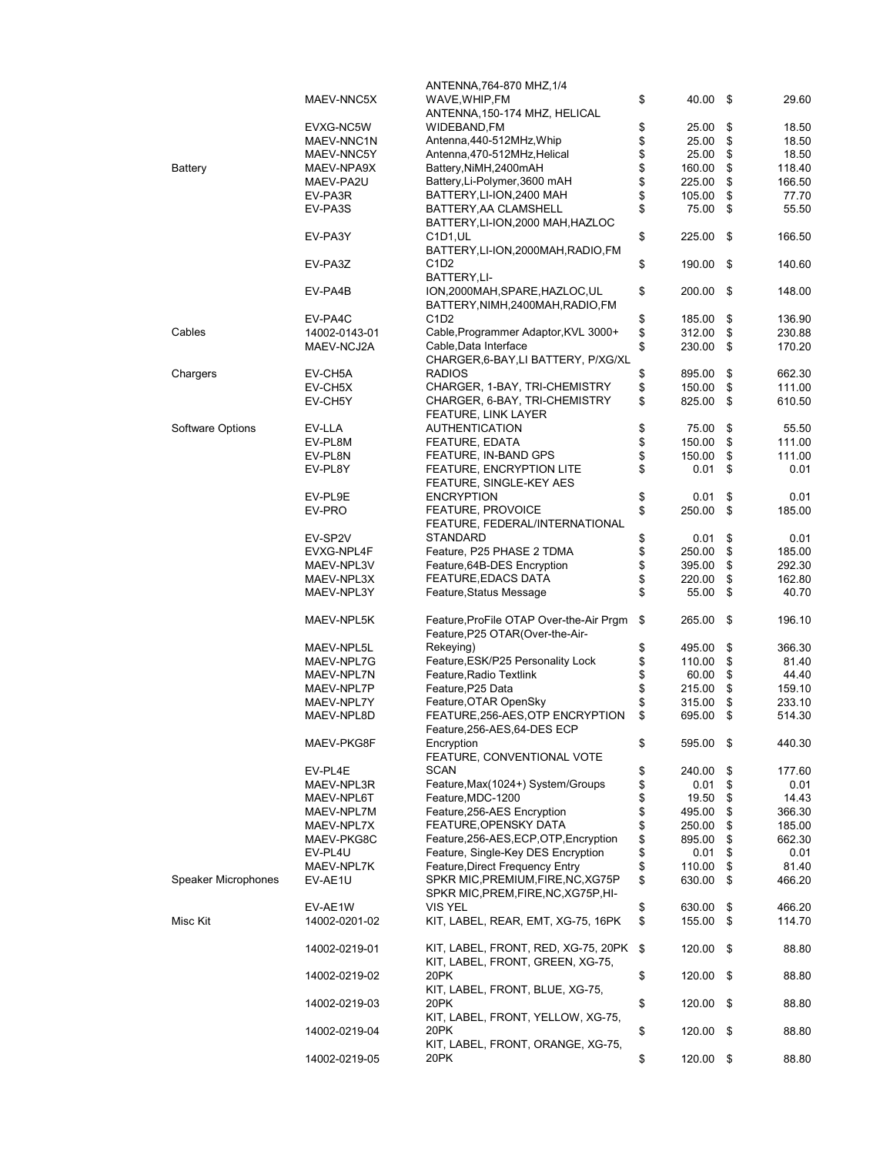|                     |               | ANTENNA, 764-870 MHZ, 1/4               |              |      |        |
|---------------------|---------------|-----------------------------------------|--------------|------|--------|
|                     | MAEV-NNC5X    | WAVE, WHIP, FM                          | \$<br>40.00  | - \$ | 29.60  |
|                     |               | ANTENNA, 150-174 MHZ, HELICAL           |              |      |        |
|                     | EVXG-NC5W     | WIDEBAND,FM                             | \$<br>25.00  | \$   | 18.50  |
|                     | MAEV-NNC1N    | Antenna, 440-512MHz, Whip               | \$<br>25.00  | \$   | 18.50  |
|                     | MAEV-NNC5Y    | Antenna, 470-512MHz, Helical            | \$<br>25.00  | \$   | 18.50  |
| <b>Battery</b>      | MAEV-NPA9X    | Battery, NiMH, 2400mAH                  | \$<br>160.00 | \$   | 118.40 |
|                     |               |                                         |              |      |        |
|                     | MAEV-PA2U     | Battery, Li-Polymer, 3600 mAH           | \$<br>225.00 | \$   | 166.50 |
|                     | EV-PA3R       | BATTERY, LI-ION, 2400 MAH               | \$<br>105.00 | \$   | 77.70  |
|                     | EV-PA3S       | BATTERY, AA CLAMSHELL                   | \$<br>75.00  | \$   | 55.50  |
|                     |               | BATTERY, LI-ION, 2000 MAH, HAZLOC       |              |      |        |
|                     | EV-PA3Y       | C1D1,UL                                 | \$<br>225.00 | \$   | 166.50 |
|                     |               | BATTERY,LI-ION,2000MAH,RADIO,FM         |              |      |        |
|                     | EV-PA3Z       | C1D2                                    | \$<br>190.00 | \$   | 140.60 |
|                     |               |                                         |              |      |        |
|                     |               | BATTERY, LI-                            |              |      |        |
|                     | EV-PA4B       | ION,2000MAH,SPARE,HAZLOC,UL             | \$<br>200.00 | \$   | 148.00 |
|                     |               | BATTERY, NIMH, 2400MAH, RADIO, FM       |              |      |        |
|                     | EV-PA4C       | C1D2                                    | \$<br>185.00 | \$   | 136.90 |
| Cables              | 14002-0143-01 | Cable, Programmer Adaptor, KVL 3000+    | \$<br>312.00 | \$   | 230.88 |
|                     | MAEV-NCJ2A    | Cable, Data Interface                   | \$<br>230.00 | \$   | 170.20 |
|                     |               | CHARGER, 6-BAY, LI BATTERY, P/XG/XL     |              |      |        |
|                     |               |                                         |              |      |        |
| Chargers            | EV-CH5A       | RADIOS                                  | \$<br>895.00 | \$   | 662.30 |
|                     | EV-CH5X       | CHARGER, 1-BAY, TRI-CHEMISTRY           | \$<br>150.00 | \$   | 111.00 |
|                     | EV-CH5Y       | CHARGER, 6-BAY, TRI-CHEMISTRY           | \$<br>825.00 | \$   | 610.50 |
|                     |               | FEATURE, LINK LAYER                     |              |      |        |
| Software Options    | EV-LLA        | <b>AUTHENTICATION</b>                   | \$<br>75.00  | \$   | 55.50  |
|                     | EV-PL8M       | <b>FEATURE, EDATA</b>                   | \$<br>150.00 | \$   | 111.00 |
|                     | EV-PL8N       | FEATURE, IN-BAND GPS                    | \$<br>150.00 | \$   | 111.00 |
|                     |               |                                         |              |      |        |
|                     | EV-PL8Y       | FEATURE, ENCRYPTION LITE                | \$<br>0.01   | \$   | 0.01   |
|                     |               | FEATURE, SINGLE-KEY AES                 |              |      |        |
|                     | EV-PL9E       | <b>ENCRYPTION</b>                       | \$<br>0.01   | \$   | 0.01   |
|                     | EV-PRO        | <b>FEATURE, PROVOICE</b>                | \$<br>250.00 | \$   | 185.00 |
|                     |               | FEATURE, FEDERAL/INTERNATIONAL          |              |      |        |
|                     | EV-SP2V       | <b>STANDARD</b>                         | \$<br>0.01   | \$   | 0.01   |
|                     |               | Feature, P25 PHASE 2 TDMA               | \$           | \$   | 185.00 |
|                     | EVXG-NPL4F    |                                         | 250.00       |      |        |
|                     | MAEV-NPL3V    | Feature, 64B-DES Encryption             | \$<br>395.00 | \$   | 292.30 |
|                     | MAEV-NPL3X    | <b>FEATURE, EDACS DATA</b>              | \$<br>220.00 | \$   | 162.80 |
|                     | MAEV-NPL3Y    | Feature, Status Message                 | \$<br>55.00  | \$   | 40.70  |
|                     |               |                                         |              |      |        |
|                     | MAEV-NPL5K    | Feature, ProFile OTAP Over-the-Air Prgm | \$<br>265.00 | \$   | 196.10 |
|                     |               | Feature, P25 OTAR(Over-the-Air-         |              |      |        |
|                     | MAEV-NPL5L    | Rekeying)                               | \$<br>495.00 | \$   | 366.30 |
|                     |               |                                         |              |      |        |
|                     | MAEV-NPL7G    | Feature, ESK/P25 Personality Lock       | \$<br>110.00 | \$   | 81.40  |
|                     | MAEV-NPL7N    | Feature, Radio Textlink                 | \$<br>60.00  | \$   | 44.40  |
|                     | MAEV-NPL7P    | Feature, P25 Data                       | \$<br>215.00 | \$   | 159.10 |
|                     | MAEV-NPL7Y    | Feature, OTAR OpenSky                   | \$<br>315.00 | \$   | 233.10 |
|                     | MAEV-NPL8D    | FEATURE, 256-AES, OTP ENCRYPTION        | \$<br>695.00 | \$   | 514.30 |
|                     |               | Feature, 256-AES, 64-DES ECP            |              |      |        |
|                     |               | Encryption                              | \$           | - \$ | 440.30 |
|                     | MAEV-PKG8F    |                                         | 595.00       |      |        |
|                     |               | FEATURE, CONVENTIONAL VOTE              |              |      |        |
|                     | EV-PL4E       | SCAN                                    | \$<br>240.00 | \$   | 177.60 |
|                     | MAEV-NPL3R    | Feature, Max (1024+) System/Groups      | \$<br>0.01   | \$   | 0.01   |
|                     | MAEV-NPL6T    | Feature, MDC-1200                       | \$<br>19.50  | \$   | 14.43  |
|                     | MAEV-NPL7M    | Feature, 256-AES Encryption             | \$<br>495.00 | \$   | 366.30 |
|                     | MAEV-NPL7X    | FEATURE, OPENSKY DATA                   | \$<br>250.00 | \$   | 185.00 |
|                     | MAEV-PKG8C    | Feature, 256-AES, ECP, OTP, Encryption  | \$<br>895.00 | \$   | 662.30 |
|                     |               |                                         |              |      |        |
|                     | EV-PL4U       | Feature, Single-Key DES Encryption      | \$<br>0.01   | \$   | 0.01   |
|                     | MAEV-NPL7K    | Feature, Direct Frequency Entry         | \$<br>110.00 | \$   | 81.40  |
| Speaker Microphones | EV-AE1U       | SPKR MIC, PREMIUM, FIRE, NC, XG75P      | \$<br>630.00 | \$   | 466.20 |
|                     |               | SPKR MIC, PREM, FIRE, NC, XG75P, HI-    |              |      |        |
|                     | EV-AE1W       | VIS YEL                                 | \$<br>630.00 | \$   | 466.20 |
| Misc Kit            | 14002-0201-02 | KIT, LABEL, REAR, EMT, XG-75, 16PK      | \$<br>155.00 | \$   | 114.70 |
|                     |               |                                         |              |      |        |
|                     |               |                                         |              |      |        |
|                     | 14002-0219-01 | KIT, LABEL, FRONT, RED, XG-75, 20PK     | \$<br>120.00 | \$   | 88.80  |
|                     |               | KIT, LABEL, FRONT, GREEN, XG-75,        |              |      |        |
|                     | 14002-0219-02 | 20PK                                    | \$<br>120.00 | - \$ | 88.80  |
|                     |               | KIT, LABEL, FRONT, BLUE, XG-75,         |              |      |        |
|                     | 14002-0219-03 | 20PK                                    | \$<br>120.00 | \$   | 88.80  |
|                     |               | KIT, LABEL, FRONT, YELLOW, XG-75,       |              |      |        |
|                     | 14002-0219-04 | 20PK                                    | \$<br>120.00 | \$   | 88.80  |
|                     |               | KIT, LABEL, FRONT, ORANGE, XG-75,       |              |      |        |
|                     |               |                                         |              |      |        |
|                     | 14002-0219-05 | 20PK                                    | \$<br>120.00 | \$   | 88.80  |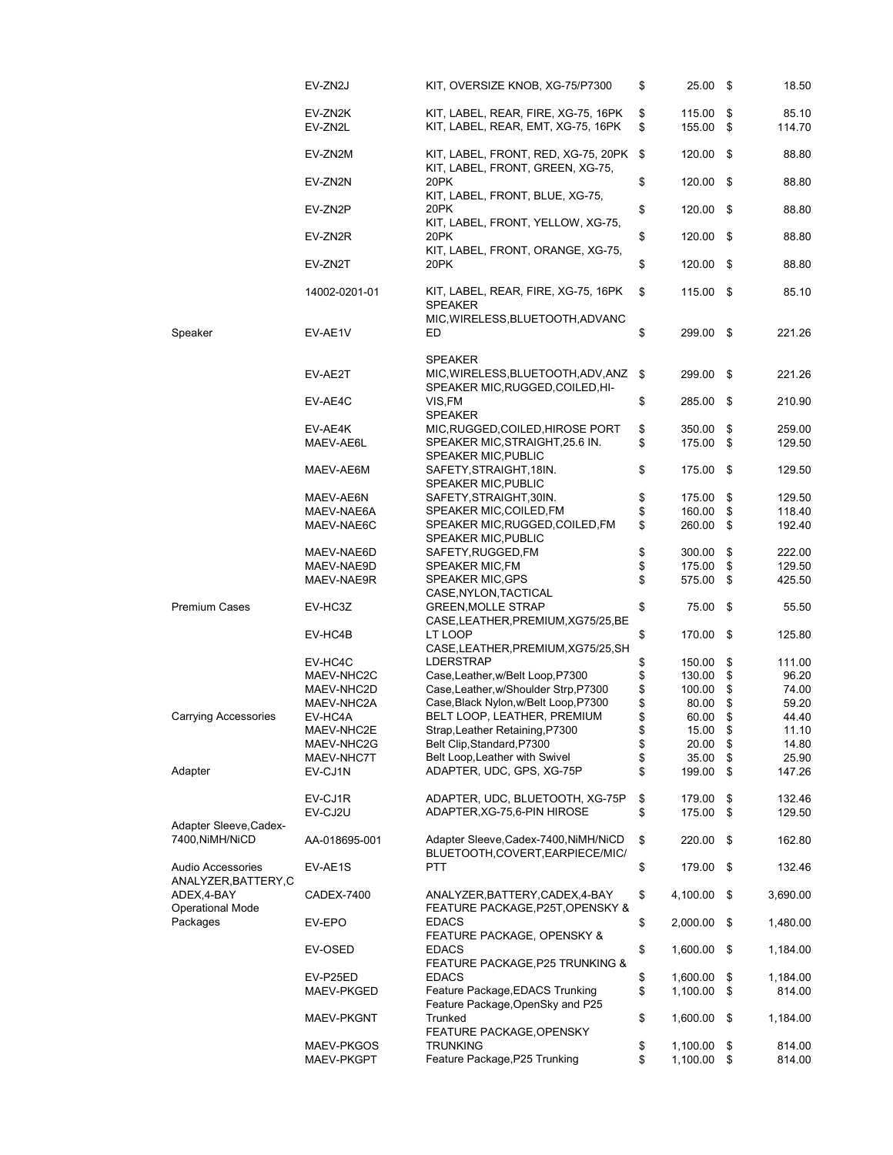|                                           | EV-ZN2J            | KIT, OVERSIZE KNOB, XG-75/P7300                                                           | \$       | 25.00 \$            |      | 18.50           |
|-------------------------------------------|--------------------|-------------------------------------------------------------------------------------------|----------|---------------------|------|-----------------|
|                                           | EV-ZN2K<br>EV-ZN2L | KIT, LABEL, REAR, FIRE, XG-75, 16PK<br>KIT, LABEL, REAR, EMT, XG-75, 16PK                 | \$<br>\$ | 115.00<br>155.00 \$ | \$   | 85.10<br>114.70 |
|                                           | EV-ZN2M            | KIT, LABEL, FRONT, RED, XG-75, 20PK<br>KIT, LABEL, FRONT, GREEN, XG-75,                   | \$       | 120.00              | - \$ | 88.80           |
|                                           | EV-ZN2N            | 20PK<br>KIT, LABEL, FRONT, BLUE, XG-75,                                                   | \$       | 120.00              | - \$ | 88.80           |
|                                           | EV-ZN2P            | 20PK<br>KIT, LABEL, FRONT, YELLOW, XG-75,                                                 | \$       | $120.00$ \$         |      | 88.80           |
|                                           | EV-ZN2R            | 20PK<br>KIT, LABEL, FRONT, ORANGE, XG-75,                                                 | \$       | 120.00              | - \$ | 88.80           |
|                                           | EV-ZN2T            | 20PK                                                                                      | \$       | 120.00 \$           |      | 88.80           |
|                                           | 14002-0201-01      | KIT, LABEL, REAR, FIRE, XG-75, 16PK<br><b>SPEAKER</b><br>MIC, WIRELESS, BLUETOOTH, ADVANC | \$       | 115.00 \$           |      | 85.10           |
| Speaker                                   | EV-AE1V            | ED                                                                                        | \$       | 299.00 \$           |      | 221.26          |
|                                           | EV-AE2T            | <b>SPEAKER</b><br>MIC, WIRELESS, BLUETOOTH, ADV, ANZ                                      | \$       | 299.00              | - \$ | 221.26          |
|                                           | EV-AE4C            | SPEAKER MIC, RUGGED, COILED, HI-<br>VIS,FM<br><b>SPEAKER</b>                              | \$       | 285.00              | -\$  | 210.90          |
|                                           |                    |                                                                                           |          |                     |      |                 |
|                                           | EV-AE4K            | MIC, RUGGED, COILED, HIROSE PORT                                                          | \$       | 350.00              | \$   | 259.00          |
|                                           | MAEV-AE6L          | SPEAKER MIC, STRAIGHT, 25.6 IN.                                                           | \$       | 175.00              | -\$  | 129.50          |
|                                           | MAEV-AE6M          | <b>SPEAKER MIC, PUBLIC</b><br>SAFETY, STRAIGHT, 18IN.<br><b>SPEAKER MIC, PUBLIC</b>       | \$       | 175.00              | -\$  | 129.50          |
|                                           | MAEV-AE6N          | SAFETY, STRAIGHT, 30IN.                                                                   | \$       | 175.00              | \$   | 129.50          |
|                                           | MAEV-NAE6A         | SPEAKER MIC, COILED, FM                                                                   | \$       | 160.00              | \$   | 118.40          |
|                                           | MAEV-NAE6C         | SPEAKER MIC, RUGGED, COILED, FM<br>SPEAKER MIC, PUBLIC                                    | \$       | 260.00              | \$   | 192.40          |
|                                           | MAEV-NAE6D         | SAFETY, RUGGED, FM                                                                        | \$       | 300.00              | \$   | 222.00          |
|                                           | MAEV-NAE9D         | SPEAKER MIC,FM                                                                            | \$       | 175.00              | \$   | 129.50          |
|                                           | MAEV-NAE9R         | <b>SPEAKER MIC, GPS</b><br>CASE, NYLON, TACTICAL                                          | \$       | 575.00 \$           |      | 425.50          |
| <b>Premium Cases</b>                      | EV-HC3Z            | <b>GREEN, MOLLE STRAP</b><br>CASE, LEATHER, PREMIUM, XG75/25, BE                          | \$       | 75.00 \$            |      | 55.50           |
|                                           | EV-HC4B            | LT LOOP<br>CASE, LEATHER, PREMIUM, XG75/25, SH                                            | \$       | 170.00              | -\$  | 125.80          |
|                                           | EV-HC4C            | <b>LDERSTRAP</b>                                                                          | \$       | 150.00              | \$   | 111.00          |
|                                           | MAEV-NHC2C         | Case, Leather, w/Belt Loop, P7300                                                         | \$       | 130.00              | \$   | 96.20           |
|                                           | MAEV-NHC2D         | Case, Leather, w/Shoulder Strp, P7300                                                     | \$       | 100.00              | \$   | 74.00           |
|                                           | MAEV-NHC2A         | Case, Black Nylon, w/Belt Loop, P7300                                                     | \$       | 80.00               | \$   | 59.20           |
| <b>Carrying Accessories</b>               | EV-HC4A            | BELT LOOP, LEATHER, PREMIUM                                                               | \$       | 60.00               | \$   | 44.40           |
|                                           | MAEV-NHC2E         | Strap, Leather Retaining, P7300                                                           | \$       | 15.00               | \$   | 11.10           |
|                                           | MAEV-NHC2G         | Belt Clip, Standard, P7300                                                                | \$       | 20.00 \$            |      | 14.80           |
|                                           | MAEV-NHC7T         | Belt Loop, Leather with Swivel                                                            | \$       | 35.00               | \$   | 25.90           |
| Adapter                                   | EV-CJ1N            | ADAPTER, UDC, GPS, XG-75P                                                                 | \$       | 199.00              | \$   | 147.26          |
|                                           | EV-CJ1R            | ADAPTER, UDC, BLUETOOTH, XG-75P                                                           | \$       | 179.00              | \$   | 132.46          |
|                                           | EV-CJ2U            | ADAPTER, XG-75, 6-PIN HIROSE                                                              | \$       | 175.00              | \$   | 129.50          |
| Adapter Sleeve, Cadex-<br>7400, NiMH/NiCD | AA-018695-001      | Adapter Sleeve, Cadex-7400, NiMH/NiCD                                                     | \$       | 220.00              | -\$  | 162.80          |
| Audio Accessories                         | EV-AE1S            | BLUETOOTH,COVERT,EARPIECE/MIC/<br>PTT                                                     | \$       | 179.00 \$           |      | 132.46          |
| ANALYZER, BATTERY, C<br>ADEX, 4-BAY       | CADEX-7400         | ANALYZER, BATTERY, CADEX, 4-BAY                                                           | \$       | 4,100.00            | -\$  | 3,690.00        |
| <b>Operational Mode</b><br>Packages       | EV-EPO             | FEATURE PACKAGE, P25T, OPENSKY &<br><b>EDACS</b>                                          | \$       | 2,000.00            | -\$  | 1,480.00        |
|                                           | EV-OSED            | <b>FEATURE PACKAGE, OPENSKY &amp;</b><br><b>EDACS</b><br>FEATURE PACKAGE, P25 TRUNKING &  | \$       | 1,600.00            | -\$  | 1,184.00        |
|                                           | EV-P25ED           | <b>EDACS</b>                                                                              | \$       | 1,600.00            | \$   | 1,184.00        |
|                                           | MAEV-PKGED         | Feature Package, EDACS Trunking<br>Feature Package, OpenSky and P25                       | \$       | 1,100.00            | \$   | 814.00          |
|                                           | MAEV-PKGNT         | Trunked<br>FEATURE PACKAGE, OPENSKY                                                       | \$       | 1,600.00            | -\$  | 1,184.00        |
|                                           | MAEV-PKGOS         | <b>TRUNKING</b>                                                                           | \$       | 1,100.00            | \$   | 814.00          |
|                                           | MAEV-PKGPT         | Feature Package, P25 Trunking                                                             | \$       | $1,100.00$ \$       |      | 814.00          |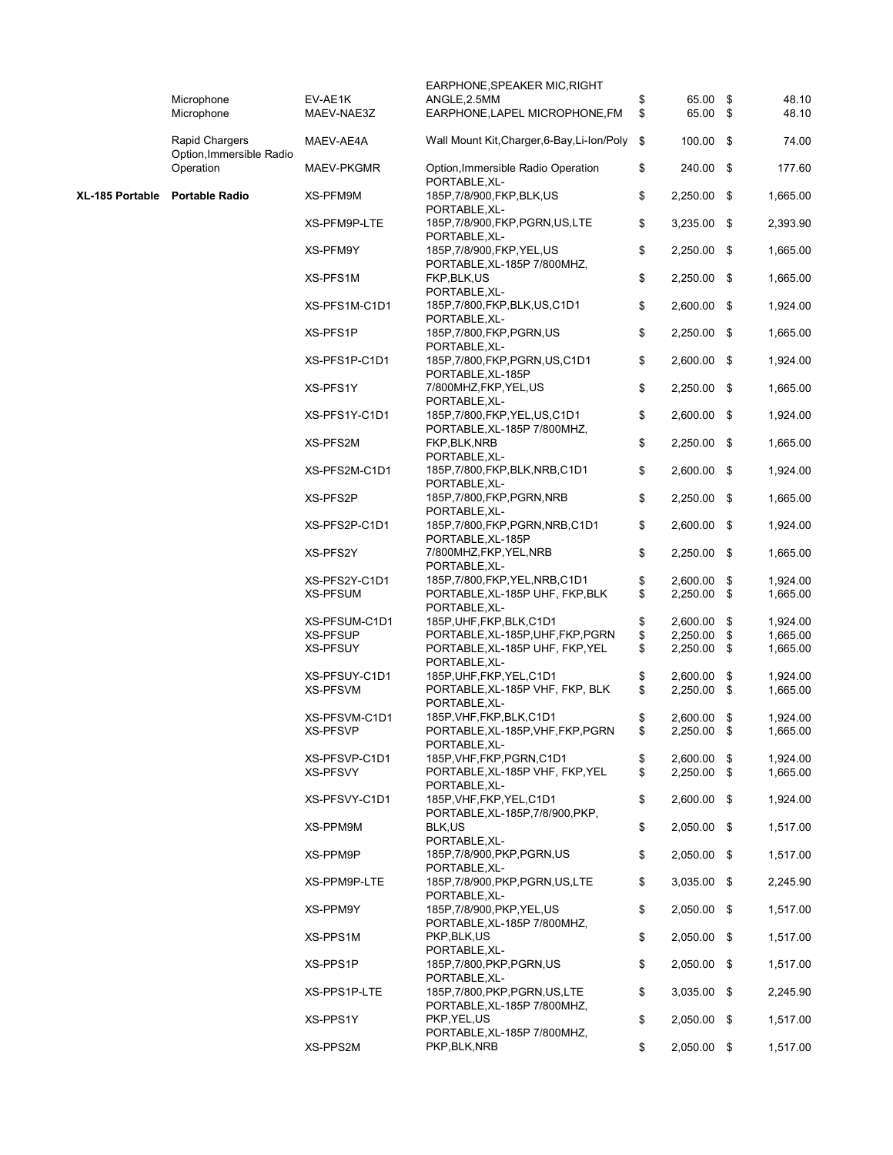|                 |                                       |                                  | EARPHONE, SPEAKER MIC, RIGHT                                                         |          |                                |                            |
|-----------------|---------------------------------------|----------------------------------|--------------------------------------------------------------------------------------|----------|--------------------------------|----------------------------|
|                 | Microphone<br>Microphone              | EV-AE1K<br>MAEV-NAE3Z            | ANGLE, 2.5MM<br>EARPHONE, LAPEL MICROPHONE, FM                                       | \$<br>\$ | 65.00 \$<br>65.00 \$           | 48.10<br>48.10             |
|                 | <b>Rapid Chargers</b>                 | MAEV-AE4A                        | Wall Mount Kit, Charger, 6-Bay, Li-Ion/Poly                                          | \$       | $100.00$ \$                    | 74.00                      |
|                 | Option, Immersible Radio<br>Operation | MAEV-PKGMR                       | Option, Immersible Radio Operation<br>PORTABLE, XL-                                  | \$       | 240.00 \$                      | 177.60                     |
| XL-185 Portable | <b>Portable Radio</b>                 | XS-PFM9M                         | 185P, 7/8/900, FKP, BLK, US<br>PORTABLE, XL-                                         | \$       | $2,250.00$ \$                  | 1,665.00                   |
|                 |                                       | XS-PFM9P-LTE                     | 185P,7/8/900,FKP,PGRN,US,LTE<br>PORTABLE, XL-                                        | \$       | 3,235.00 \$                    | 2,393.90                   |
|                 |                                       | XS-PFM9Y                         | 185P,7/8/900,FKP,YEL,US<br>PORTABLE, XL-185P 7/800MHZ,                               | \$       | 2,250.00 \$                    | 1,665.00                   |
|                 |                                       | XS-PFS1M                         | FKP, BLK, US<br>PORTABLE, XL-                                                        | \$       | 2,250.00 \$                    | 1,665.00                   |
|                 |                                       | XS-PFS1M-C1D1                    | 185P, 7/800, FKP, BLK, US, C1D1<br>PORTABLE, XL-                                     | \$       | 2,600.00 \$                    | 1,924.00                   |
|                 |                                       | XS-PFS1P                         | 185P, 7/800, FKP, PGRN, US<br>PORTABLE, XL-                                          | \$       | $2,250.00$ \$                  | 1,665.00                   |
|                 |                                       | XS-PFS1P-C1D1                    | 185P,7/800,FKP,PGRN,US,C1D1<br>PORTABLE, XL-185P                                     | \$       | 2,600.00 \$                    | 1,924.00                   |
|                 |                                       | XS-PFS1Y                         | 7/800MHZ, FKP, YEL, US<br>PORTABLE, XL-                                              | \$       | $2,250.00$ \$                  | 1,665.00                   |
|                 |                                       | XS-PFS1Y-C1D1                    | 185P, 7/800, FKP, YEL, US, C1D1<br>PORTABLE, XL-185P 7/800MHZ,                       | \$       | 2,600.00 \$                    | 1,924.00                   |
|                 |                                       | XS-PFS2M                         | FKP, BLK, NRB<br>PORTABLE, XL-                                                       | \$       | 2,250.00 \$                    | 1,665.00                   |
|                 |                                       | XS-PFS2M-C1D1                    | 185P,7/800,FKP,BLK,NRB,C1D1<br>PORTABLE, XL-                                         | \$       | $2.600.00$ \$                  | 1,924.00                   |
|                 |                                       | XS-PFS2P                         | 185P, 7/800, FKP, PGRN, NRB<br>PORTABLE, XL-                                         | \$       | 2,250.00 \$                    | 1,665.00                   |
|                 |                                       | XS-PFS2P-C1D1                    | 185P, 7/800, FKP, PGRN, NRB, C1D1<br>PORTABLE, XL-185P                               | \$       | 2,600.00 \$                    | 1,924.00                   |
|                 |                                       | XS-PFS2Y                         | 7/800MHZ, FKP, YEL, NRB<br>PORTABLE, XL-                                             | \$       | 2,250.00 \$                    | 1,665.00                   |
|                 |                                       | XS-PFS2Y-C1D1<br><b>XS-PFSUM</b> | 185P, 7/800, FKP, YEL, NRB, C1D1<br>PORTABLE, XL-185P UHF, FKP, BLK<br>PORTABLE, XL- | \$<br>\$ | 2,600.00<br>2,250.00 \$        | \$<br>1,924.00<br>1,665.00 |
|                 |                                       | XS-PFSUM-C1D1                    | 185P, UHF, FKP, BLK, C1D1                                                            | \$       | 2,600.00                       | \$<br>1,924.00             |
|                 |                                       | <b>XS-PFSUP</b>                  | PORTABLE, XL-185P, UHF, FKP, PGRN                                                    | \$       | 2,250.00                       | \$<br>1,665.00             |
|                 |                                       | <b>XS-PFSUY</b>                  | PORTABLE, XL-185P UHF, FKP, YEL<br>PORTABLE.XL-                                      | \$       | 2,250.00 \$                    | 1,665.00                   |
|                 |                                       | XS-PFSUY-C1D1                    | 185P, UHF, FKP, YEL, C1D1                                                            | \$       | 2,600.00                       | \$<br>1,924.00             |
|                 |                                       | XS-PFSVM                         | PORTABLE, XL-185P VHF, FKP, BLK<br>PORTABLE, XL-                                     | \$       | 2,250.00                       | \$<br>1,665.00             |
|                 |                                       | XS-PFSVM-C1D1                    | 185P, VHF, FKP, BLK, C1D1                                                            | \$       | 2,600.00                       | \$<br>1,924.00             |
|                 |                                       | <b>XS-PFSVP</b>                  | PORTABLE, XL-185P, VHF, FKP, PGRN<br>PORTABLE, XL-                                   | \$       | 2,250.00                       | \$<br>1,665.00             |
|                 |                                       | XS-PFSVP-C1D1                    | 185P, VHF, FKP, PGRN, C1D1                                                           | \$       | 2,600.00 \$                    | 1,924.00                   |
|                 |                                       | <b>XS-PFSVY</b>                  | PORTABLE, XL-185P VHF, FKP, YEL<br>PORTABLE, XL-<br>185P, VHF, FKP, YEL, C1D1        | \$       | 2,250.00 \$                    | 1,665.00                   |
|                 |                                       | XS-PFSVY-C1D1<br>XS-PPM9M        | PORTABLE, XL-185P, 7/8/900, PKP,<br>BLK,US                                           | \$<br>\$ | 2,600.00 \$<br>2,050.00 \$     | 1,924.00<br>1,517.00       |
|                 |                                       | XS-PPM9P                         | PORTABLE, XL-<br>185P, 7/8/900, PKP, PGRN, US                                        | \$       | $2,050.00$ \$                  | 1,517.00                   |
|                 |                                       |                                  | PORTABLE, XL-                                                                        |          |                                |                            |
|                 |                                       | XS-PPM9P-LTE                     | 185P,7/8/900, PKP, PGRN, US, LTE<br>PORTABLE, XL-<br>185P.7/8/900.PKP.YEL.US         | \$       | $3,035.00$ \$                  | 2,245.90                   |
|                 |                                       | XS-PPM9Y                         | PORTABLE, XL-185P 7/800MHZ,                                                          | \$       | $2,050.00$ \$                  | 1,517.00                   |
|                 |                                       | XS-PPS1M                         | PKP, BLK, US<br>PORTABLE, XL-                                                        | \$       | $2,050.00$ \$                  | 1,517.00                   |
|                 |                                       | XS-PPS1P<br>XS-PPS1P-LTE         | 185P,7/800, PKP, PGRN, US<br>PORTABLE, XL-<br>185P,7/800, PKP, PGRN, US, LTE         | \$<br>\$ | $2,050.00$ \$<br>$3,035.00$ \$ | 1,517.00<br>2,245.90       |
|                 |                                       |                                  | PORTABLE, XL-185P 7/800MHZ,<br>PKP, YEL, US                                          |          |                                |                            |
|                 |                                       | XS-PPS1Y                         | PORTABLE, XL-185P 7/800MHZ,<br>PKP, BLK, NRB                                         | \$<br>\$ | $2,050.00$ \$<br>2,050.00 \$   | 1,517.00<br>1,517.00       |
|                 |                                       | XS-PPS2M                         |                                                                                      |          |                                |                            |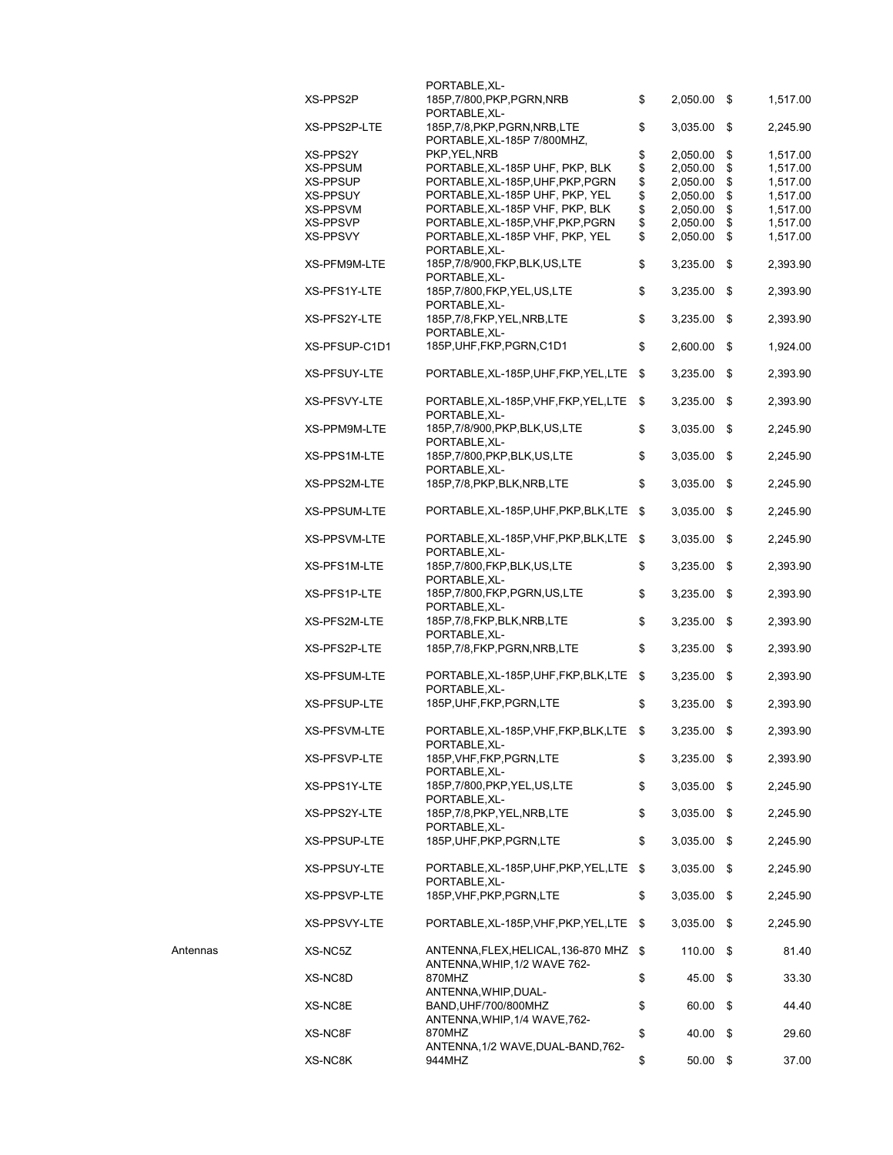|          |                     | PORTABLE, XL-                                          |     |               |            |          |
|----------|---------------------|--------------------------------------------------------|-----|---------------|------------|----------|
|          | XS-PPS2P            | 185P,7/800,PKP,PGRN,NRB<br>PORTABLE, XL-               | \$  | 2,050.00 \$   |            | 1,517.00 |
|          | XS-PPS2P-LTE        | 185P,7/8,PKP,PGRN,NRB,LTE                              | \$  | 3,035.00 \$   |            | 2,245.90 |
|          |                     | PORTABLE, XL-185P 7/800MHZ,                            |     |               |            |          |
|          | XS-PPS2Y            | PKP, YEL, NRB                                          | \$  | 2,050.00      | \$         | 1,517.00 |
|          | XS-PPSUM            | PORTABLE, XL-185P UHF, PKP, BLK                        | \$  | 2,050.00      | \$         | 1,517.00 |
|          | XS-PPSUP            | PORTABLE, XL-185P, UHF, PKP, PGRN                      | \$  | 2,050.00      | \$         | 1,517.00 |
|          | XS-PPSUY            | PORTABLE, XL-185P UHF, PKP, YEL                        | \$  | 2,050.00      | \$         | 1,517.00 |
|          | XS-PPSVM            | PORTABLE, XL-185P VHF, PKP, BLK                        | \$  | 2,050.00      | \$         | 1,517.00 |
|          | XS-PPSVP            | PORTABLE, XL-185P, VHF, PKP, PGRN                      | \$  | 2,050.00      | \$         | 1,517.00 |
|          | XS-PPSVY            | PORTABLE, XL-185P VHF, PKP, YEL                        | \$  | 2,050.00      | $\sqrt{3}$ | 1,517.00 |
|          |                     | PORTABLE, XL-                                          |     |               |            |          |
|          | XS-PFM9M-LTE        | 185P,7/8/900,FKP,BLK,US,LTE<br>PORTABLE, XL-           | \$  | 3,235.00      | \$         | 2,393.90 |
|          | XS-PFS1Y-LTE        | 185P, 7/800, FKP, YEL, US, LTE<br>PORTABLE, XL-        | \$  | 3,235.00      | \$         | 2,393.90 |
|          | XS-PFS2Y-LTE        | 185P, 7/8, FKP, YEL, NRB, LTE<br>PORTABLE, XL-         | \$  | 3,235.00 \$   |            | 2,393.90 |
|          | XS-PFSUP-C1D1       | 185P, UHF, FKP, PGRN, C1D1                             | \$  | 2,600.00      | \$         | 1,924.00 |
|          | XS-PFSUY-LTE        | PORTABLE, XL-185P, UHF, FKP, YEL, LTE \$               |     | 3,235.00      | \$         | 2,393.90 |
|          | XS-PFSVY-LTE        | PORTABLE, XL-185P, VHF, FKP, YEL, LTE<br>PORTABLE, XL- | -\$ | 3,235.00      | \$         | 2,393.90 |
|          | XS-PPM9M-LTE        | 185P,7/8/900, PKP, BLK, US, LTE<br>PORTABLE, XL-       | \$  | 3,035.00      | - \$       | 2,245.90 |
|          | XS-PPS1M-LTE        | 185P, 7/800, PKP, BLK, US, LTE                         | \$  | 3,035.00      | -\$        | 2,245.90 |
|          | XS-PPS2M-LTE        | PORTABLE.XL-<br>185P, 7/8, PKP, BLK, NRB, LTE          | \$  | 3,035.00      | \$         | 2,245.90 |
|          | XS-PPSUM-LTE        | PORTABLE, XL-185P, UHF, PKP, BLK, LTE \$               |     | $3,035.00$ \$ |            | 2,245.90 |
|          | XS-PPSVM-LTE        | PORTABLE, XL-185P, VHF, PKP, BLK, LTE \$               |     | 3,035.00      | \$         | 2,245.90 |
|          | XS-PFS1M-LTE        | PORTABLE, XL-<br>185P,7/800,FKP,BLK,US,LTE             | \$  | 3,235.00      | \$         | 2,393.90 |
|          | XS-PFS1P-LTE        | PORTABLE, XL-<br>185P,7/800,FKP,PGRN,US,LTE            | \$  | 3,235.00      | -\$        | 2,393.90 |
|          | XS-PFS2M-LTE        | PORTABLE, XL-<br>185P, 7/8, FKP, BLK, NRB, LTE         | \$  | 3,235.00      | -\$        | 2,393.90 |
|          | XS-PFS2P-LTE        | PORTABLE, XL-<br>185P,7/8,FKP,PGRN,NRB,LTE             | \$  | 3,235.00      | \$         | 2,393.90 |
|          | <b>XS-PFSUM-LTE</b> | PORTABLE, XL-185P, UHF, FKP, BLK, LTE \$               |     | 3,235.00      | \$         | 2,393.90 |
|          | XS-PFSUP-LTE        | PORTABLE, XL-<br>185P, UHF, FKP, PGRN, LTE             | \$  | $3,235.00$ \$ |            | 2,393.90 |
|          | XS-PFSVM-LTE        | PORTABLE, XL-185P, VHF, FKP, BLK, LTE                  | \$  | 3,235.00      | \$         | 2,393.90 |
|          | XS-PFSVP-LTE        | PORTABLE, XL-<br>185P, VHF, FKP, PGRN, LTE             | \$  | $3,235.00$ \$ |            | 2,393.90 |
|          | XS-PPS1Y-LTE        | PORTABLE, XL-<br>185P,7/800, PKP, YEL, US, LTE         | \$  | 3,035.00      | - \$       | 2,245.90 |
|          | XS-PPS2Y-LTE        | PORTABLE, XL-<br>185P, 7/8, PKP, YEL, NRB, LTE         | \$  | 3,035.00      | - \$       | 2,245.90 |
|          | XS-PPSUP-LTE        | PORTABLE, XL-<br>185P, UHF, PKP, PGRN, LTE             | \$  | 3,035.00      | - \$       | 2,245.90 |
|          | XS-PPSUY-LTE        | PORTABLE, XL-185P, UHF, PKP, YEL, LTE \$               |     | 3,035.00      | - \$       | 2,245.90 |
|          | XS-PPSVP-LTE        | PORTABLE, XL-<br>185P, VHF, PKP, PGRN, LTE             | \$  | 3,035.00 \$   |            | 2,245.90 |
|          | XS-PPSVY-LTE        | PORTABLE, XL-185P, VHF, PKP, YEL, LTE \$               |     | $3,035.00$ \$ |            | 2,245.90 |
| Antennas | XS-NC5Z             | ANTENNA, FLEX, HELICAL, 136-870 MHZ \$                 |     | 110.00        | \$         | 81.40    |
|          | XS-NC8D             | ANTENNA, WHIP, 1/2 WAVE 762-<br>870MHZ                 | \$  | 45.00 \$      |            | 33.30    |
|          | XS-NC8E             | ANTENNA, WHIP, DUAL-<br>BAND, UHF/700/800MHZ           | \$  | 60.00 \$      |            | 44.40    |
|          | XS-NC8F             | ANTENNA, WHIP, 1/4 WAVE, 762-<br>870MHZ                | \$  | 40.00         | -\$        | 29.60    |
|          | XS-NC8K             | ANTENNA, 1/2 WAVE, DUAL-BAND, 762-<br>944MHZ           | \$  | 50.00         | \$         | 37.00    |
|          |                     |                                                        |     |               |            |          |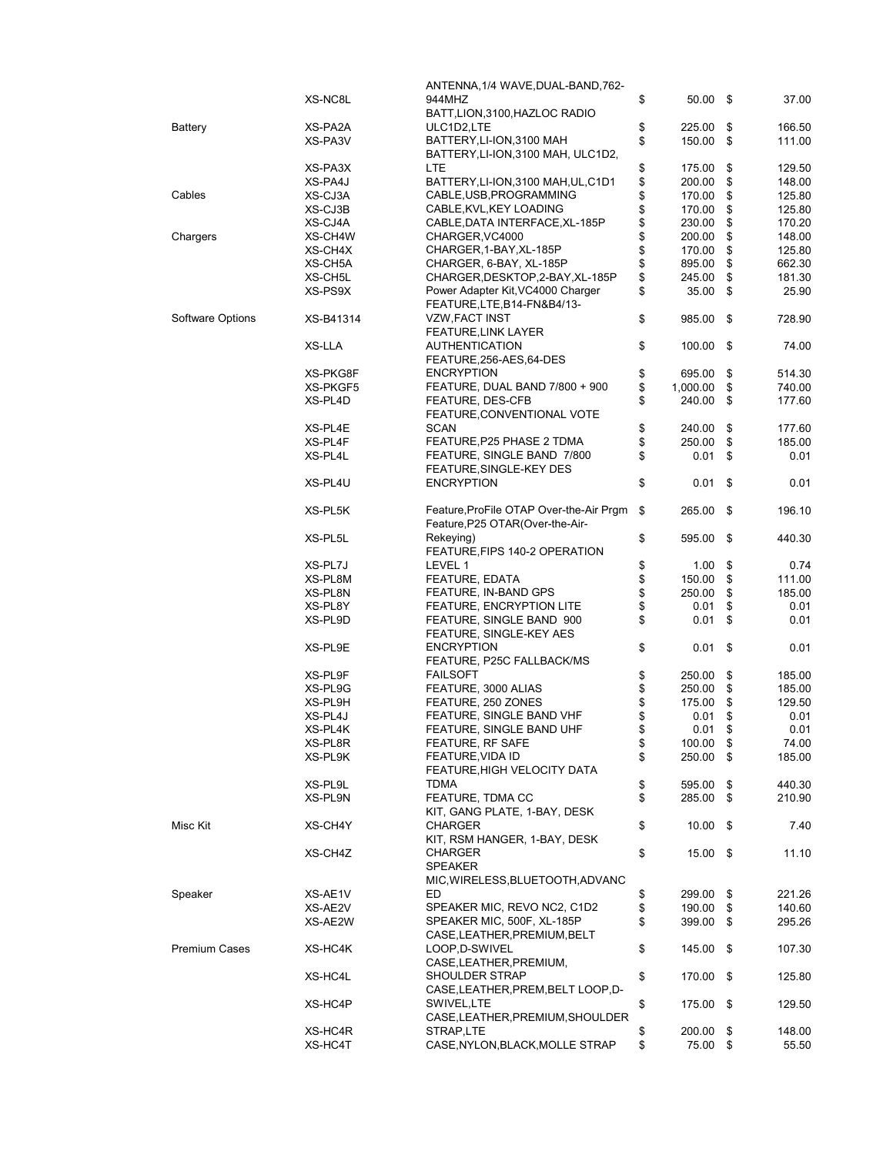|                      |           | ANTENNA, 1/4 WAVE, DUAL-BAND, 762-      |                  |      |        |
|----------------------|-----------|-----------------------------------------|------------------|------|--------|
|                      | XS-NC8L   | 944MHZ                                  | \$<br>50.00      | - \$ | 37.00  |
|                      |           | BATT, LION, 3100, HAZLOC RADIO          |                  |      |        |
|                      |           |                                         |                  |      |        |
| Battery              | XS-PA2A   | ULC1D2,LTE                              | \$<br>225.00     | \$   | 166.50 |
|                      | XS-PA3V   | BATTERY, LI-ION, 3100 MAH               | \$<br>150.00     | \$   | 111.00 |
|                      |           | BATTERY, LI-ION, 3100 MAH, ULC1D2,      |                  |      |        |
|                      | XS-PA3X   | LTE.                                    | \$<br>175.00     | \$   | 129.50 |
|                      | XS-PA4J   |                                         | \$<br>200.00     |      | 148.00 |
|                      |           | BATTERY, LI-ION, 3100 MAH, UL, C1D1     |                  | \$   |        |
| Cables               | XS-CJ3A   | CABLE, USB, PROGRAMMING                 | \$<br>170.00     | \$   | 125.80 |
|                      | XS-CJ3B   | CABLE, KVL, KEY LOADING                 | \$<br>170.00     | \$   | 125.80 |
|                      | XS-CJ4A   | CABLE, DATA INTERFACE, XL-185P          | \$<br>230.00     | \$   | 170.20 |
| Chargers             | XS-CH4W   | CHARGER, VC4000                         | \$<br>200.00     | \$   | 148.00 |
|                      |           |                                         |                  |      |        |
|                      | XS-CH4X   | CHARGER, 1-BAY, XL-185P                 | \$<br>170.00     | \$   | 125.80 |
|                      | XS-CH5A   | CHARGER, 6-BAY, XL-185P                 | \$<br>895.00     | \$   | 662.30 |
|                      | XS-CH5L   | CHARGER, DESKTOP, 2-BAY, XL-185P        | \$<br>245.00     | \$   | 181.30 |
|                      | XS-PS9X   | Power Adapter Kit, VC4000 Charger       | \$<br>35.00      | \$   | 25.90  |
|                      |           | FEATURE,LTE,B14-FN&B4/13-               |                  |      |        |
|                      |           |                                         |                  |      |        |
| Software Options     | XS-B41314 | VZW,FACT INST                           | \$<br>985.00     | \$   | 728.90 |
|                      |           | <b>FEATURE,LINK LAYER</b>               |                  |      |        |
|                      | XS-LLA    | AUTHENTICATION                          | \$<br>100.00     | \$   | 74.00  |
|                      |           | FEATURE, 256-AES, 64-DES                |                  |      |        |
|                      |           |                                         |                  |      |        |
|                      | XS-PKG8F  | <b>ENCRYPTION</b>                       | \$<br>695.00     | \$   | 514.30 |
|                      | XS-PKGF5  | FEATURE, DUAL BAND 7/800 + 900          | \$<br>1,000.00   | \$   | 740.00 |
|                      | XS-PL4D   | FEATURE, DES-CFB                        | \$<br>240.00     | \$   | 177.60 |
|                      |           | FEATURE, CONVENTIONAL VOTE              |                  |      |        |
|                      |           | <b>SCAN</b>                             |                  |      |        |
|                      | XS-PL4E   |                                         | \$<br>240.00     | \$   | 177.60 |
|                      | XS-PL4F   | FEATURE, P25 PHASE 2 TDMA               | \$<br>250.00     | \$   | 185.00 |
|                      | XS-PL4L   | FEATURE, SINGLE BAND 7/800              | \$<br>0.01       | \$   | 0.01   |
|                      |           | FEATURE, SINGLE-KEY DES                 |                  |      |        |
|                      | XS-PL4U   | <b>ENCRYPTION</b>                       | \$<br>0.01       | \$   | 0.01   |
|                      |           |                                         |                  |      |        |
|                      |           |                                         |                  |      |        |
|                      | XS-PL5K   | Feature, ProFile OTAP Over-the-Air Prgm | \$<br>265.00     | \$   | 196.10 |
|                      |           | Feature, P25 OTAR (Over-the-Air-        |                  |      |        |
|                      | XS-PL5L   | Rekeying)                               | \$<br>595.00     | \$   | 440.30 |
|                      |           | FEATURE, FIPS 140-2 OPERATION           |                  |      |        |
|                      |           |                                         |                  |      |        |
|                      | XS-PL7J   | LEVEL 1                                 | \$<br>1.00       | \$   | 0.74   |
|                      | XS-PL8M   | FEATURE, EDATA                          | \$<br>150.00     | \$   | 111.00 |
|                      | XS-PL8N   | FEATURE, IN-BAND GPS                    | \$<br>250.00     | \$   | 185.00 |
|                      | XS-PL8Y   | FEATURE, ENCRYPTION LITE                | \$<br>0.01       | \$   | 0.01   |
|                      |           |                                         |                  |      |        |
|                      | XS-PL9D   | FEATURE, SINGLE BAND 900                | \$<br>0.01       | \$   | 0.01   |
|                      |           | FEATURE, SINGLE-KEY AES                 |                  |      |        |
|                      | XS-PL9E   | <b>ENCRYPTION</b>                       | \$<br>0.01       | \$   | 0.01   |
|                      |           | FEATURE, P25C FALLBACK/MS               |                  |      |        |
|                      |           | <b>FAILSOFT</b>                         |                  |      |        |
|                      | XS-PL9F   |                                         | \$<br>250.00     | \$   | 185.00 |
|                      | XS-PL9G   | FEATURE, 3000 ALIAS                     | \$<br>250.00     | \$   | 185.00 |
|                      | XS-PL9H   | FEATURE, 250 ZONES                      | \$<br>175.00     | \$   | 129.50 |
|                      | XS-PL4J   | FEATURE, SINGLE BAND VHF                | \$<br>0.01       | \$   | 0.01   |
|                      | XS-PL4K   | FEATURE, SINGLE BAND UHF                | \$<br>0.01       | \$   | 0.01   |
|                      |           |                                         |                  |      |        |
|                      | XS-PL8R   | FEATURE, RF SAFE                        | \$<br>100.00 \$  |      | 74.00  |
|                      | XS-PL9K   | FEATURE, VIDA ID                        | \$<br>250.00     | \$   | 185.00 |
|                      |           | FEATURE, HIGH VELOCITY DATA             |                  |      |        |
|                      | XS-PL9L   | <b>TDMA</b>                             | \$<br>595.00     | \$   | 440.30 |
|                      | XS-PL9N   | FEATURE, TDMA CC                        | \$<br>285.00     | \$   | 210.90 |
|                      |           |                                         |                  |      |        |
|                      |           | KIT, GANG PLATE, 1-BAY, DESK            |                  |      |        |
| Misc Kit             | XS-CH4Y   | CHARGER                                 | \$<br>10.00      | - \$ | 7.40   |
|                      |           | KIT, RSM HANGER, 1-BAY, DESK            |                  |      |        |
|                      | XS-CH4Z   | <b>CHARGER</b>                          | \$<br>$15.00$ \$ |      | 11.10  |
|                      |           |                                         |                  |      |        |
|                      |           | SPEAKER                                 |                  |      |        |
|                      |           | MIC, WIRELESS, BLUETOOTH, ADVANC        |                  |      |        |
| Speaker              | XS-AE1V   | ED                                      | \$<br>299.00 \$  |      | 221.26 |
|                      | XS-AE2V   | SPEAKER MIC, REVO NC2, C1D2             | \$<br>190.00     | \$   | 140.60 |
|                      | XS-AE2W   | SPEAKER MIC, 500F, XL-185P              | \$<br>399.00     | \$   | 295.26 |
|                      |           |                                         |                  |      |        |
|                      |           | CASE, LEATHER, PREMIUM, BELT            |                  |      |        |
| <b>Premium Cases</b> | XS-HC4K   | LOOP,D-SWIVEL                           | \$<br>145.00     | - \$ | 107.30 |
|                      |           | CASE, LEATHER, PREMIUM,                 |                  |      |        |
|                      | XS-HC4L   | SHOULDER STRAP                          | \$<br>170.00 \$  |      | 125.80 |
|                      |           |                                         |                  |      |        |
|                      |           | CASE, LEATHER, PREM, BELT LOOP, D-      |                  |      |        |
|                      | XS-HC4P   | SWIVEL, LTE                             | \$<br>175.00 \$  |      | 129.50 |
|                      |           | CASE, LEATHER, PREMIUM, SHOULDER        |                  |      |        |
|                      | XS-HC4R   | STRAP,LTE                               | \$<br>200.00     | \$   | 148.00 |
|                      | XS-HC4T   | CASE, NYLON, BLACK, MOLLE STRAP         | \$<br>75.00      | \$   | 55.50  |
|                      |           |                                         |                  |      |        |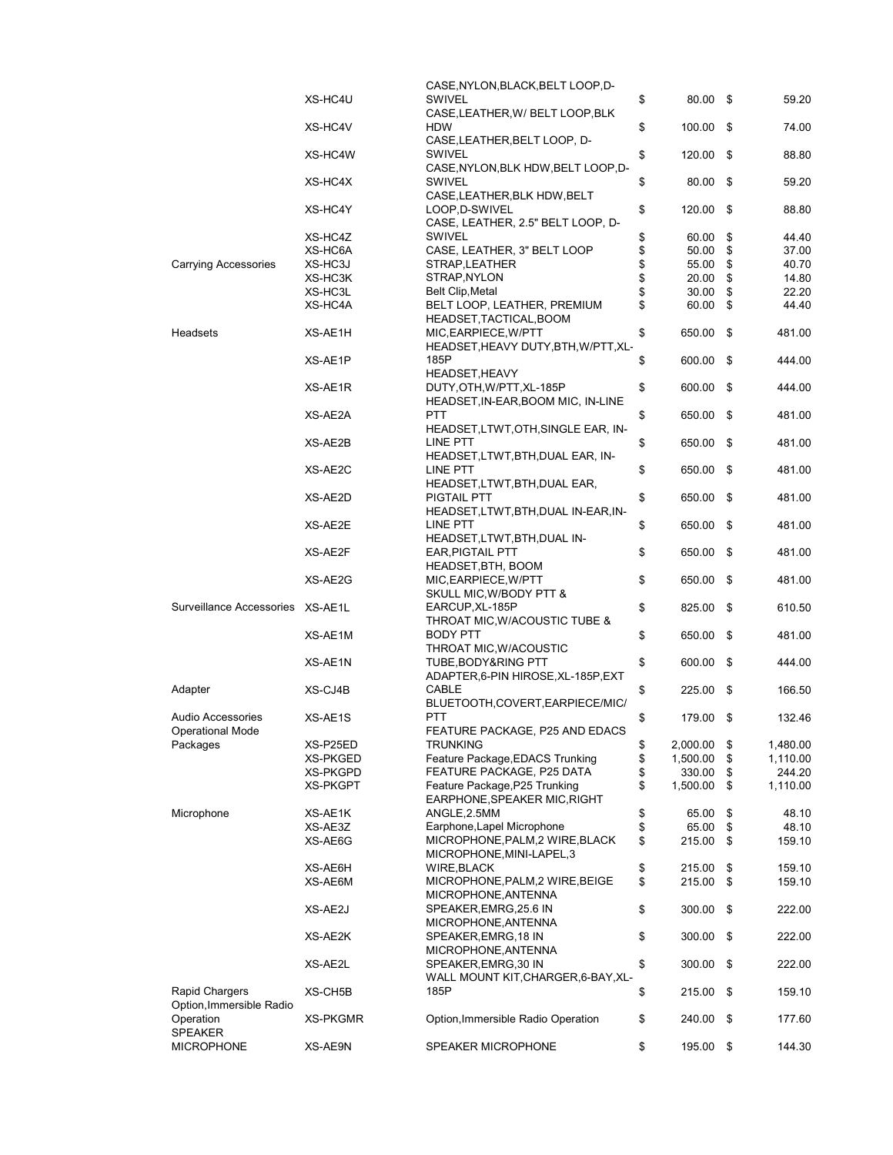|                                  |          | CASE, NYLON, BLACK, BELT LOOP, D-    |                   |      |          |
|----------------------------------|----------|--------------------------------------|-------------------|------|----------|
|                                  | XS-HC4U  | SWIVEL                               | \$<br>80.00 \$    |      | 59.20    |
|                                  |          | CASE, LEATHER, W/ BELT LOOP, BLK     |                   |      |          |
|                                  | XS-HC4V  | HDW                                  | \$<br>$100.00$ \$ |      | 74.00    |
|                                  |          | CASE, LEATHER, BELT LOOP, D-         |                   |      |          |
|                                  | XS-HC4W  | <b>SWIVEL</b>                        | \$<br>120.00      | -\$  | 88.80    |
|                                  |          | CASE, NYLON, BLK HDW, BELT LOOP, D-  |                   |      |          |
|                                  | XS-HC4X  | <b>SWIVEL</b>                        | \$<br>80.00       | - \$ | 59.20    |
|                                  |          | CASE, LEATHER, BLK HDW, BELT         |                   |      |          |
|                                  | XS-HC4Y  | LOOP, D-SWIVEL                       | \$<br>120.00      | -\$  | 88.80    |
|                                  |          | CASE, LEATHER, 2.5" BELT LOOP, D-    |                   |      |          |
|                                  | XS-HC4Z  | <b>SWIVEL</b>                        | \$<br>60.00       | \$   | 44.40    |
|                                  | XS-HC6A  | CASE, LEATHER, 3" BELT LOOP          | \$<br>50.00       | \$   | 37.00    |
| <b>Carrying Accessories</b>      |          |                                      |                   |      |          |
|                                  | XS-HC3J  | STRAP, LEATHER                       | \$<br>55.00       | \$   | 40.70    |
|                                  | XS-HC3K  | STRAP, NYLON                         | \$<br>20.00       | \$   | 14.80    |
|                                  | XS-HC3L  | <b>Belt Clip, Metal</b>              | \$<br>30.00       | \$   | 22.20    |
|                                  | XS-HC4A  | BELT LOOP, LEATHER, PREMIUM          | \$<br>60.00       | \$   | 44.40    |
|                                  |          | HEADSET, TACTICAL, BOOM              |                   |      |          |
| Headsets                         | XS-AE1H  | MIC, EARPIECE, W/PTT                 | \$<br>650.00      | \$   | 481.00   |
|                                  |          | HEADSET, HEAVY DUTY, BTH, W/PTT, XL- |                   |      |          |
|                                  | XS-AE1P  | 185P                                 | \$<br>600.00      | \$   | 444.00   |
|                                  |          | <b>HEADSET, HEAVY</b>                |                   |      |          |
|                                  | XS-AE1R  | DUTY, OTH, W/PTT, XL-185P            | \$<br>600.00      | \$   | 444.00   |
|                                  |          | HEADSET, IN-EAR, BOOM MIC, IN-LINE   |                   |      |          |
|                                  | XS-AE2A  | PTT                                  | 650.00            | \$   | 481.00   |
|                                  |          |                                      | \$                |      |          |
|                                  |          | HEADSET, LTWT, OTH, SINGLE EAR, IN-  |                   |      |          |
|                                  | XS-AE2B  | LINE PTT                             | \$<br>650.00      | - \$ | 481.00   |
|                                  |          | HEADSET,LTWT,BTH,DUAL EAR, IN-       |                   |      |          |
|                                  | XS-AE2C  | LINE PTT                             | \$<br>650.00      | \$   | 481.00   |
|                                  |          | HEADSET, LTWT, BTH, DUAL EAR,        |                   |      |          |
|                                  | XS-AE2D  | <b>PIGTAIL PTT</b>                   | \$<br>650.00      | -\$  | 481.00   |
|                                  |          | HEADSET,LTWT,BTH,DUAL IN-EAR,IN-     |                   |      |          |
|                                  | XS-AE2E  | LINE PTT                             | \$<br>650.00      | \$   | 481.00   |
|                                  |          | HEADSET, LTWT, BTH, DUAL IN-         |                   |      |          |
|                                  | XS-AE2F  | <b>EAR, PIGTAIL PTT</b>              | \$<br>650.00      | \$   | 481.00   |
|                                  |          |                                      |                   |      |          |
|                                  |          | HEADSET, BTH, BOOM                   |                   |      |          |
|                                  | XS-AE2G  | MIC, EARPIECE, W/PTT                 | \$<br>650.00      | - \$ | 481.00   |
|                                  |          | SKULL MIC, W/BODY PTT &              |                   |      |          |
| Surveillance Accessories XS-AE1L |          | EARCUP, XL-185P                      | \$<br>825.00      | -\$  | 610.50   |
|                                  |          | THROAT MIC, W/ACOUSTIC TUBE &        |                   |      |          |
|                                  | XS-AE1M  | <b>BODY PTT</b>                      | \$<br>650.00      | - \$ | 481.00   |
|                                  |          | THROAT MIC, W/ACOUSTIC               |                   |      |          |
|                                  | XS-AE1N  | TUBE, BODY&RING PTT                  | \$<br>600.00      | \$   | 444.00   |
|                                  |          | ADAPTER, 6-PIN HIROSE, XL-185P, EXT  |                   |      |          |
| Adapter                          | XS-CJ4B  | CABLE                                | \$<br>225.00      | \$   | 166.50   |
|                                  |          |                                      |                   |      |          |
|                                  |          | BLUETOOTH,COVERT,EARPIECE/MIC/       |                   |      |          |
| Audio Accessories                | XS-AE1S  | <b>PTT</b>                           | \$<br>179.00      | -\$  | 132.46   |
| Operational Mode                 |          | FEATURE PACKAGE, P25 AND EDACS       |                   |      |          |
| Packages                         | XS-P25ED | <b>TRUNKING</b>                      | \$<br>2,000.00    | \$   | 1,480.00 |
|                                  | XS-PKGED | Feature Package, EDACS Trunking      | \$<br>1,500.00    | \$   | 1,110.00 |
|                                  | XS-PKGPD | FEATURE PACKAGE, P25 DATA            | \$<br>330.00      | \$   | 244.20   |
|                                  | XS-PKGPT | Feature Package, P25 Trunking        | \$<br>1,500.00    | \$   | 1,110.00 |
|                                  |          | EARPHONE, SPEAKER MIC, RIGHT         |                   |      |          |
| Microphone                       | XS-AE1K  | ANGLE, 2.5MM                         | \$<br>65.00       | \$   | 48.10    |
|                                  | XS-AE3Z  | Earphone, Lapel Microphone           | \$<br>65.00       | \$   | 48.10    |
|                                  | XS-AE6G  | MICROPHONE, PALM, 2 WIRE, BLACK      | \$<br>215.00      | \$   | 159.10   |
|                                  |          | MICROPHONE, MINI-LAPEL, 3            |                   |      |          |
|                                  |          | WIRE, BLACK                          |                   |      |          |
|                                  | XS-AE6H  |                                      | \$<br>215.00      | \$   | 159.10   |
|                                  | XS-AE6M  | MICROPHONE, PALM, 2 WIRE, BEIGE      | \$<br>215.00      | \$   | 159.10   |
|                                  |          | MICROPHONE, ANTENNA                  |                   |      |          |
|                                  | XS-AE2J  | SPEAKER, EMRG, 25.6 IN               | \$<br>300.00      | \$   | 222.00   |
|                                  |          | MICROPHONE, ANTENNA                  |                   |      |          |
|                                  | XS-AE2K  | SPEAKER, EMRG, 18 IN                 | \$<br>300.00      | \$   | 222.00   |
|                                  |          | MICROPHONE, ANTENNA                  |                   |      |          |
|                                  | XS-AE2L  | SPEAKER, EMRG, 30 IN                 | \$<br>300.00      | \$   | 222.00   |
|                                  |          | WALL MOUNT KIT, CHARGER, 6-BAY, XL-  |                   |      |          |
| Rapid Chargers                   | XS-CH5B  | 185P                                 | \$<br>215.00      | \$   | 159.10   |
| Option, Immersible Radio         |          |                                      |                   |      |          |
| Operation                        | XS-PKGMR | Option, Immersible Radio Operation   | \$<br>240.00      | \$   | 177.60   |
| <b>SPEAKER</b>                   |          |                                      |                   |      |          |
| <b>MICROPHONE</b>                | XS-AE9N  | <b>SPEAKER MICROPHONE</b>            | \$<br>195.00 \$   |      | 144.30   |
|                                  |          |                                      |                   |      |          |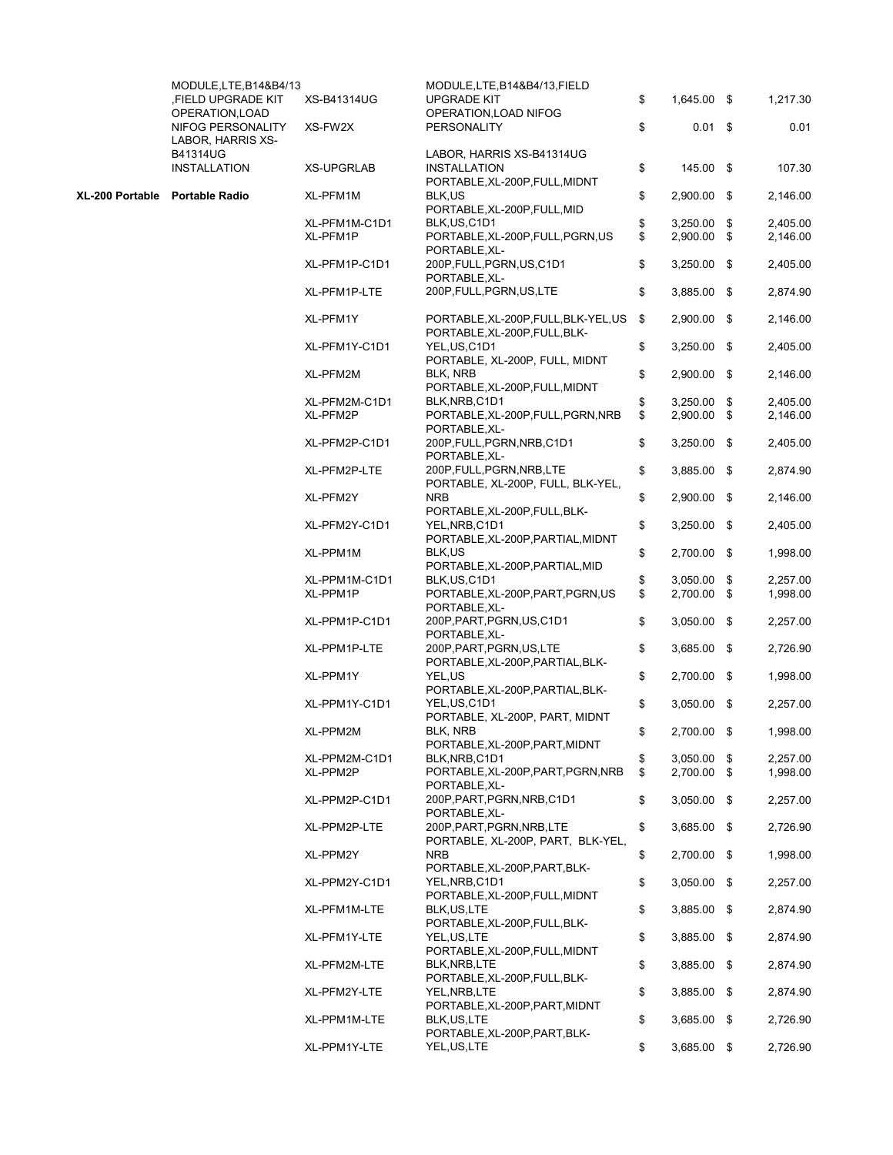|                                | MODULE, LTE, B14&B4/13<br>FIELD UPGRADE KIT, | XS-B41314UG                                         | MODULE, LTE, B14&B4/13, FIELD<br><b>UPGRADE KIT</b>                                | \$<br>1,645.00 \$   | 1,217.30 |
|--------------------------------|----------------------------------------------|-----------------------------------------------------|------------------------------------------------------------------------------------|---------------------|----------|
|                                | OPERATION, LOAD<br>NIFOG PERSONALITY         | XS-FW2X                                             | OPERATION, LOAD NIFOG<br>PERSONALITY                                               | \$<br>$0.01$ \$     | 0.01     |
|                                | LABOR, HARRIS XS-<br><b>B41314UG</b>         |                                                     |                                                                                    |                     |          |
|                                | <b>INSTALLATION</b>                          | <b>XS-UPGRLAB</b>                                   | LABOR, HARRIS XS-B41314UG<br><b>INSTALLATION</b><br>PORTABLE, XL-200P, FULL, MIDNT | \$<br>145.00 \$     | 107.30   |
| XL-200 Portable Portable Radio |                                              | XL-PFM1M                                            | BLK,US<br>PORTABLE, XL-200P, FULL, MID                                             | \$<br>$2,900.00$ \$ | 2,146.00 |
|                                |                                              | XL-PFM1M-C1D1                                       | BLK, US, C1D1                                                                      | \$<br>$3,250.00$ \$ | 2,405.00 |
|                                |                                              | XL-PFM1P                                            | PORTABLE, XL-200P, FULL, PGRN, US                                                  | \$<br>$2,900.00$ \$ | 2,146.00 |
|                                |                                              |                                                     | PORTABLE, XL-                                                                      |                     |          |
|                                |                                              | XL-PFM1P-C1D1                                       | 200P, FULL, PGRN, US, C1D1<br>PORTABLE.XL-                                         | \$<br>$3,250.00$ \$ | 2,405.00 |
|                                |                                              | XL-PFM1P-LTE                                        | 200P, FULL, PGRN, US, LTE                                                          | \$<br>3,885.00 \$   | 2,874.90 |
|                                |                                              | XL-PFM1Y                                            | PORTABLE, XL-200P, FULL, BLK-YEL, US<br>PORTABLE, XL-200P, FULL, BLK-              | \$<br>2,900.00 \$   | 2,146.00 |
|                                | XL-PFM1Y-C1D1                                | YEL, US, C1D1<br>PORTABLE, XL-200P, FULL, MIDNT     | \$<br>3,250.00 \$                                                                  | 2,405.00            |          |
|                                | XL-PFM2M                                     | BLK, NRB<br>PORTABLE, XL-200P, FULL, MIDNT          | \$<br>2,900.00 \$                                                                  | 2,146.00            |          |
|                                |                                              | XL-PFM2M-C1D1                                       | BLK, NRB, C1D1                                                                     | \$<br>$3,250.00$ \$ | 2,405.00 |
|                                | XL-PFM2P                                     | PORTABLE, XL-200P, FULL, PGRN, NRB<br>PORTABLE, XL- | \$<br>2,900.00 \$                                                                  | 2,146.00            |          |
|                                | XL-PFM2P-C1D1                                | 200P, FULL, PGRN, NRB, C1D1<br>PORTABLE, XL-        | \$<br>$3,250.00$ \$                                                                | 2,405.00            |          |
|                                |                                              | XL-PFM2P-LTE                                        | 200P, FULL, PGRN, NRB, LTE<br>PORTABLE, XL-200P, FULL, BLK-YEL,                    | \$<br>$3,885.00$ \$ | 2,874.90 |
|                                |                                              | XL-PFM2Y                                            | <b>NRB</b><br>PORTABLE, XL-200P, FULL, BLK-                                        | \$<br>2,900.00 \$   | 2,146.00 |
|                                |                                              | XL-PFM2Y-C1D1                                       | YEL, NRB, C1D1<br>PORTABLE, XL-200P, PARTIAL, MIDNT                                | \$<br>$3,250.00$ \$ | 2,405.00 |
|                                |                                              | XL-PPM1M                                            | BLK,US<br>PORTABLE, XL-200P, PARTIAL, MID                                          | \$<br>2,700.00 \$   | 1,998.00 |
|                                |                                              | XL-PPM1M-C1D1                                       | BLK, US, C1D1                                                                      | \$<br>$3,050.00$ \$ | 2,257.00 |
|                                |                                              | XL-PPM1P                                            | PORTABLE, XL-200P, PART, PGRN, US<br>PORTABLE, XL-                                 | \$<br>2,700.00 \$   | 1,998.00 |
|                                |                                              | XL-PPM1P-C1D1                                       | 200P, PART, PGRN, US, C1D1<br>PORTABLE, XL-                                        | \$<br>$3,050.00$ \$ | 2,257.00 |
|                                |                                              | XL-PPM1P-LTE                                        | 200P, PART, PGRN, US, LTE<br>PORTABLE, XL-200P, PARTIAL, BLK-                      | \$<br>3,685.00 \$   | 2,726.90 |
|                                |                                              | XL-PPM1Y                                            | YEL,US<br>PORTABLE, XL-200P, PARTIAL, BLK-                                         | \$<br>2,700.00 \$   | 1,998.00 |
|                                |                                              | XL-PPM1Y-C1D1                                       | YEL, US, C1D1<br>PORTABLE, XL-200P, PART, MIDNT                                    | \$<br>$3,050.00$ \$ | 2,257.00 |
|                                |                                              | XL-PPM2M                                            | BLK, NRB<br>PORTABLE, XL-200P, PART, MIDNT                                         | \$<br>2,700.00 \$   | 1,998.00 |
|                                |                                              | XL-PPM2M-C1D1                                       | BLK, NRB, C1D1                                                                     | \$<br>$3,050.00$ \$ | 2,257.00 |
|                                |                                              | XL-PPM2P                                            | PORTABLE, XL-200P, PART, PGRN, NRB<br>PORTABLE, XL-                                | \$<br>2,700.00 \$   | 1,998.00 |
|                                |                                              | XL-PPM2P-C1D1                                       | 200P, PART, PGRN, NRB, C1D1<br>PORTABLE, XL-                                       | \$<br>$3,050.00$ \$ | 2,257.00 |
|                                |                                              | XL-PPM2P-LTE                                        | 200P, PART, PGRN, NRB, LTE<br>PORTABLE, XL-200P, PART, BLK-YEL,                    | \$<br>3,685.00 \$   | 2,726.90 |
|                                |                                              | XL-PPM2Y                                            | <b>NRB</b><br>PORTABLE, XL-200P, PART, BLK-                                        | \$<br>2,700.00 \$   | 1,998.00 |
|                                |                                              | XL-PPM2Y-C1D1                                       | YEL, NRB, C1D1<br>PORTABLE, XL-200P, FULL, MIDNT                                   | \$<br>$3,050.00$ \$ | 2,257.00 |
|                                |                                              | XL-PFM1M-LTE                                        | BLK, US, LTE<br>PORTABLE, XL-200P, FULL, BLK-                                      | \$<br>$3,885.00$ \$ | 2,874.90 |
|                                |                                              | XL-PFM1Y-LTE                                        | YEL, US, LTE<br>PORTABLE, XL-200P, FULL, MIDNT                                     | \$<br>$3,885.00$ \$ | 2,874.90 |
|                                |                                              | XL-PFM2M-LTE                                        | BLK, NRB, LTE<br>PORTABLE, XL-200P, FULL, BLK-                                     | \$<br>$3,885.00$ \$ | 2,874.90 |
|                                |                                              | XL-PFM2Y-LTE                                        | YEL, NRB, LTE<br>PORTABLE, XL-200P, PART, MIDNT                                    | \$<br>$3,885.00$ \$ | 2,874.90 |
|                                |                                              | XL-PPM1M-LTE                                        | BLK, US, LTE<br>PORTABLE, XL-200P, PART, BLK-                                      | \$<br>$3,685.00$ \$ | 2,726.90 |
|                                |                                              | XL-PPM1Y-LTE                                        | YEL, US, LTE                                                                       | \$<br>3,685.00 \$   | 2,726.90 |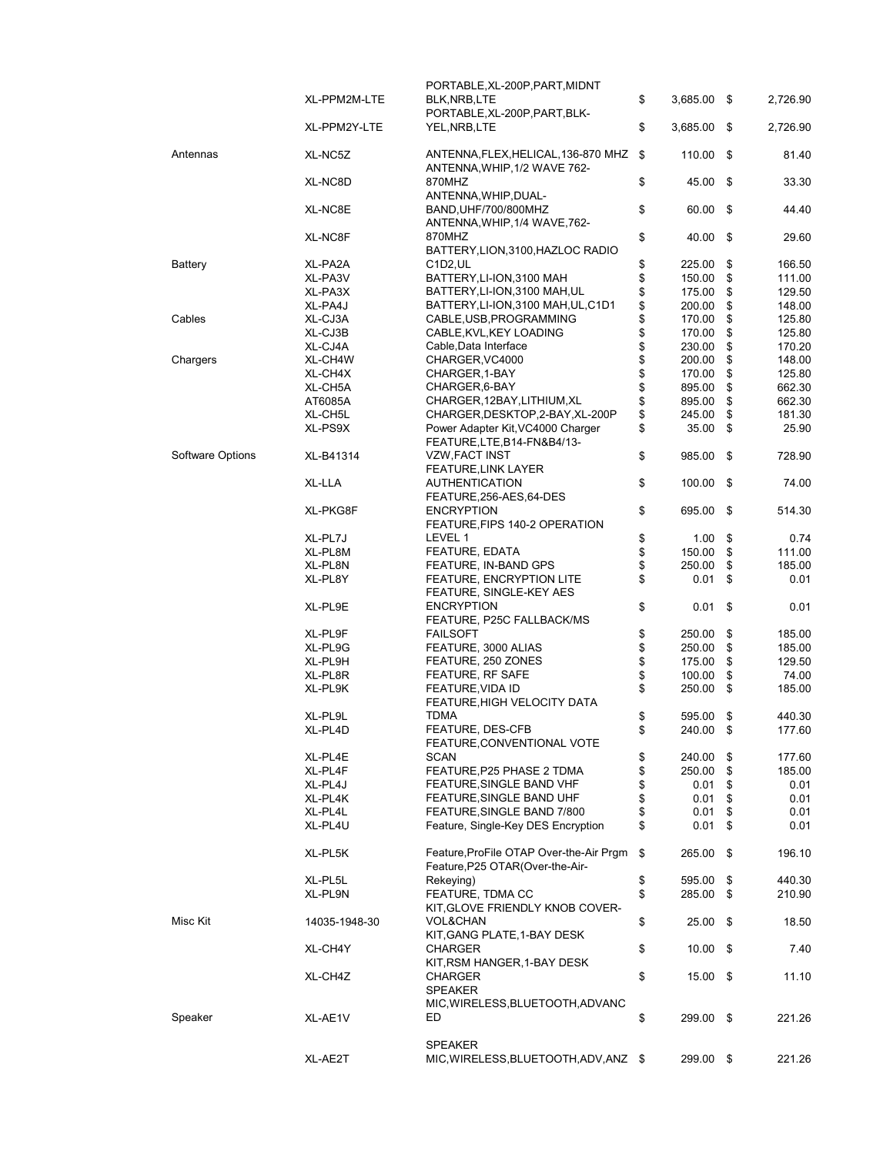|                  |               | PORTABLE, XL-200P, PART, MIDNT          |          |            |      |          |
|------------------|---------------|-----------------------------------------|----------|------------|------|----------|
|                  | XL-PPM2M-LTE  | BLK, NRB, LTE                           | \$       | 3,685.00   | - \$ | 2,726.90 |
|                  |               | PORTABLE, XL-200P, PART, BLK-           |          |            |      |          |
|                  | XL-PPM2Y-LTE  |                                         |          |            |      |          |
|                  |               | YEL,NRB,LTE                             | \$       | 3,685.00   | - \$ | 2,726.90 |
|                  |               |                                         |          |            |      |          |
| Antennas         | XL-NC5Z       | ANTENNA,FLEX,HELICAL,136-870 MHZ        | \$       | 110.00     | \$   | 81.40    |
|                  |               | ANTENNA, WHIP, 1/2 WAVE 762-            |          |            |      |          |
|                  | XL-NC8D       | 870MHZ                                  | \$       | 45.00      | - \$ | 33.30    |
|                  |               |                                         |          |            |      |          |
|                  |               | ANTENNA, WHIP, DUAL-                    |          |            |      |          |
|                  | XL-NC8E       | BAND, UHF/700/800MHZ                    | \$       | 60.00      | \$   | 44.40    |
|                  |               | ANTENNA, WHIP, 1/4 WAVE, 762-           |          |            |      |          |
|                  | XL-NC8F       | 870MHZ                                  | \$       | 40.00      | - \$ | 29.60    |
|                  |               | BATTERY, LION, 3100, HAZLOC RADIO       |          |            |      |          |
|                  |               |                                         |          |            |      |          |
| Battery          | XL-PA2A       | C <sub>1</sub> D <sub>2</sub> , UL      | \$       | 225.00     | \$   | 166.50   |
|                  | XL-PA3V       | BATTERY, LI-ION, 3100 MAH               | \$       | 150.00     | \$   | 111.00   |
|                  | XL-PA3X       | BATTERY, LI-ION, 3100 MAH, UL           | \$       | 175.00     | \$   | 129.50   |
|                  | XL-PA4J       | BATTERY, LI-ION, 3100 MAH, UL, C1D1     | \$       | 200.00     | \$   | 148.00   |
| Cables           | XL-CJ3A       |                                         | \$       |            | \$   |          |
|                  |               | CABLE, USB, PROGRAMMING                 |          | 170.00     |      | 125.80   |
|                  | XL-CJ3B       | CABLE, KVL, KEY LOADING                 | \$       | 170.00     | \$   | 125.80   |
|                  | XL-CJ4A       | Cable, Data Interface                   | \$       | 230.00     | \$   | 170.20   |
| Chargers         | XL-CH4W       | CHARGER, VC4000                         | \$       | 200.00     | \$   | 148.00   |
|                  | XL-CH4X       | CHARGER, 1-BAY                          | \$       | 170.00     | \$   | 125.80   |
|                  |               |                                         |          |            |      |          |
|                  | XL-CH5A       | CHARGER, 6-BAY                          | \$       | 895.00     | \$   | 662.30   |
|                  | AT6085A       | CHARGER, 12BAY, LITHIUM, XL             | \$       | 895.00     | \$   | 662.30   |
|                  | XL-CH5L       | CHARGER, DESKTOP, 2-BAY, XL-200P        | \$       | 245.00     | \$   | 181.30   |
|                  | XL-PS9X       | Power Adapter Kit, VC4000 Charger       | \$       | 35.00      | \$   | 25.90    |
|                  |               |                                         |          |            |      |          |
|                  |               | FEATURE, LTE, B14-FN&B4/13-             |          |            |      |          |
| Software Options | XL-B41314     | <b>VZW, FACT INST</b>                   | \$       | 985.00     | \$   | 728.90   |
|                  |               | <b>FEATURE, LINK LAYER</b>              |          |            |      |          |
|                  | XL-LLA        | <b>AUTHENTICATION</b>                   | \$       | 100.00     | \$   | 74.00    |
|                  |               |                                         |          |            |      |          |
|                  |               | FEATURE, 256-AES, 64-DES                |          |            |      |          |
|                  | XL-PKG8F      | <b>ENCRYPTION</b>                       | \$       | 695.00     | - \$ | 514.30   |
|                  |               | FEATURE, FIPS 140-2 OPERATION           |          |            |      |          |
|                  | XL-PL7J       | LEVEL 1                                 | \$       | 1.00       | \$   | 0.74     |
|                  |               |                                         |          |            |      |          |
|                  | XL-PL8M       | <b>FEATURE, EDATA</b>                   | \$<br>\$ | 150.00     | \$   | 111.00   |
|                  | XL-PL8N       | FEATURE, IN-BAND GPS                    |          | 250.00     | \$   | 185.00   |
|                  | XL-PL8Y       | FEATURE, ENCRYPTION LITE                | \$       | 0.01       | \$   | 0.01     |
|                  |               | FEATURE, SINGLE-KEY AES                 |          |            |      |          |
|                  | XL-PL9E       | <b>ENCRYPTION</b>                       | \$       | 0.01       | \$   | 0.01     |
|                  |               |                                         |          |            |      |          |
|                  |               | FEATURE, P25C FALLBACK/MS               |          |            |      |          |
|                  | XL-PL9F       | <b>FAILSOFT</b>                         | \$       | 250.00     | \$   | 185.00   |
|                  | XL-PL9G       | FEATURE, 3000 ALIAS                     | \$       | 250.00     | \$   | 185.00   |
|                  | XL-PL9H       | FEATURE, 250 ZONES                      | \$       | 175.00     | \$   | 129.50   |
|                  | XL-PL8R       | FEATURE, RF SAFE                        | \$       |            | \$   |          |
|                  |               |                                         |          | 100.00     |      | 74.00    |
|                  | XL-PL9K       | FEATURE, VIDA ID                        | \$       | 250.00     | \$   | 185.00   |
|                  |               | FEATURE, HIGH VELOCITY DATA             |          |            |      |          |
|                  | XL-PL9L       | TDMA                                    | \$       | 595.00     | \$   | 440.30   |
|                  | XL-PL4D       | FEATURE, DES-CFB                        | \$       |            | \$   |          |
|                  |               |                                         |          | 240.00     |      | 177.60   |
|                  |               | FEATURE, CONVENTIONAL VOTE              |          |            |      |          |
|                  | XL-PL4E       | <b>SCAN</b>                             | \$       | 240.00     | \$   | 177.60   |
|                  | XL-PL4F       | FEATURE, P25 PHASE 2 TDMA               | \$       | 250.00     | \$   | 185.00   |
|                  | XL-PL4J       | FEATURE, SINGLE BAND VHF                | \$       | 0.01       | \$   | 0.01     |
|                  |               |                                         |          |            |      |          |
|                  | XL-PL4K       | FEATURE, SINGLE BAND UHF                | \$       | 0.01       | \$   | 0.01     |
|                  | XL-PL4L       | FEATURE, SINGLE BAND 7/800              | \$       | 0.01       | \$   | 0.01     |
|                  | XL-PL4U       | Feature, Single-Key DES Encryption      | \$       | 0.01       | \$   | 0.01     |
|                  |               |                                         |          |            |      |          |
|                  |               |                                         |          |            |      |          |
|                  | XL-PL5K       | Feature, ProFile OTAP Over-the-Air Prgm | \$       | 265.00 \$  |      | 196.10   |
|                  |               | Feature, P25 OTAR(Over-the-Air-         |          |            |      |          |
|                  | XL-PL5L       | Rekeying)                               | \$       | 595.00     | \$   | 440.30   |
|                  | XL-PL9N       | FEATURE, TDMA CC                        | \$       | 285.00     | \$   | 210.90   |
|                  |               | KIT, GLOVE FRIENDLY KNOB COVER-         |          |            |      |          |
|                  |               |                                         |          |            |      |          |
| Misc Kit         | 14035-1948-30 | <b>VOL&amp;CHAN</b>                     | \$       | 25.00      | - \$ | 18.50    |
|                  |               | KIT, GANG PLATE, 1-BAY DESK             |          |            |      |          |
|                  | XL-CH4Y       | CHARGER                                 | \$       | $10.00$ \$ |      | 7.40     |
|                  |               | KIT, RSM HANGER, 1-BAY DESK             |          |            |      |          |
|                  |               |                                         |          |            |      |          |
|                  | XL-CH4Z       | CHARGER                                 | \$       | $15.00$ \$ |      | 11.10    |
|                  |               | <b>SPEAKER</b>                          |          |            |      |          |
|                  |               | MIC, WIRELESS, BLUETOOTH, ADVANC        |          |            |      |          |
| Speaker          | XL-AE1V       | ED.                                     | \$       | 299.00 \$  |      | 221.26   |
|                  |               |                                         |          |            |      |          |
|                  |               |                                         |          |            |      |          |
|                  |               | <b>SPEAKER</b>                          |          |            |      |          |
|                  | XL-AE2T       | MIC, WIRELESS, BLUETOOTH, ADV, ANZ \$   |          | 299.00 \$  |      | 221.26   |
|                  |               |                                         |          |            |      |          |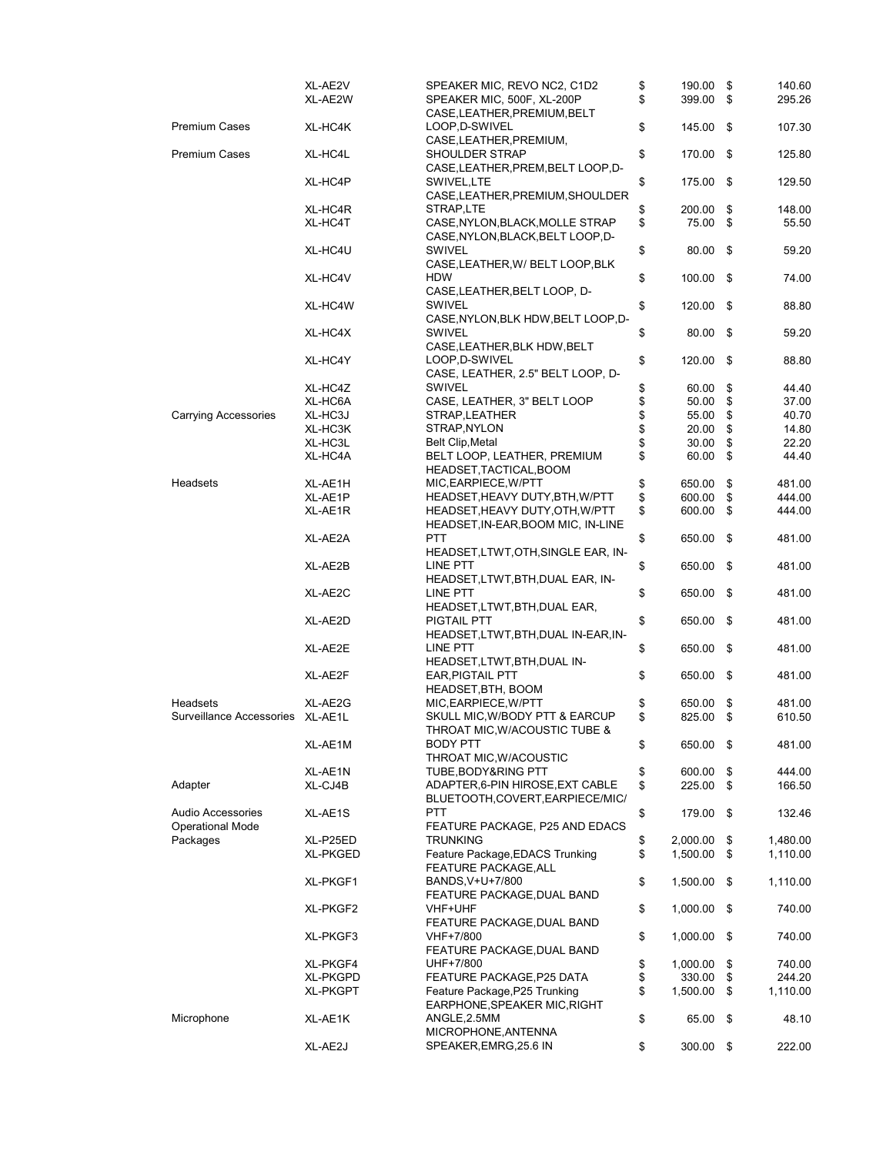|                                                     | XL-AE2V<br>XL-AE2W | SPEAKER MIC, REVO NC2, C1D2<br>SPEAKER MIC, 500F, XL-200P                 | \$<br>\$ | 190.00<br>399.00 | \$<br>\$ | 140.60<br>295.26 |
|-----------------------------------------------------|--------------------|---------------------------------------------------------------------------|----------|------------------|----------|------------------|
| <b>Premium Cases</b>                                | XL-HC4K            | CASE, LEATHER, PREMIUM, BELT<br>LOOP, D-SWIVEL<br>CASE, LEATHER, PREMIUM, | \$       | 145.00 \$        |          | 107.30           |
| <b>Premium Cases</b>                                | XL-HC4L            | SHOULDER STRAP<br>CASE, LEATHER, PREM, BELT LOOP, D-                      | \$       | 170.00           | \$       | 125.80           |
|                                                     | XL-HC4P            | SWIVEL, LTE<br>CASE, LEATHER, PREMIUM, SHOULDER                           | \$       | 175.00           | -\$      | 129.50           |
|                                                     | XL-HC4R            | STRAP,LTE                                                                 | \$       | 200.00           | \$       | 148.00           |
|                                                     | XL-HC4T            | CASE, NYLON, BLACK, MOLLE STRAP<br>CASE, NYLON, BLACK, BELT LOOP, D-      | \$       | 75.00            | \$       | 55.50            |
|                                                     | XL-HC4U            | SWIVEL<br>CASE, LEATHER, W/ BELT LOOP, BLK                                | \$       | $80.00$ \$       |          | 59.20            |
|                                                     | XL-HC4V            | <b>HDW</b><br>CASE, LEATHER, BELT LOOP, D-                                | \$       | 100.00           | -\$      | 74.00            |
|                                                     | XL-HC4W            | SWIVEL<br>CASE, NYLON, BLK HDW, BELT LOOP, D-                             | \$       | 120.00           | \$       | 88.80            |
|                                                     | XL-HC4X            | SWIVEL<br>CASE, LEATHER, BLK HDW, BELT                                    | \$       | 80.00            | - \$     | 59.20            |
|                                                     | XL-HC4Y            | LOOP, D-SWIVEL<br>CASE, LEATHER, 2.5" BELT LOOP, D-                       | \$       | 120.00           | - \$     | 88.80            |
|                                                     | XL-HC4Z            | <b>SWIVEL</b>                                                             | \$       | 60.00            | \$       | 44.40            |
|                                                     | XL-HC6A            | CASE, LEATHER, 3" BELT LOOP                                               | \$       | 50.00            | \$       | 37.00            |
| <b>Carrying Accessories</b>                         | XL-HC3J            | STRAP, LEATHER                                                            | \$       | 55.00            | \$       | 40.70            |
|                                                     | XL-HC3K            | STRAP, NYLON                                                              | \$       | 20.00            | \$       | 14.80            |
|                                                     | XL-HC3L            | Belt Clip, Metal                                                          | \$       | 30.00            | \$       | 22.20            |
|                                                     | XL-HC4A            | BELT LOOP, LEATHER, PREMIUM                                               | \$       | 60.00            | \$       | 44.40            |
|                                                     |                    | HEADSET, TACTICAL, BOOM                                                   |          |                  |          |                  |
| Headsets                                            | XL-AE1H            | MIC, EARPIECE, W/PTT                                                      | \$       | 650.00           | \$       | 481.00           |
|                                                     | XL-AE1P            | HEADSET, HEAVY DUTY, BTH, W/PTT                                           | \$       | 600.00           | \$       | 444.00           |
|                                                     | XL-AE1R            | HEADSET, HEAVY DUTY, OTH, W/PTT                                           | \$       | 600.00           | \$       | 444.00           |
|                                                     |                    | HEADSET, IN-EAR, BOOM MIC, IN-LINE                                        |          |                  |          |                  |
|                                                     | XL-AE2A            | <b>PTT</b><br>HEADSET, LTWT, OTH, SINGLE EAR, IN-                         | \$       | 650.00           | \$       | 481.00           |
|                                                     | XL-AE2B            | LINE PTT<br>HEADSET, LTWT, BTH, DUAL EAR, IN-                             | \$       | 650.00           | -\$      | 481.00           |
|                                                     | XL-AE2C            | LINE PTT<br>HEADSET,LTWT,BTH,DUAL EAR,                                    | \$       | 650.00           | \$       | 481.00           |
|                                                     | XL-AE2D            | PIGTAIL PTT<br>HEADSET, LTWT, BTH, DUAL IN-EAR, IN-                       | \$       | 650.00           | \$       | 481.00           |
|                                                     | XL-AE2E            | LINE PTT<br>HEADSET,LTWT,BTH,DUAL IN-                                     | \$       | 650.00           | - \$     | 481.00           |
|                                                     | XL-AE2F            | <b>EAR, PIGTAIL PTT</b><br>HEADSET, BTH, BOOM                             | \$       | 650.00           | \$       | 481.00           |
| Headsets                                            | XL-AE2G            | MIC, EARPIECE, W/PTT                                                      | \$       | 650.00           | \$       | 481.00           |
| Surveillance Accessories XL-AE1L                    |                    | SKULL MIC, W/BODY PTT & EARCUP<br>THROAT MIC, W/ACOUSTIC TUBE &           | \$       | 825.00           | \$       | 610.50           |
|                                                     | XL-AE1M            | BODY PTT<br>THROAT MIC, W/ACOUSTIC                                        | \$       | 650.00 \$        |          | 481.00           |
|                                                     | XL-AE1N            | TUBE, BODY&RING PTT                                                       | \$       | 600.00           | \$       | 444.00           |
| Adapter                                             | XL-CJ4B            | ADAPTER, 6-PIN HIROSE, EXT CABLE<br>BLUETOOTH,COVERT,EARPIECE/MIC/        | \$       | 225.00           | \$       | 166.50           |
| <b>Audio Accessories</b><br><b>Operational Mode</b> | XL-AE1S            | PTT<br>FEATURE PACKAGE, P25 AND EDACS                                     | \$       | 179.00           | \$       | 132.46           |
| Packages                                            | XL-P25ED           | <b>TRUNKING</b>                                                           | \$       | 2,000.00         | \$       | 1,480.00         |
|                                                     | XL-PKGED           | Feature Package, EDACS Trunking<br><b>FEATURE PACKAGE, ALL</b>            | \$       | 1,500.00         | \$       | 1,110.00         |
|                                                     | XL-PKGF1           | BANDS, V+U+7/800<br>FEATURE PACKAGE, DUAL BAND                            | \$       | 1,500.00         | \$       | 1,110.00         |
|                                                     | XL-PKGF2           | VHF+UHF<br>FEATURE PACKAGE, DUAL BAND                                     | \$       | 1,000.00         | \$       | 740.00           |
|                                                     | XL-PKGF3           | VHF+7/800<br>FEATURE PACKAGE, DUAL BAND                                   | \$       | 1,000.00         | \$       | 740.00           |
|                                                     | XL-PKGF4           | UHF+7/800                                                                 | \$       | 1,000.00         | \$       | 740.00           |
|                                                     | XL-PKGPD           | FEATURE PACKAGE, P25 DATA                                                 | \$       | 330.00           | \$       | 244.20           |
|                                                     | <b>XL-PKGPT</b>    | Feature Package, P25 Trunking<br>EARPHONE, SPEAKER MIC, RIGHT             | \$       | 1,500.00         | \$       | 1,110.00         |
| Microphone                                          | XL-AE1K            | ANGLE, 2.5MM<br>MICROPHONE, ANTENNA                                       | \$       | 65.00            | \$       | 48.10            |
|                                                     | XL-AE2J            | SPEAKER,EMRG,25.6 IN                                                      | \$       | 300.00 \$        |          | 222.00           |